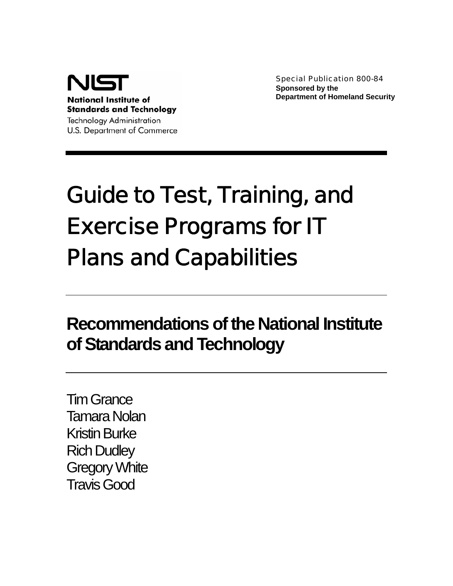

Special Publication 800-84 **Sponsored by the Department of Homeland Security**

# Guide to Test, Training, and Exercise Programs for IT Plans and Capabilities

# **Recommendations of the National Institute of Standards and Technology**

Tim Grance Tamara Nolan Kristin Burke Rich Dudley Gregory White Travis Good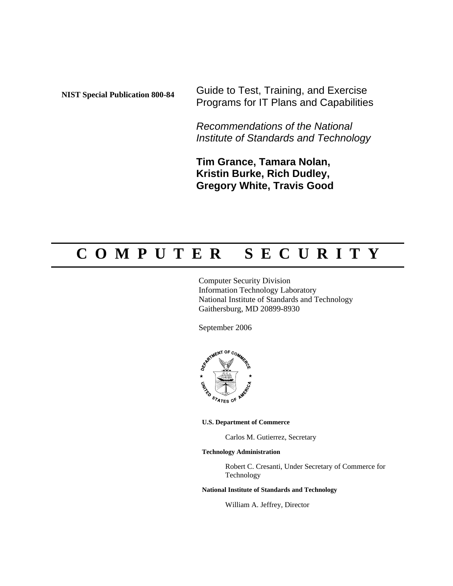**NIST Special Publication 800-84** 

Guide to Test, Training, and Exercise Programs for IT Plans and Capabilities

*Recommendations of the National Institute of Standards and Technology* 

**Tim Grance, Tamara Nolan, Kristin Burke, Rich Dudley, Gregory White, Travis Good** 

# **C O M P U T E R S E C U R I T Y**

Computer Security Division Information Technology Laboratory National Institute of Standards and Technology Gaithersburg, MD 20899-8930

September 2006



**U.S. Department of Commerce** 

Carlos M. Gutierrez, Secretary

**Technology Administration** 

Robert C. Cresanti, Under Secretary of Commerce for Technology

**National Institute of Standards and Technology**

William A. Jeffrey, Director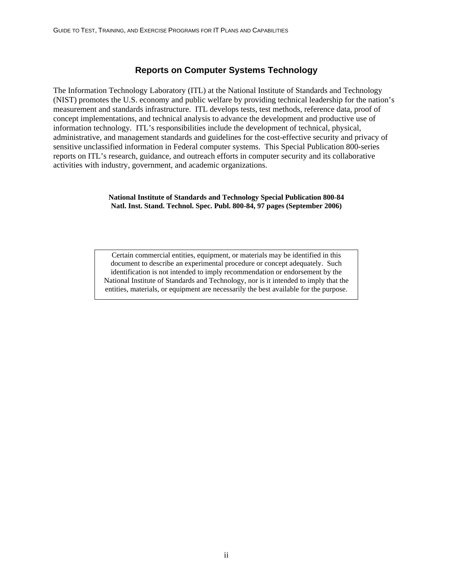#### **Reports on Computer Systems Technology**

The Information Technology Laboratory (ITL) at the National Institute of Standards and Technology (NIST) promotes the U.S. economy and public welfare by providing technical leadership for the nation's measurement and standards infrastructure. ITL develops tests, test methods, reference data, proof of concept implementations, and technical analysis to advance the development and productive use of information technology. ITL's responsibilities include the development of technical, physical, administrative, and management standards and guidelines for the cost-effective security and privacy of sensitive unclassified information in Federal computer systems. This Special Publication 800-series reports on ITL's research, guidance, and outreach efforts in computer security and its collaborative activities with industry, government, and academic organizations.

#### **National Institute of Standards and Technology Special Publication 800-84 Natl. Inst. Stand. Technol. Spec. Publ. 800-84, 97 pages (September 2006)**

Certain commercial entities, equipment, or materials may be identified in this document to describe an experimental procedure or concept adequately. Such identification is not intended to imply recommendation or endorsement by the National Institute of Standards and Technology, nor is it intended to imply that the entities, materials, or equipment are necessarily the best available for the purpose.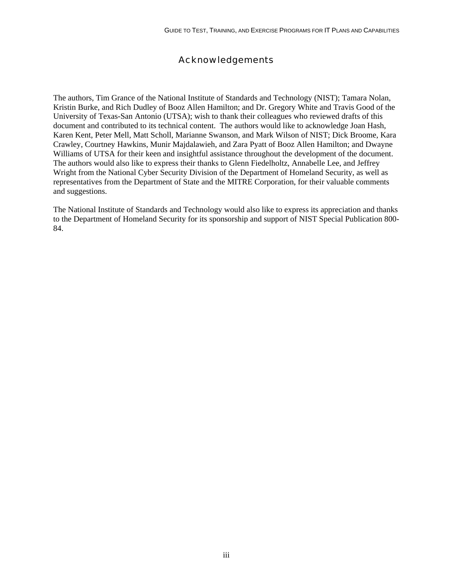#### Acknowledgements

The authors, Tim Grance of the National Institute of Standards and Technology (NIST); Tamara Nolan, Kristin Burke, and Rich Dudley of Booz Allen Hamilton; and Dr. Gregory White and Travis Good of the University of Texas-San Antonio (UTSA); wish to thank their colleagues who reviewed drafts of this document and contributed to its technical content. The authors would like to acknowledge Joan Hash, Karen Kent, Peter Mell, Matt Scholl, Marianne Swanson, and Mark Wilson of NIST; Dick Broome, Kara Crawley, Courtney Hawkins, Munir Majdalawieh, and Zara Pyatt of Booz Allen Hamilton; and Dwayne Williams of UTSA for their keen and insightful assistance throughout the development of the document. The authors would also like to express their thanks to Glenn Fiedelholtz, Annabelle Lee, and Jeffrey Wright from the National Cyber Security Division of the Department of Homeland Security, as well as representatives from the Department of State and the MITRE Corporation, for their valuable comments and suggestions.

The National Institute of Standards and Technology would also like to express its appreciation and thanks to the Department of Homeland Security for its sponsorship and support of NIST Special Publication 800- 84.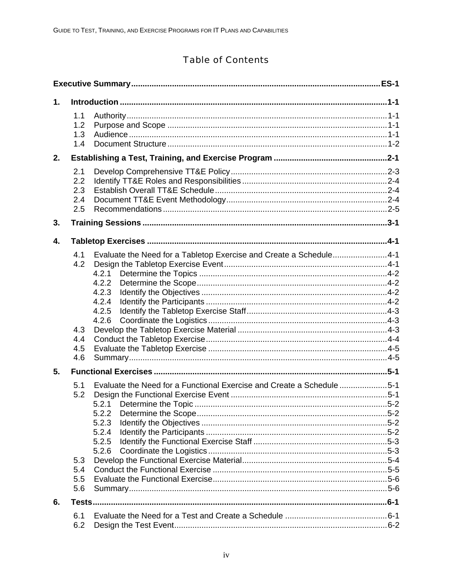### **Table of Contents**

| 1. |                                        |                                                                                                                          |  |  |
|----|----------------------------------------|--------------------------------------------------------------------------------------------------------------------------|--|--|
|    | 1.1<br>1.2<br>1.3<br>1.4               |                                                                                                                          |  |  |
| 2. |                                        |                                                                                                                          |  |  |
|    | 2.1<br>2.2<br>2.3<br>2.4<br>2.5        |                                                                                                                          |  |  |
| 3. |                                        |                                                                                                                          |  |  |
| 4. |                                        |                                                                                                                          |  |  |
| 5. | 4.1<br>4.2<br>4.3<br>4.4<br>4.5<br>4.6 | Evaluate the Need for a Tabletop Exercise and Create a Schedule4-1<br>4.2.1<br>4.2.2<br>4.2.3<br>4.2.4<br>4.2.5<br>4.2.6 |  |  |
|    | 5.1<br>5.2<br>5.3<br>5.4<br>5.5<br>5.6 | Evaluate the Need for a Functional Exercise and Create a Schedule 5-1<br>5.2.2<br>5.2.3<br>5.2.4<br>5.2.5<br>5.2.6       |  |  |
| 6. |                                        |                                                                                                                          |  |  |
|    | 6.1<br>6.2                             |                                                                                                                          |  |  |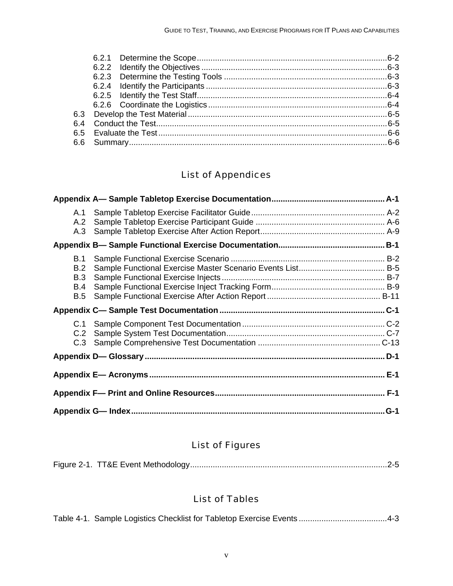## List of Appendices

| A.1<br>A.2<br>A.3                             |  |  |  |
|-----------------------------------------------|--|--|--|
|                                               |  |  |  |
| <b>B.1</b><br>B.2<br>B.3<br>B.4<br><b>B.5</b> |  |  |  |
|                                               |  |  |  |
| C.2<br>C.3                                    |  |  |  |
|                                               |  |  |  |
|                                               |  |  |  |
|                                               |  |  |  |
|                                               |  |  |  |

# List of Figures

|--|--|--|--|

### List of Tables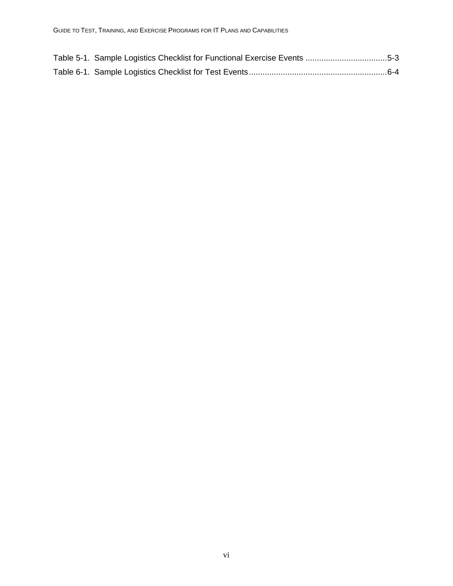|  | Table 5-1. Sample Logistics Checklist for Functional Exercise Events 5-3 |  |
|--|--------------------------------------------------------------------------|--|
|  |                                                                          |  |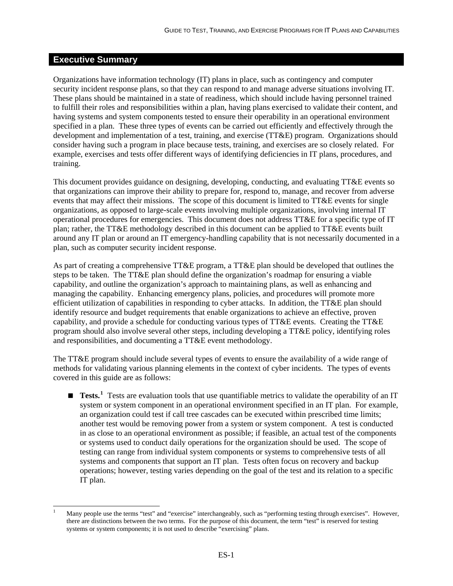#### <span id="page-8-0"></span>**Executive Summary**

Organizations have information technology (IT) plans in place, such as contingency and computer security incident response plans, so that they can respond to and manage adverse situations involving IT. These plans should be maintained in a state of readiness, which should include having personnel trained to fulfill their roles and responsibilities within a plan, having plans exercised to validate their content, and having systems and system components tested to ensure their operability in an operational environment specified in a plan. These three types of events can be carried out efficiently and effectively through the development and implementation of a test, training, and exercise (TT&E) program. Organizations should consider having such a program in place because tests, training, and exercises are so closely related. For example, exercises and tests offer different ways of identifying deficiencies in IT plans, procedures, and training.

This document provides guidance on designing, developing, conducting, and evaluating TT&E events so that organizations can improve their ability to prepare for, respond to, manage, and recover from adverse events that may affect their missions. The scope of this document is limited to TT&E events for single organizations, as opposed to large-scale events involving multiple organizations, involving internal IT operational procedures for emergencies. This document does not address TT&E for a specific type of IT plan; rather, the TT&E methodology described in this document can be applied to TT&E events built around any IT plan or around an IT emergency-handling capability that is not necessarily documented in a plan, such as computer security incident response.

As part of creating a comprehensive TT&E program, a TT&E plan should be developed that outlines the steps to be taken. The TT&E plan should define the organization's roadmap for ensuring a viable capability, and outline the organization's approach to maintaining plans, as well as enhancing and managing the capability. Enhancing emergency plans, policies, and procedures will promote more efficient utilization of capabilities in responding to cyber attacks. In addition, the TT&E plan should identify resource and budget requirements that enable organizations to achieve an effective, proven capability, and provide a schedule for conducting various types of TT&E events. Creating the TT&E program should also involve several other steps, including developing a TT&E policy, identifying roles and responsibilities, and documenting a TT&E event methodology.

The TT&E program should include several types of events to ensure the availability of a wide range of methods for validating various planning elements in the context of cyber incidents. The types of events covered in this guide are as follows:

■ **Tests.**<sup>[1](#page-8-1)</sup> Tests are evaluation tools that use quantifiable metrics to validate the operability of an IT system or system component in an operational environment specified in an IT plan. For example, an organization could test if call tree cascades can be executed within prescribed time limits; another test would be removing power from a system or system component. A test is conducted in as close to an operational environment as possible; if feasible, an actual test of the components or systems used to conduct daily operations for the organization should be used. The scope of testing can range from individual system components or systems to comprehensive tests of all systems and components that support an IT plan. Tests often focus on recovery and backup operations; however, testing varies depending on the goal of the test and its relation to a specific IT plan.

<span id="page-8-1"></span><sup>-</sup>1 Many people use the terms "test" and "exercise" interchangeably, such as "performing testing through exercises". However, there are distinctions between the two terms. For the purpose of this document, the term "test" is reserved for testing systems or system components; it is not used to describe "exercising" plans.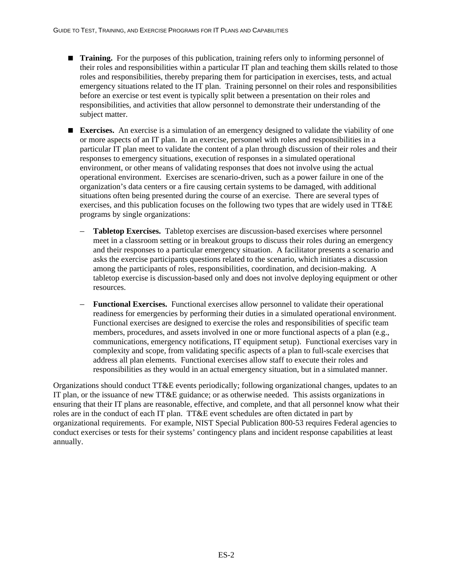- **Training.** For the purposes of this publication, training refers only to informing personnel of their roles and responsibilities within a particular IT plan and teaching them skills related to those roles and responsibilities, thereby preparing them for participation in exercises, tests, and actual emergency situations related to the IT plan. Training personnel on their roles and responsibilities before an exercise or test event is typically split between a presentation on their roles and responsibilities, and activities that allow personnel to demonstrate their understanding of the subject matter.
- **Exercises.** An exercise is a simulation of an emergency designed to validate the viability of one or more aspects of an IT plan. In an exercise, personnel with roles and responsibilities in a particular IT plan meet to validate the content of a plan through discussion of their roles and their responses to emergency situations, execution of responses in a simulated operational environment, or other means of validating responses that does not involve using the actual operational environment. Exercises are scenario-driven, such as a power failure in one of the organization's data centers or a fire causing certain systems to be damaged, with additional situations often being presented during the course of an exercise. There are several types of exercises, and this publication focuses on the following two types that are widely used in TT&E programs by single organizations:
	- **Tabletop Exercises.** Tabletop exercises are discussion-based exercises where personnel meet in a classroom setting or in breakout groups to discuss their roles during an emergency and their responses to a particular emergency situation. A facilitator presents a scenario and asks the exercise participants questions related to the scenario, which initiates a discussion among the participants of roles, responsibilities, coordination, and decision-making. A tabletop exercise is discussion-based only and does not involve deploying equipment or other resources.
	- **Functional Exercises.** Functional exercises allow personnel to validate their operational readiness for emergencies by performing their duties in a simulated operational environment. Functional exercises are designed to exercise the roles and responsibilities of specific team members, procedures, and assets involved in one or more functional aspects of a plan (e.g., communications, emergency notifications, IT equipment setup). Functional exercises vary in complexity and scope, from validating specific aspects of a plan to full-scale exercises that address all plan elements. Functional exercises allow staff to execute their roles and responsibilities as they would in an actual emergency situation, but in a simulated manner.

Organizations should conduct TT&E events periodically; following organizational changes, updates to an IT plan, or the issuance of new TT&E guidance; or as otherwise needed. This assists organizations in ensuring that their IT plans are reasonable, effective, and complete, and that all personnel know what their roles are in the conduct of each IT plan. TT&E event schedules are often dictated in part by organizational requirements. For example, NIST Special Publication 800-53 requires Federal agencies to conduct exercises or tests for their systems' contingency plans and incident response capabilities at least annually.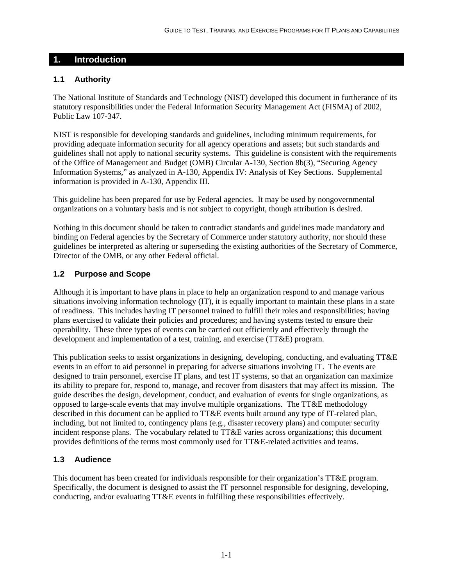#### <span id="page-10-0"></span>**1. Introduction**

#### **1.1 Authority**

The National Institute of Standards and Technology (NIST) developed this document in furtherance of its statutory responsibilities under the Federal Information Security Management Act (FISMA) of 2002, Public Law 107-347.

NIST is responsible for developing standards and guidelines, including minimum requirements, for providing adequate information security for all agency operations and assets; but such standards and guidelines shall not apply to national security systems. This guideline is consistent with the requirements of the Office of Management and Budget (OMB) Circular A-130, Section 8b(3), "Securing Agency Information Systems," as analyzed in A-130, Appendix IV: Analysis of Key Sections. Supplemental information is provided in A-130, Appendix III.

This guideline has been prepared for use by Federal agencies. It may be used by nongovernmental organizations on a voluntary basis and is not subject to copyright, though attribution is desired.

Nothing in this document should be taken to contradict standards and guidelines made mandatory and binding on Federal agencies by the Secretary of Commerce under statutory authority, nor should these guidelines be interpreted as altering or superseding the existing authorities of the Secretary of Commerce, Director of the OMB, or any other Federal official.

#### **1.2 Purpose and Scope**

Although it is important to have plans in place to help an organization respond to and manage various situations involving information technology (IT), it is equally important to maintain these plans in a state of readiness. This includes having IT personnel trained to fulfill their roles and responsibilities; having plans exercised to validate their policies and procedures; and having systems tested to ensure their operability. These three types of events can be carried out efficiently and effectively through the development and implementation of a test, training, and exercise (TT&E) program.

This publication seeks to assist organizations in designing, developing, conducting, and evaluating TT&E events in an effort to aid personnel in preparing for adverse situations involving IT. The events are designed to train personnel, exercise IT plans, and test IT systems, so that an organization can maximize its ability to prepare for, respond to, manage, and recover from disasters that may affect its mission. The guide describes the design, development, conduct, and evaluation of events for single organizations, as opposed to large-scale events that may involve multiple organizations. The TT&E methodology described in this document can be applied to TT&E events built around any type of IT-related plan, including, but not limited to, contingency plans (e.g., disaster recovery plans) and computer security incident response plans. The vocabulary related to TT&E varies across organizations; this document provides definitions of the terms most commonly used for TT&E-related activities and teams.

#### **1.3 Audience**

This document has been created for individuals responsible for their organization's TT&E program. Specifically, the document is designed to assist the IT personnel responsible for designing, developing, conducting, and/or evaluating TT&E events in fulfilling these responsibilities effectively.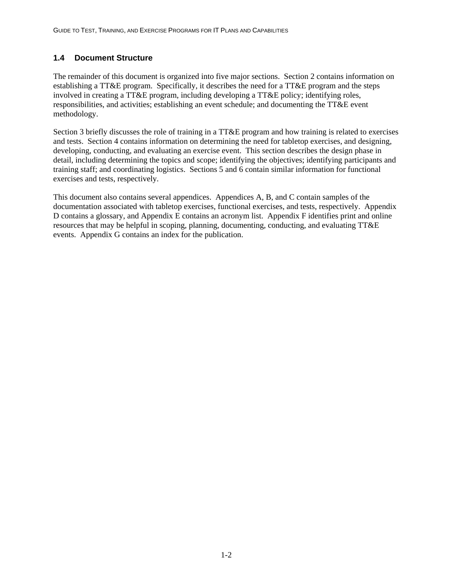#### <span id="page-11-0"></span>**1.4 Document Structure**

The remainder of this document is organized into five major sections. Section 2 contains information on establishing a TT&E program. Specifically, it describes the need for a TT&E program and the steps involved in creating a TT&E program, including developing a TT&E policy; identifying roles, responsibilities, and activities; establishing an event schedule; and documenting the TT&E event methodology.

Section 3 briefly discusses the role of training in a TT&E program and how training is related to exercises and tests. Section 4 contains information on determining the need for tabletop exercises, and designing, developing, conducting, and evaluating an exercise event. This section describes the design phase in detail, including determining the topics and scope; identifying the objectives; identifying participants and training staff; and coordinating logistics. Sections 5 and 6 contain similar information for functional exercises and tests, respectively.

This document also contains several appendices. Appendices A, B, and C contain samples of the documentation associated with tabletop exercises, functional exercises, and tests, respectively. Appendix D contains a glossary, and Appendix E contains an acronym list. Appendix F identifies print and online resources that may be helpful in scoping, planning, documenting, conducting, and evaluating TT&E events. Appendix G contains an index for the publication.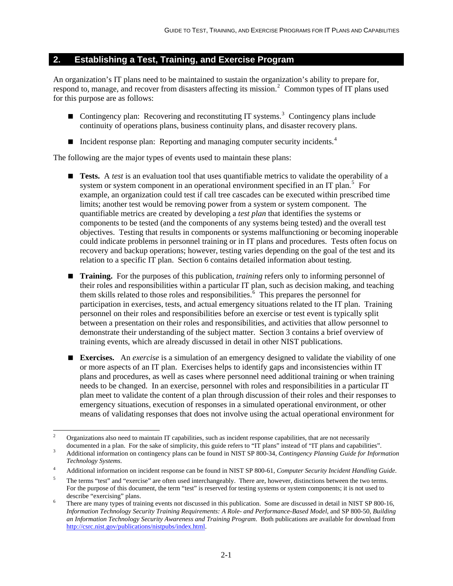#### <span id="page-12-0"></span>**2. Establishing a Test, Training, and Exercise Program**

An organization's IT plans need to be maintained to sustain the organization's ability to prepare for, respond to, manage, and recover from disasters affecting its mission.<sup>[2](#page-12-1)</sup> Common types of IT plans used for this purpose are as follows:

- $\blacksquare$  Contingency plan: Recovering and reconstituting IT systems.<sup>[3](#page-12-2)</sup> Contingency plans include continuity of operations plans, business continuity plans, and disaster recovery plans.
- Incident response plan: Reporting and managing computer security incidents.<sup>[4](#page-12-3)</sup>

The following are the major types of events used to maintain these plans:

- **Tests.** A *test* is an evaluation tool that uses quantifiable metrics to validate the operability of a system or system component in an operational environment specified in an IT plan.<sup>[5](#page-12-4)</sup> For example, an organization could test if call tree cascades can be executed within prescribed time limits; another test would be removing power from a system or system component. The quantifiable metrics are created by developing a *test plan* that identifies the systems or components to be tested (and the components of any systems being tested) and the overall test objectives. Testing that results in components or systems malfunctioning or becoming inoperable could indicate problems in personnel training or in IT plans and procedures. Tests often focus on recovery and backup operations; however, testing varies depending on the goal of the test and its relation to a specific IT plan. Section 6 contains detailed information about testing.
- **Training.** For the purposes of this publication, *training* refers only to informing personnel of their roles and responsibilities within a particular IT plan, such as decision making, and teaching them skills related to those roles and responsibilities.<sup> $\delta$ </sup> This prepares the personnel for participation in exercises, tests, and actual emergency situations related to the IT plan. Training personnel on their roles and responsibilities before an exercise or test event is typically split between a presentation on their roles and responsibilities, and activities that allow personnel to demonstrate their understanding of the subject matter. Section 3 contains a brief overview of training events, which are already discussed in detail in other NIST publications.
- **Exercises.** An *exercise* is a simulation of an emergency designed to validate the viability of one or more aspects of an IT plan. Exercises helps to identify gaps and inconsistencies within IT plans and procedures, as well as cases where personnel need additional training or when training needs to be changed. In an exercise, personnel with roles and responsibilities in a particular IT plan meet to validate the content of a plan through discussion of their roles and their responses to emergency situations, execution of responses in a simulated operational environment, or other means of validating responses that does not involve using the actual operational environment for

 $\frac{1}{2}$  Organizations also need to maintain IT capabilities, such as incident response capabilities, that are not necessarily documented in a plan. For the sake of simplicity, this guide refers to "IT plans" instead of "IT plans and capabilities".

Additional information on contingency plans can be found in NIST SP 800-34, *Contingency Planning Guide for Information Technology Systems*.

<sup>4</sup> Additional information on incident response can be found in NIST SP 800-61, *Computer Security Incident Handling Guide*.

<sup>5</sup> The terms "test" and "exercise" are often used interchangeably. There are, however, distinctions between the two terms. For the purpose of this document, the term "test" is reserved for testing systems or system components; it is not used to describe "exercising" plans.

<span id="page-12-5"></span><span id="page-12-4"></span><span id="page-12-3"></span><span id="page-12-2"></span><span id="page-12-1"></span>There are many types of training events not discussed in this publication. Some are discussed in detail in NIST SP 800-16, *Information Technology Security Training Requirements: A Role- and Performance-Based Model*, and SP 800-50, *Building an Information Technology Security Awareness and Training Program*. Both publications are available for download from <http://csrc.nist.gov/publications/nistpubs/index.html>.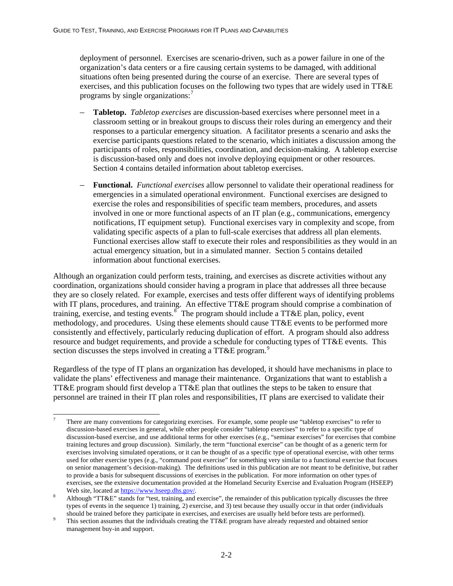deployment of personnel. Exercises are scenario-driven, such as a power failure in one of the organization's data centers or a fire causing certain systems to be damaged, with additional situations often being presented during the course of an exercise. There are several types of exercises, and this publication focuses on the following two types that are widely used in TT&E programs by single organizations:<sup>[7](#page-13-0)</sup>

- **Tabletop.** *Tabletop exercises* are discussion-based exercises where personnel meet in a classroom setting or in breakout groups to discuss their roles during an emergency and their responses to a particular emergency situation. A facilitator presents a scenario and asks the exercise participants questions related to the scenario, which initiates a discussion among the participants of roles, responsibilities, coordination, and decision-making. A tabletop exercise is discussion-based only and does not involve deploying equipment or other resources. Section 4 contains detailed information about tabletop exercises.
- **Functional.** *Functional exercises* allow personnel to validate their operational readiness for emergencies in a simulated operational environment. Functional exercises are designed to exercise the roles and responsibilities of specific team members, procedures, and assets involved in one or more functional aspects of an IT plan (e.g., communications, emergency notifications, IT equipment setup). Functional exercises vary in complexity and scope, from validating specific aspects of a plan to full-scale exercises that address all plan elements. Functional exercises allow staff to execute their roles and responsibilities as they would in an actual emergency situation, but in a simulated manner. Section 5 contains detailed information about functional exercises.

Although an organization could perform tests, training, and exercises as discrete activities without any coordination, organizations should consider having a program in place that addresses all three because they are so closely related. For example, exercises and tests offer different ways of identifying problems with IT plans, procedures, and training. An effective TT&E program should comprise a combination of training, exercise, and testing events.  $\delta$  The program should include a TT&E plan, policy, event methodology, and procedures. Using these elements should cause TT&E events to be performed more consistently and effectively, particularly reducing duplication of effort. A program should also address resource and budget requirements, and provide a schedule for conducting types of TT&E events. This section discusses the steps involved in creating a TT&E program.<sup>[9](#page-13-2)</sup>

Regardless of the type of IT plans an organization has developed, it should have mechanisms in place to validate the plans' effectiveness and manage their maintenance. Organizations that want to establish a TT&E program should first develop a TT&E plan that outlines the steps to be taken to ensure that personnel are trained in their IT plan roles and responsibilities, IT plans are exercised to validate their

<span id="page-13-0"></span><sup>-</sup>7 There are many conventions for categorizing exercises. For example, some people use "tabletop exercises" to refer to discussion-based exercises in general, while other people consider "tabletop exercises" to refer to a specific type of discussion-based exercise, and use additional terms for other exercises (e.g., "seminar exercises" for exercises that combine training lectures and group discussion). Similarly, the term "functional exercise" can be thought of as a generic term for exercises involving simulated operations, or it can be thought of as a specific type of operational exercise, with other terms used for other exercise types (e.g., "command post exercise" for something very similar to a functional exercise that focuses on senior management's decision-making). The definitions used in this publication are not meant to be definitive, but rather to provide a basis for subsequent discussions of exercises in the publication. For more information on other types of exercises, see the extensive documentation provided at the Homeland Security Exercise and Evaluation Program (HSEEP) Web site, located at [https://www.hseep.dhs.gov/.](https://www.hseep.dhs.gov/)

<span id="page-13-1"></span>Although "TT&E" stands for "test, training, and exercise", the remainder of this publication typically discusses the three types of events in the sequence 1) training, 2) exercise, and 3) test because they usually occur in that order (individuals should be trained before they participate in exercises, and exercises are usually held before tests are performed). 9

<span id="page-13-2"></span>This section assumes that the individuals creating the TT&E program have already requested and obtained senior management buy-in and support.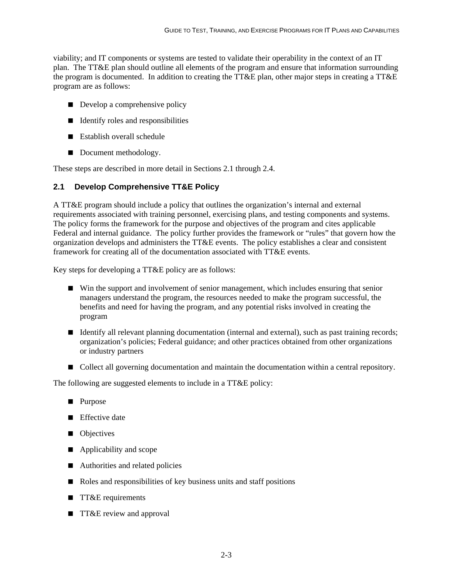<span id="page-14-0"></span>viability; and IT components or systems are tested to validate their operability in the context of an IT plan. The TT&E plan should outline all elements of the program and ensure that information surrounding the program is documented. In addition to creating the TT&E plan, other major steps in creating a TT&E program are as follows:

- Develop a comprehensive policy
- $\blacksquare$  Identify roles and responsibilities
- Establish overall schedule
- Document methodology.

These steps are described in more detail in Sections [2.1](#page-14-1) through [2.4](#page-15-1).

#### <span id="page-14-1"></span>**2.1 Develop Comprehensive TT&E Policy**

A TT&E program should include a policy that outlines the organization's internal and external requirements associated with training personnel, exercising plans, and testing components and systems. The policy forms the framework for the purpose and objectives of the program and cites applicable Federal and internal guidance. The policy further provides the framework or "rules" that govern how the organization develops and administers the TT&E events. The policy establishes a clear and consistent framework for creating all of the documentation associated with TT&E events.

Key steps for developing a TT&E policy are as follows:

- Win the support and involvement of senior management, which includes ensuring that senior managers understand the program, the resources needed to make the program successful, the benefits and need for having the program, and any potential risks involved in creating the program
- If Identify all relevant planning documentation (internal and external), such as past training records; organization's policies; Federal guidance; and other practices obtained from other organizations or industry partners
- Collect all governing documentation and maintain the documentation within a central repository.

The following are suggested elements to include in a TT&E policy:

- **Purpose**
- Effective date
- Objectives
- Applicability and scope
- Authorities and related policies
- $\blacksquare$  Roles and responsibilities of key business units and staff positions
- TT&E requirements
- TT&E review and approval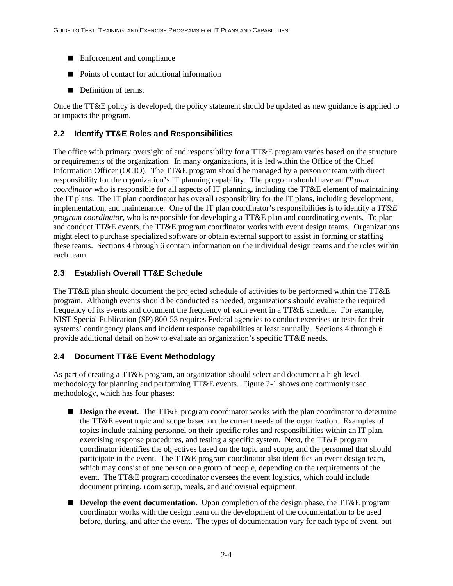- <span id="page-15-0"></span>■ Enforcement and compliance
- Points of contact for additional information
- Definition of terms.

Once the TT&E policy is developed, the policy statement should be updated as new guidance is applied to or impacts the program.

#### **2.2 Identify TT&E Roles and Responsibilities**

The office with primary oversight of and responsibility for a TT&E program varies based on the structure or requirements of the organization. In many organizations, it is led within the Office of the Chief Information Officer (OCIO). The TT&E program should be managed by a person or team with direct responsibility for the organization's IT planning capability. The program should have an *IT plan coordinator* who is responsible for all aspects of IT planning, including the TT&E element of maintaining the IT plans. The IT plan coordinator has overall responsibility for the IT plans, including development, implementation, and maintenance. One of the IT plan coordinator's responsibilities is to identify a *TT&E program coordinator*, who is responsible for developing a TT&E plan and coordinating events. To plan and conduct TT&E events, the TT&E program coordinator works with event design teams. Organizations might elect to purchase specialized software or obtain external support to assist in forming or staffing these teams. Sections 4 through 6 contain information on the individual design teams and the roles within each team.

#### **2.3 Establish Overall TT&E Schedule**

The TT&E plan should document the projected schedule of activities to be performed within the TT&E program. Although events should be conducted as needed, organizations should evaluate the required frequency of its events and document the frequency of each event in a TT&E schedule. For example, NIST Special Publication (SP) 800-53 requires Federal agencies to conduct exercises or tests for their systems' contingency plans and incident response capabilities at least annually. Sections 4 through 6 provide additional detail on how to evaluate an organization's specific TT&E needs.

#### <span id="page-15-1"></span>**2.4 Document TT&E Event Methodology**

As part of creating a TT&E program, an organization should select and document a high-level methodology for planning and performing TT&E events. Figure 2-1 shows one commonly used methodology, which has four phases:

- **Design the event.** The TT&E program coordinator works with the plan coordinator to determine the TT&E event topic and scope based on the current needs of the organization. Examples of topics include training personnel on their specific roles and responsibilities within an IT plan, exercising response procedures, and testing a specific system. Next, the TT&E program coordinator identifies the objectives based on the topic and scope, and the personnel that should participate in the event. The TT&E program coordinator also identifies an event design team, which may consist of one person or a group of people, depending on the requirements of the event. The TT&E program coordinator oversees the event logistics, which could include document printing, room setup, meals, and audiovisual equipment.
- **Develop the event documentation.** Upon completion of the design phase, the TT&E program coordinator works with the design team on the development of the documentation to be used before, during, and after the event. The types of documentation vary for each type of event, but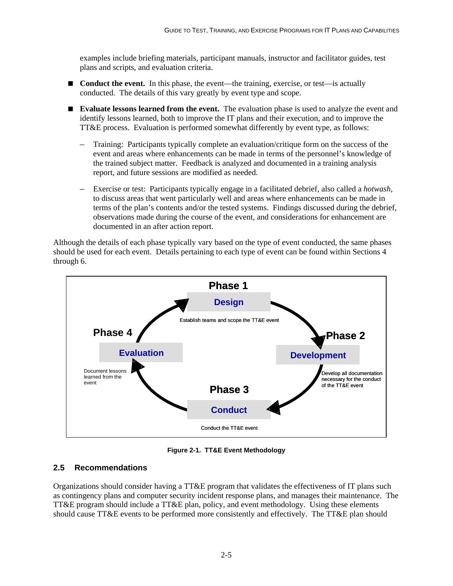<span id="page-16-0"></span>examples include briefing materials, participant manuals, instructor and facilitator guides, test plans and scripts, and evaluation criteria.

- **Conduct the event.** In this phase, the event—the training, exercise, or test—is actually conducted. The details of this vary greatly by event type and scope.
- **Evaluate lessons learned from the event.** The evaluation phase is used to analyze the event and identify lessons learned, both to improve the IT plans and their execution, and to improve the TT&E process. Evaluation is performed somewhat differently by event type, as follows:
	- Training: Participants typically complete an evaluation/critique form on the success of the event and areas where enhancements can be made in terms of the personnel's knowledge of the trained subject matter. Feedback is analyzed and documented in a training analysis report, and future sessions are modified as needed.
	- Exercise or test: Participants typically engage in a facilitated debrief, also called a *hotwash*, to discuss areas that went particularly well and areas where enhancements can be made in terms of the plan's contents and/or the tested systems. Findings discussed during the debrief, observations made during the course of the event, and considerations for enhancement are documented in an after action report.

Although the details of each phase typically vary based on the type of event conducted, the same phases should be used for each event. Details pertaining to each type of event can be found within Sections 4 through 6.



**Figure 2-1. TT&E Event Methodology** 

#### **2.5 Recommendations**

Organizations should consider having a TT&E program that validates the effectiveness of IT plans such as contingency plans and computer security incident response plans, and manages their maintenance. The TT&E program should include a TT&E plan, policy, and event methodology. Using these elements should cause TT&E events to be performed more consistently and effectively. The TT&E plan should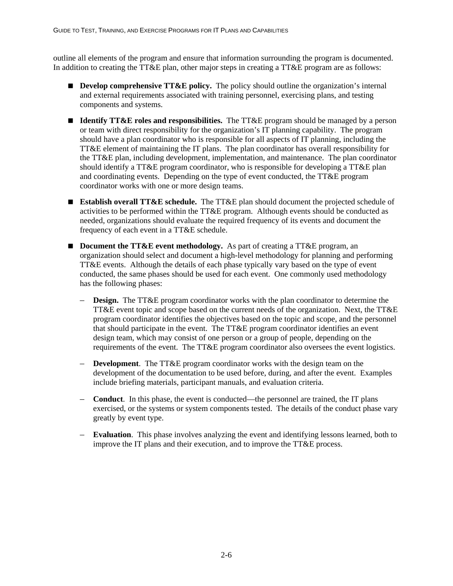outline all elements of the program and ensure that information surrounding the program is documented. In addition to creating the TT&E plan, other major steps in creating a TT&E program are as follows:

- **Develop comprehensive TT&E policy.** The policy should outline the organization's internal and external requirements associated with training personnel, exercising plans, and testing components and systems.
- **IDENTIFY TT&E roles and responsibilities.** The TT&E program should be managed by a person or team with direct responsibility for the organization's IT planning capability. The program should have a plan coordinator who is responsible for all aspects of IT planning, including the TT&E element of maintaining the IT plans. The plan coordinator has overall responsibility for the TT&E plan, including development, implementation, and maintenance. The plan coordinator should identify a TT&E program coordinator, who is responsible for developing a TT&E plan and coordinating events. Depending on the type of event conducted, the TT&E program coordinator works with one or more design teams.
- **Establish overall TT&E schedule.** The TT&E plan should document the projected schedule of activities to be performed within the TT&E program. Although events should be conducted as needed, organizations should evaluate the required frequency of its events and document the frequency of each event in a TT&E schedule.
- **Document the TT&E event methodology.** As part of creating a TT&E program, an organization should select and document a high-level methodology for planning and performing TT&E events. Although the details of each phase typically vary based on the type of event conducted, the same phases should be used for each event. One commonly used methodology has the following phases:
	- **Design.** The TT&E program coordinator works with the plan coordinator to determine the TT&E event topic and scope based on the current needs of the organization. Next, the TT&E program coordinator identifies the objectives based on the topic and scope, and the personnel that should participate in the event. The TT&E program coordinator identifies an event design team, which may consist of one person or a group of people, depending on the requirements of the event. The TT&E program coordinator also oversees the event logistics.
	- **Development**. The TT&E program coordinator works with the design team on the development of the documentation to be used before, during, and after the event. Examples include briefing materials, participant manuals, and evaluation criteria.
	- **Conduct**.In this phase, the event is conducted—the personnel are trained, the IT plans exercised, or the systems or system components tested. The details of the conduct phase vary greatly by event type.
	- **Evaluation**.This phase involves analyzing the event and identifying lessons learned, both to improve the IT plans and their execution, and to improve the TT&E process.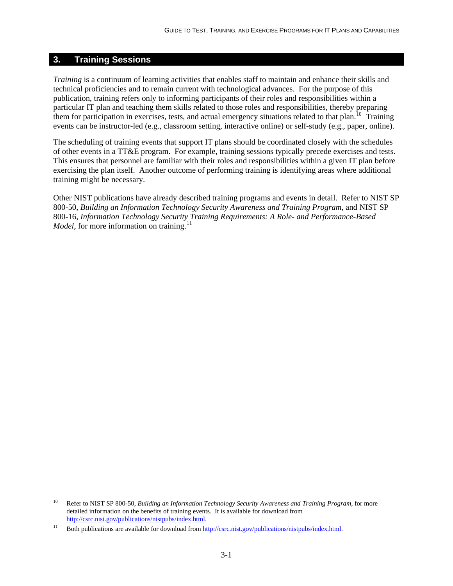#### <span id="page-18-0"></span>**3. Training Sessions**

*Training* is a continuum of learning activities that enables staff to maintain and enhance their skills and technical proficiencies and to remain current with technological advances. For the purpose of this publication, training refers only to informing participants of their roles and responsibilities within a particular IT plan and teaching them skills related to those roles and responsibilities, thereby preparing them for participation in exercises, tests, and actual emergency situations related to that plan.<sup>[10](#page-18-1)</sup> Training events can be instructor-led (e.g., classroom setting, interactive online) or self-study (e.g., paper, online).

The scheduling of training events that support IT plans should be coordinated closely with the schedules of other events in a TT&E program. For example, training sessions typically precede exercises and tests. This ensures that personnel are familiar with their roles and responsibilities within a given IT plan before exercising the plan itself. Another outcome of performing training is identifying areas where additional training might be necessary.

Other NIST publications have already described training programs and events in detail. Refer to NIST SP 800-50, *Building an Information Technology Security Awareness and Training Program*, and NIST SP 800-16, *Information Technology Security Training Requirements: A Role- and Performance-Based Model*, for more information on training.<sup>[11](#page-18-2)</sup>

<span id="page-18-1"></span> $10\,$ 10 Refer to NIST SP 800-50, *Building an Information Technology Security Awareness and Training Program*, for more detailed information on the benefits of training events. It is available for download from <http://csrc.nist.gov/publications/nistpubs/index.html>.

<span id="page-18-2"></span><sup>&</sup>lt;sup>11</sup> Both publications are available for download from<http://csrc.nist.gov/publications/nistpubs/index.html>.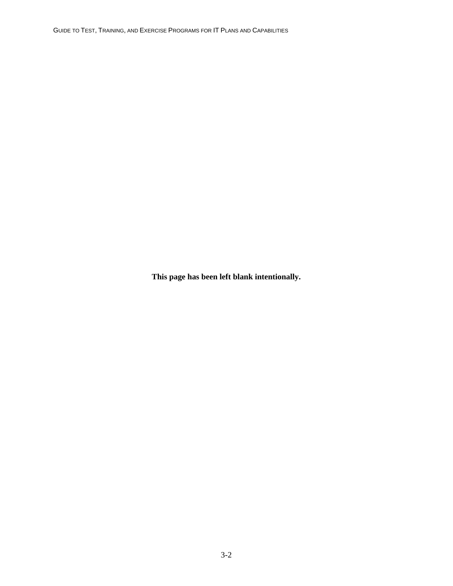**This page has been left blank intentionally.**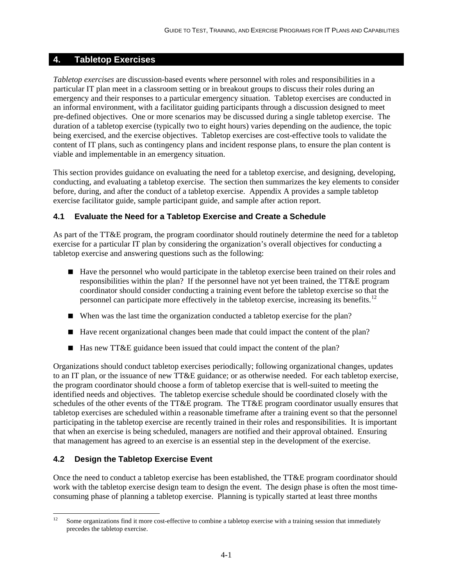#### <span id="page-20-0"></span>**4. Tabletop Exercises**

*Tabletop exercises* are discussion-based events where personnel with roles and responsibilities in a particular IT plan meet in a classroom setting or in breakout groups to discuss their roles during an emergency and their responses to a particular emergency situation. Tabletop exercises are conducted in an informal environment, with a facilitator guiding participants through a discussion designed to meet pre-defined objectives. One or more scenarios may be discussed during a single tabletop exercise. The duration of a tabletop exercise (typically two to eight hours) varies depending on the audience, the topic being exercised, and the exercise objectives. Tabletop exercises are cost-effective tools to validate the content of IT plans, such as contingency plans and incident response plans, to ensure the plan content is viable and implementable in an emergency situation.

This section provides guidance on evaluating the need for a tabletop exercise, and designing, developing, conducting, and evaluating a tabletop exercise. The section then summarizes the key elements to consider before, during, and after the conduct of a tabletop exercise. Appendix A provides a sample tabletop exercise facilitator guide, sample participant guide, and sample after action report.

#### **4.1 Evaluate the Need for a Tabletop Exercise and Create a Schedule**

As part of the TT&E program, the program coordinator should routinely determine the need for a tabletop exercise for a particular IT plan by considering the organization's overall objectives for conducting a tabletop exercise and answering questions such as the following:

- Have the personnel who would participate in the tabletop exercise been trained on their roles and responsibilities within the plan? If the personnel have not yet been trained, the TT&E program coordinator should consider conducting a training event before the tabletop exercise so that the personnel can participate more effectively in the tabletop exercise, increasing its benefits.<sup>[12](#page-20-1)</sup>
- When was the last time the organization conducted a tabletop exercise for the plan?
- Have recent organizational changes been made that could impact the content of the plan?
- Has new TT&E guidance been issued that could impact the content of the plan?

Organizations should conduct tabletop exercises periodically; following organizational changes, updates to an IT plan, or the issuance of new TT&E guidance; or as otherwise needed. For each tabletop exercise, the program coordinator should choose a form of tabletop exercise that is well-suited to meeting the identified needs and objectives. The tabletop exercise schedule should be coordinated closely with the schedules of the other events of the TT&E program. The TT&E program coordinator usually ensures that tabletop exercises are scheduled within a reasonable timeframe after a training event so that the personnel participating in the tabletop exercise are recently trained in their roles and responsibilities. It is important that when an exercise is being scheduled, managers are notified and their approval obtained. Ensuring that management has agreed to an exercise is an essential step in the development of the exercise.

#### **4.2 Design the Tabletop Exercise Event**

Once the need to conduct a tabletop exercise has been established, the TT&E program coordinator should work with the tabletop exercise design team to design the event. The design phase is often the most timeconsuming phase of planning a tabletop exercise. Planning is typically started at least three months

<span id="page-20-1"></span> $12$ Some organizations find it more cost-effective to combine a tabletop exercise with a training session that immediately precedes the tabletop exercise.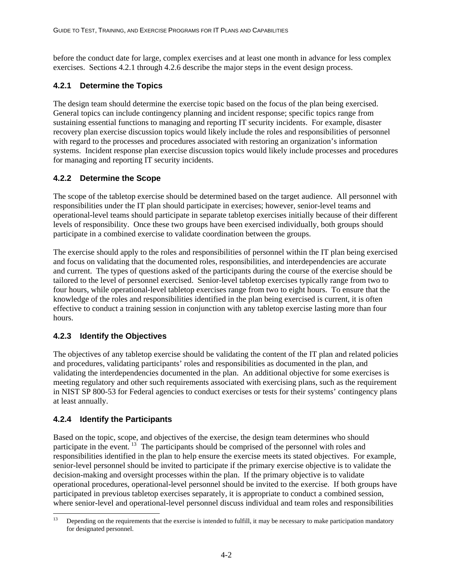<span id="page-21-0"></span>before the conduct date for large, complex exercises and at least one month in advance for less complex exercises. Sections 4.2.1 through 4.2.6 describe the major steps in the event design process.

#### **4.2.1 Determine the Topics**

The design team should determine the exercise topic based on the focus of the plan being exercised. General topics can include contingency planning and incident response; specific topics range from sustaining essential functions to managing and reporting IT security incidents. For example, disaster recovery plan exercise discussion topics would likely include the roles and responsibilities of personnel with regard to the processes and procedures associated with restoring an organization's information systems. Incident response plan exercise discussion topics would likely include processes and procedures for managing and reporting IT security incidents.

#### **4.2.2 Determine the Scope**

The scope of the tabletop exercise should be determined based on the target audience. All personnel with responsibilities under the IT plan should participate in exercises; however, senior-level teams and operational-level teams should participate in separate tabletop exercises initially because of their different levels of responsibility. Once these two groups have been exercised individually, both groups should participate in a combined exercise to validate coordination between the groups.

The exercise should apply to the roles and responsibilities of personnel within the IT plan being exercised and focus on validating that the documented roles, responsibilities, and interdependencies are accurate and current. The types of questions asked of the participants during the course of the exercise should be tailored to the level of personnel exercised. Senior-level tabletop exercises typically range from two to four hours, while operational-level tabletop exercises range from two to eight hours. To ensure that the knowledge of the roles and responsibilities identified in the plan being exercised is current, it is often effective to conduct a training session in conjunction with any tabletop exercise lasting more than four hours.

#### **4.2.3 Identify the Objectives**

The objectives of any tabletop exercise should be validating the content of the IT plan and related policies and procedures, validating participants' roles and responsibilities as documented in the plan, and validating the interdependencies documented in the plan. An additional objective for some exercises is meeting regulatory and other such requirements associated with exercising plans, such as the requirement in NIST SP 800-53 for Federal agencies to conduct exercises or tests for their systems' contingency plans at least annually.

#### **4.2.4 Identify the Participants**

Based on the topic, scope, and objectives of the exercise, the design team determines who should participate in the event.<sup>[13](#page-21-1)</sup> The participants should be comprised of the personnel with roles and responsibilities identified in the plan to help ensure the exercise meets its stated objectives. For example, senior-level personnel should be invited to participate if the primary exercise objective is to validate the decision-making and oversight processes within the plan. If the primary objective is to validate operational procedures, operational-level personnel should be invited to the exercise. If both groups have participated in previous tabletop exercises separately, it is appropriate to conduct a combined session, where senior-level and operational-level personnel discuss individual and team roles and responsibilities

<span id="page-21-1"></span><sup>13</sup> 13 Depending on the requirements that the exercise is intended to fulfill, it may be necessary to make participation mandatory for designated personnel.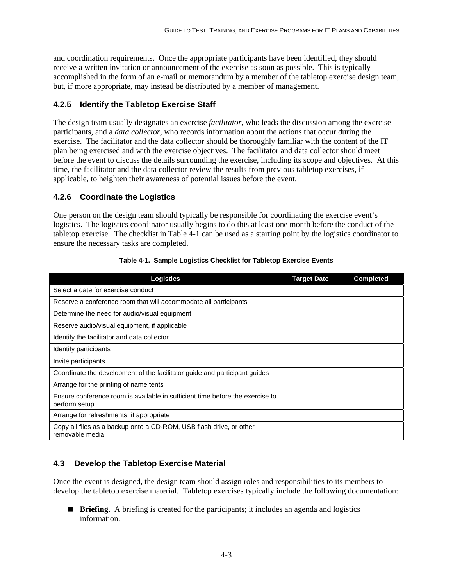<span id="page-22-0"></span>and coordination requirements. Once the appropriate participants have been identified, they should receive a written invitation or announcement of the exercise as soon as possible. This is typically accomplished in the form of an e-mail or memorandum by a member of the tabletop exercise design team, but, if more appropriate, may instead be distributed by a member of management.

#### **4.2.5 Identify the Tabletop Exercise Staff**

The design team usually designates an exercise *facilitator*, who leads the discussion among the exercise participants, and a *data collector*, who records information about the actions that occur during the exercise. The facilitator and the data collector should be thoroughly familiar with the content of the IT plan being exercised and with the exercise objectives. The facilitator and data collector should meet before the event to discuss the details surrounding the exercise, including its scope and objectives. At this time, the facilitator and the data collector review the results from previous tabletop exercises, if applicable, to heighten their awareness of potential issues before the event.

#### **4.2.6 Coordinate the Logistics**

One person on the design team should typically be responsible for coordinating the exercise event's logistics. The logistics coordinator usually begins to do this at least one month before the conduct of the tabletop exercise. The checklist in Table 4-1 can be used as a starting point by the logistics coordinator to ensure the necessary tasks are completed.

| <b>Logistics</b>                                                                               | <b>Target Date</b> | <b>Completed</b> |
|------------------------------------------------------------------------------------------------|--------------------|------------------|
| Select a date for exercise conduct                                                             |                    |                  |
| Reserve a conference room that will accommodate all participants                               |                    |                  |
| Determine the need for audio/visual equipment                                                  |                    |                  |
| Reserve audio/visual equipment, if applicable                                                  |                    |                  |
| Identify the facilitator and data collector                                                    |                    |                  |
| Identify participants                                                                          |                    |                  |
| Invite participants                                                                            |                    |                  |
| Coordinate the development of the facilitator guide and participant guides                     |                    |                  |
| Arrange for the printing of name tents                                                         |                    |                  |
| Ensure conference room is available in sufficient time before the exercise to<br>perform setup |                    |                  |
| Arrange for refreshments, if appropriate                                                       |                    |                  |
| Copy all files as a backup onto a CD-ROM, USB flash drive, or other<br>removable media         |                    |                  |

#### **Table 4-1. Sample Logistics Checklist for Tabletop Exercise Events**

#### **4.3 Develop the Tabletop Exercise Material**

Once the event is designed, the design team should assign roles and responsibilities to its members to develop the tabletop exercise material. Tabletop exercises typically include the following documentation:

**Briefing.** A briefing is created for the participants; it includes an agenda and logistics information.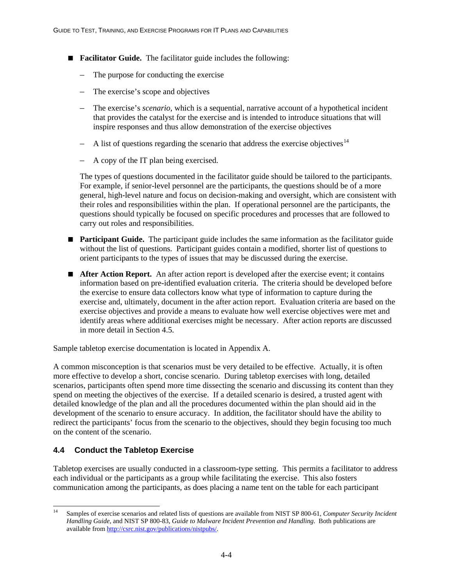- <span id="page-23-0"></span>■ **Facilitator Guide.** The facilitator guide includes the following:
	- The purpose for conducting the exercise
	- The exercise's scope and objectives
	- The exercise's *scenario*, which is a sequential, narrative account of a hypothetical incident that provides the catalyst for the exercise and is intended to introduce situations that will inspire responses and thus allow demonstration of the exercise objectives
	- $-$  A list of questions regarding the scenario that address the exercise objectives<sup>[14](#page-23-1)</sup>
	- A copy of the IT plan being exercised.

The types of questions documented in the facilitator guide should be tailored to the participants. For example, if senior-level personnel are the participants, the questions should be of a more general, high-level nature and focus on decision-making and oversight, which are consistent with their roles and responsibilities within the plan. If operational personnel are the participants, the questions should typically be focused on specific procedures and processes that are followed to carry out roles and responsibilities.

- **Participant Guide.** The participant guide includes the same information as the facilitator guide without the list of questions. Participant guides contain a modified, shorter list of questions to orient participants to the types of issues that may be discussed during the exercise.
- **After Action Report.** An after action report is developed after the exercise event; it contains information based on pre-identified evaluation criteria. The criteria should be developed before the exercise to ensure data collectors know what type of information to capture during the exercise and, ultimately, document in the after action report. Evaluation criteria are based on the exercise objectives and provide a means to evaluate how well exercise objectives were met and identify areas where additional exercises might be necessary. After action reports are discussed in more detail in Section 4.5.

Sample tabletop exercise documentation is located in Appendix A.

A common misconception is that scenarios must be very detailed to be effective. Actually, it is often more effective to develop a short, concise scenario. During tabletop exercises with long, detailed scenarios, participants often spend more time dissecting the scenario and discussing its content than they spend on meeting the objectives of the exercise. If a detailed scenario is desired, a trusted agent with detailed knowledge of the plan and all the procedures documented within the plan should aid in the development of the scenario to ensure accuracy. In addition, the facilitator should have the ability to redirect the participants' focus from the scenario to the objectives, should they begin focusing too much on the content of the scenario.

#### **4.4 Conduct the Tabletop Exercise**

Tabletop exercises are usually conducted in a classroom-type setting. This permits a facilitator to address each individual or the participants as a group while facilitating the exercise. This also fosters communication among the participants, as does placing a name tent on the table for each participant

<span id="page-23-1"></span> $14$ 14 Samples of exercise scenarios and related lists of questions are available from NIST SP 800-61, *Computer Security Incident Handling Guide*, and NIST SP 800-83, *Guide to Malware Incident Prevention and Handling*. Both publications are available from [http://csrc.nist.gov/publications/nistpubs/.](http://csrc.nist.gov/publications/nistpubs/)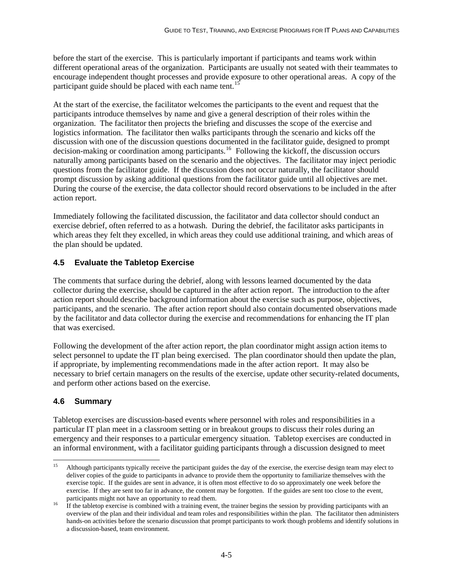<span id="page-24-0"></span>before the start of the exercise. This is particularly important if participants and teams work within different operational areas of the organization. Participants are usually not seated with their teammates to encourage independent thought processes and provide exposure to other operational areas. A copy of the participant guide should be placed with each name tent.<sup>1</sup>

At the start of the exercise, the facilitator welcomes the participants to the event and request that the participants introduce themselves by name and give a general description of their roles within the organization. The facilitator then projects the briefing and discusses the scope of the exercise and logistics information. The facilitator then walks participants through the scenario and kicks off the discussion with one of the discussion questions documented in the facilitator guide, designed to prompt decision-making or coordination among participants.<sup>[16](#page-24-0)</sup> Following the kickoff, the discussion occurs naturally among participants based on the scenario and the objectives. The facilitator may inject periodic questions from the facilitator guide. If the discussion does not occur naturally, the facilitator should prompt discussion by asking additional questions from the facilitator guide until all objectives are met. During the course of the exercise, the data collector should record observations to be included in the after action report.

Immediately following the facilitated discussion, the facilitator and data collector should conduct an exercise debrief, often referred to as a hotwash. During the debrief, the facilitator asks participants in which areas they felt they excelled, in which areas they could use additional training, and which areas of the plan should be updated.

#### **4.5 Evaluate the Tabletop Exercise**

The comments that surface during the debrief, along with lessons learned documented by the data collector during the exercise, should be captured in the after action report. The introduction to the after action report should describe background information about the exercise such as purpose, objectives, participants, and the scenario. The after action report should also contain documented observations made by the facilitator and data collector during the exercise and recommendations for enhancing the IT plan that was exercised.

Following the development of the after action report, the plan coordinator might assign action items to select personnel to update the IT plan being exercised. The plan coordinator should then update the plan, if appropriate, by implementing recommendations made in the after action report. It may also be necessary to brief certain managers on the results of the exercise, update other security-related documents, and perform other actions based on the exercise.

#### **4.6 Summary**

Tabletop exercises are discussion-based events where personnel with roles and responsibilities in a particular IT plan meet in a classroom setting or in breakout groups to discuss their roles during an emergency and their responses to a particular emergency situation. Tabletop exercises are conducted in an informal environment, with a facilitator guiding participants through a discussion designed to meet

l 15 Although participants typically receive the participant guides the day of the exercise, the exercise design team may elect to deliver copies of the guide to participants in advance to provide them the opportunity to familiarize themselves with the exercise topic. If the guides are sent in advance, it is often most effective to do so approximately one week before the exercise. If they are sent too far in advance, the content may be forgotten. If the guides are sent too close to the event,

participants might not have an opportunity to read them.<br><sup>16</sup> If the tabletop exercise is combined with a training event, the trainer begins the session by providing participants with an overview of the plan and their individual and team roles and responsibilities within the plan. The facilitator then administers hands-on activities before the scenario discussion that prompt participants to work though problems and identify solutions in a discussion-based, team environment.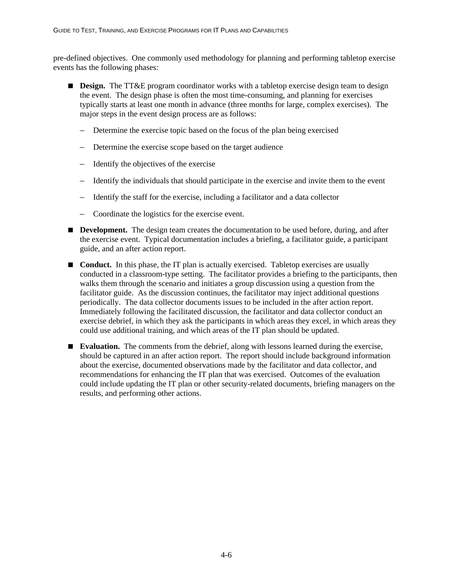pre-defined objectives. One commonly used methodology for planning and performing tabletop exercise events has the following phases:

- **Design.** The TT&E program coordinator works with a tabletop exercise design team to design the event. The design phase is often the most time-consuming, and planning for exercises typically starts at least one month in advance (three months for large, complex exercises). The major steps in the event design process are as follows:
	- Determine the exercise topic based on the focus of the plan being exercised
	- Determine the exercise scope based on the target audience
	- Identify the objectives of the exercise
	- Identify the individuals that should participate in the exercise and invite them to the event
	- Identify the staff for the exercise, including a facilitator and a data collector
	- Coordinate the logistics for the exercise event.
- **Development.** The design team creates the documentation to be used before, during, and after the exercise event. Typical documentation includes a briefing, a facilitator guide, a participant guide, and an after action report.
- **Conduct.** In this phase, the IT plan is actually exercised. Tabletop exercises are usually conducted in a classroom-type setting. The facilitator provides a briefing to the participants, then walks them through the scenario and initiates a group discussion using a question from the facilitator guide. As the discussion continues, the facilitator may inject additional questions periodically. The data collector documents issues to be included in the after action report. Immediately following the facilitated discussion, the facilitator and data collector conduct an exercise debrief, in which they ask the participants in which areas they excel, in which areas they could use additional training, and which areas of the IT plan should be updated.
- **Evaluation.** The comments from the debrief, along with lessons learned during the exercise, should be captured in an after action report. The report should include background information about the exercise, documented observations made by the facilitator and data collector, and recommendations for enhancing the IT plan that was exercised. Outcomes of the evaluation could include updating the IT plan or other security-related documents, briefing managers on the results, and performing other actions.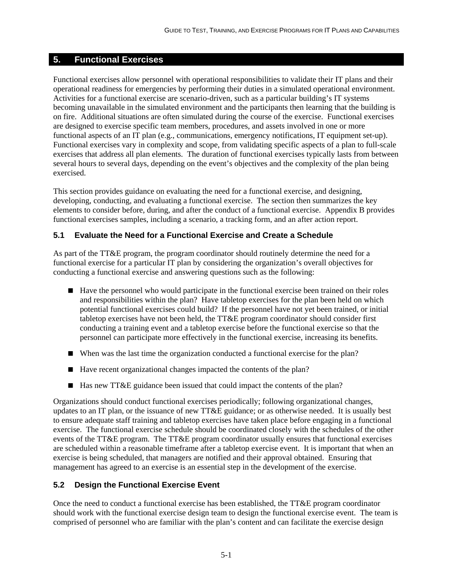#### <span id="page-26-0"></span>**5. Functional Exercises**

Functional exercises allow personnel with operational responsibilities to validate their IT plans and their operational readiness for emergencies by performing their duties in a simulated operational environment. Activities for a functional exercise are scenario-driven, such as a particular building's IT systems becoming unavailable in the simulated environment and the participants then learning that the building is on fire. Additional situations are often simulated during the course of the exercise. Functional exercises are designed to exercise specific team members, procedures, and assets involved in one or more functional aspects of an IT plan (e.g., communications, emergency notifications, IT equipment set-up). Functional exercises vary in complexity and scope, from validating specific aspects of a plan to full-scale exercises that address all plan elements. The duration of functional exercises typically lasts from between several hours to several days, depending on the event's objectives and the complexity of the plan being exercised.

This section provides guidance on evaluating the need for a functional exercise, and designing, developing, conducting, and evaluating a functional exercise. The section then summarizes the key elements to consider before, during, and after the conduct of a functional exercise. Appendix B provides functional exercises samples, including a scenario, a tracking form, and an after action report.

#### **5.1 Evaluate the Need for a Functional Exercise and Create a Schedule**

As part of the TT&E program, the program coordinator should routinely determine the need for a functional exercise for a particular IT plan by considering the organization's overall objectives for conducting a functional exercise and answering questions such as the following:

- Have the personnel who would participate in the functional exercise been trained on their roles and responsibilities within the plan? Have tabletop exercises for the plan been held on which potential functional exercises could build? If the personnel have not yet been trained, or initial tabletop exercises have not been held, the TT&E program coordinator should consider first conducting a training event and a tabletop exercise before the functional exercise so that the personnel can participate more effectively in the functional exercise, increasing its benefits.
- When was the last time the organization conducted a functional exercise for the plan?
- $\blacksquare$  Have recent organizational changes impacted the contents of the plan?
- $\blacksquare$  Has new TT&E guidance been issued that could impact the contents of the plan?

Organizations should conduct functional exercises periodically; following organizational changes, updates to an IT plan, or the issuance of new TT&E guidance; or as otherwise needed. It is usually best to ensure adequate staff training and tabletop exercises have taken place before engaging in a functional exercise. The functional exercise schedule should be coordinated closely with the schedules of the other events of the TT&E program. The TT&E program coordinator usually ensures that functional exercises are scheduled within a reasonable timeframe after a tabletop exercise event. It is important that when an exercise is being scheduled, that managers are notified and their approval obtained. Ensuring that management has agreed to an exercise is an essential step in the development of the exercise.

#### **5.2 Design the Functional Exercise Event**

Once the need to conduct a functional exercise has been established, the TT&E program coordinator should work with the functional exercise design team to design the functional exercise event. The team is comprised of personnel who are familiar with the plan's content and can facilitate the exercise design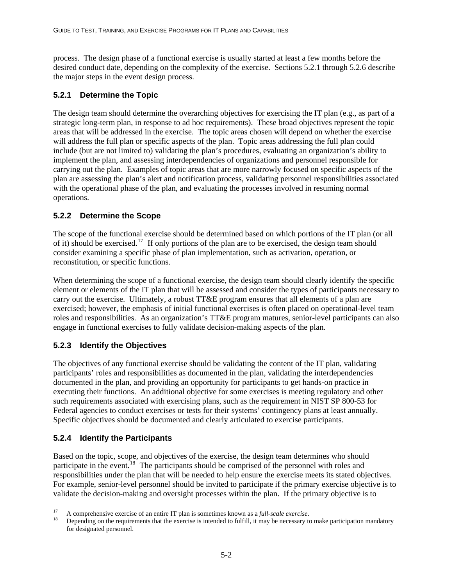<span id="page-27-0"></span>process. The design phase of a functional exercise is usually started at least a few months before the desired conduct date, depending on the complexity of the exercise. Sections 5.2.1 through 5.2.6 describe the major steps in the event design process.

#### **5.2.1 Determine the Topic**

The design team should determine the overarching objectives for exercising the IT plan (e.g., as part of a strategic long-term plan, in response to ad hoc requirements). These broad objectives represent the topic areas that will be addressed in the exercise. The topic areas chosen will depend on whether the exercise will address the full plan or specific aspects of the plan. Topic areas addressing the full plan could include (but are not limited to) validating the plan's procedures, evaluating an organization's ability to implement the plan, and assessing interdependencies of organizations and personnel responsible for carrying out the plan. Examples of topic areas that are more narrowly focused on specific aspects of the plan are assessing the plan's alert and notification process, validating personnel responsibilities associated with the operational phase of the plan, and evaluating the processes involved in resuming normal operations.

#### **5.2.2 Determine the Scope**

The scope of the functional exercise should be determined based on which portions of the IT plan (or all of it) should be exercised.<sup>[17](#page-27-0)</sup> If only portions of the plan are to be exercised, the design team should consider examining a specific phase of plan implementation, such as activation, operation, or reconstitution, or specific functions.

When determining the scope of a functional exercise, the design team should clearly identify the specific element or elements of the IT plan that will be assessed and consider the types of participants necessary to carry out the exercise. Ultimately, a robust TT&E program ensures that all elements of a plan are exercised; however, the emphasis of initial functional exercises is often placed on operational-level team roles and responsibilities. As an organization's TT&E program matures, senior-level participants can also engage in functional exercises to fully validate decision-making aspects of the plan.

#### **5.2.3 Identify the Objectives**

The objectives of any functional exercise should be validating the content of the IT plan, validating participants' roles and responsibilities as documented in the plan, validating the interdependencies documented in the plan, and providing an opportunity for participants to get hands-on practice in executing their functions. An additional objective for some exercises is meeting regulatory and other such requirements associated with exercising plans, such as the requirement in NIST SP 800-53 for Federal agencies to conduct exercises or tests for their systems' contingency plans at least annually. Specific objectives should be documented and clearly articulated to exercise participants.

#### **5.2.4 Identify the Participants**

Based on the topic, scope, and objectives of the exercise, the design team determines who should participate in the event.<sup>[18](#page-27-0)</sup> The participants should be comprised of the personnel with roles and responsibilities under the plan that will be needed to help ensure the exercise meets its stated objectives. For example, senior-level personnel should be invited to participate if the primary exercise objective is to validate the decision-making and oversight processes within the plan. If the primary objective is to

 $17$ 

<sup>&</sup>lt;sup>17</sup> A comprehensive exercise of an entire IT plan is sometimes known as a *full-scale exercise*.<br><sup>18</sup> Depending on the requirements that the exercise is intended to fulfill, it may be necessary to make participation mand for designated personnel.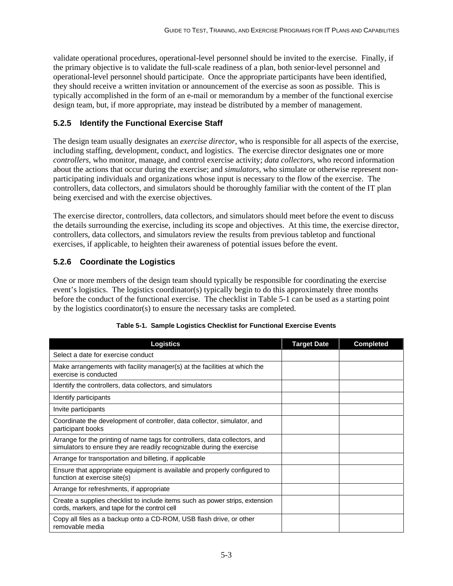<span id="page-28-0"></span>validate operational procedures, operational-level personnel should be invited to the exercise. Finally, if the primary objective is to validate the full-scale readiness of a plan, both senior-level personnel and operational-level personnel should participate. Once the appropriate participants have been identified, they should receive a written invitation or announcement of the exercise as soon as possible. This is typically accomplished in the form of an e-mail or memorandum by a member of the functional exercise design team, but, if more appropriate, may instead be distributed by a member of management.

#### **5.2.5 Identify the Functional Exercise Staff**

The design team usually designates an *exercise director*, who is responsible for all aspects of the exercise, including staffing, development, conduct, and logistics. The exercise director designates one or more *controllers*, who monitor, manage, and control exercise activity; *data collectors*, who record information about the actions that occur during the exercise; and *simulators*, who simulate or otherwise represent nonparticipating individuals and organizations whose input is necessary to the flow of the exercise. The controllers, data collectors, and simulators should be thoroughly familiar with the content of the IT plan being exercised and with the exercise objectives.

The exercise director, controllers, data collectors, and simulators should meet before the event to discuss the details surrounding the exercise, including its scope and objectives. At this time, the exercise director, controllers, data collectors, and simulators review the results from previous tabletop and functional exercises, if applicable, to heighten their awareness of potential issues before the event.

#### **5.2.6 Coordinate the Logistics**

One or more members of the design team should typically be responsible for coordinating the exercise event's logistics. The logistics coordinator(s) typically begin to do this approximately three months before the conduct of the functional exercise. The checklist in Table 5-1 can be used as a starting point by the logistics coordinator(s) to ensure the necessary tasks are completed.

| <b>Logistics</b>                                                                                                                                      | <b>Target Date</b> | <b>Completed</b> |
|-------------------------------------------------------------------------------------------------------------------------------------------------------|--------------------|------------------|
| Select a date for exercise conduct                                                                                                                    |                    |                  |
| Make arrangements with facility manager(s) at the facilities at which the<br>exercise is conducted                                                    |                    |                  |
| Identify the controllers, data collectors, and simulators                                                                                             |                    |                  |
| Identify participants                                                                                                                                 |                    |                  |
| Invite participants                                                                                                                                   |                    |                  |
| Coordinate the development of controller, data collector, simulator, and<br>participant books                                                         |                    |                  |
| Arrange for the printing of name tags for controllers, data collectors, and<br>simulators to ensure they are readily recognizable during the exercise |                    |                  |
| Arrange for transportation and billeting, if applicable                                                                                               |                    |                  |
| Ensure that appropriate equipment is available and properly configured to<br>function at exercise site(s)                                             |                    |                  |
| Arrange for refreshments, if appropriate                                                                                                              |                    |                  |
| Create a supplies checklist to include items such as power strips, extension<br>cords, markers, and tape for the control cell                         |                    |                  |
| Copy all files as a backup onto a CD-ROM, USB flash drive, or other<br>removable media                                                                |                    |                  |

#### **Table 5-1. Sample Logistics Checklist for Functional Exercise Events**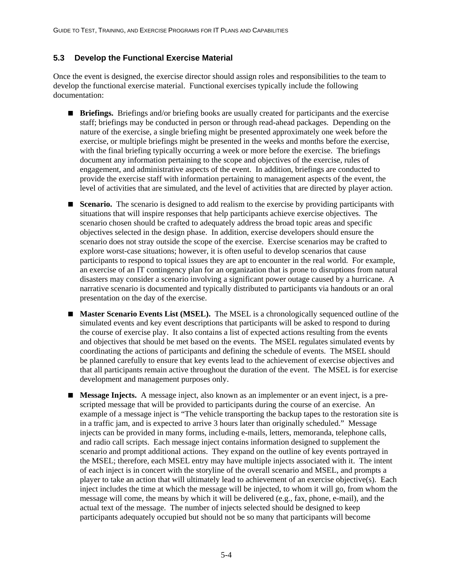#### <span id="page-29-0"></span>**5.3 Develop the Functional Exercise Material**

Once the event is designed, the exercise director should assign roles and responsibilities to the team to develop the functional exercise material. Functional exercises typically include the following documentation:

- **Briefings.** Briefings and/or briefing books are usually created for participants and the exercise staff; briefings may be conducted in person or through read-ahead packages. Depending on the nature of the exercise, a single briefing might be presented approximately one week before the exercise, or multiple briefings might be presented in the weeks and months before the exercise, with the final briefing typically occurring a week or more before the exercise. The briefings document any information pertaining to the scope and objectives of the exercise, rules of engagement, and administrative aspects of the event. In addition, briefings are conducted to provide the exercise staff with information pertaining to management aspects of the event, the level of activities that are simulated, and the level of activities that are directed by player action.
- **Scenario.** The scenario is designed to add realism to the exercise by providing participants with situations that will inspire responses that help participants achieve exercise objectives. The scenario chosen should be crafted to adequately address the broad topic areas and specific objectives selected in the design phase. In addition, exercise developers should ensure the scenario does not stray outside the scope of the exercise. Exercise scenarios may be crafted to explore worst-case situations; however, it is often useful to develop scenarios that cause participants to respond to topical issues they are apt to encounter in the real world. For example, an exercise of an IT contingency plan for an organization that is prone to disruptions from natural disasters may consider a scenario involving a significant power outage caused by a hurricane. A narrative scenario is documented and typically distributed to participants via handouts or an oral presentation on the day of the exercise.
- **Master Scenario Events List (MSEL).** The MSEL is a chronologically sequenced outline of the simulated events and key event descriptions that participants will be asked to respond to during the course of exercise play. It also contains a list of expected actions resulting from the events and objectives that should be met based on the events.The MSEL regulates simulated events by coordinating the actions of participants and defining the schedule of events. The MSEL should be planned carefully to ensure that key events lead to the achievement of exercise objectives and that all participants remain active throughout the duration of the event. The MSEL is for exercise development and management purposes only.
- **Message Injects.** A message inject, also known as an implementer or an event inject, is a prescripted message that will be provided to participants during the course of an exercise. An example of a message inject is "The vehicle transporting the backup tapes to the restoration site is in a traffic jam, and is expected to arrive 3 hours later than originally scheduled." Message injects can be provided in many forms, including e-mails, letters, memoranda, telephone calls, and radio call scripts. Each message inject contains information designed to supplement the scenario and prompt additional actions. They expand on the outline of key events portrayed in the MSEL; therefore, each MSEL entry may have multiple injects associated with it. The intent of each inject is in concert with the storyline of the overall scenario and MSEL, and prompts a player to take an action that will ultimately lead to achievement of an exercise objective(s). Each inject includes the time at which the message will be injected, to whom it will go, from whom the message will come, the means by which it will be delivered (e.g., fax, phone, e-mail), and the actual text of the message. The number of injects selected should be designed to keep participants adequately occupied but should not be so many that participants will become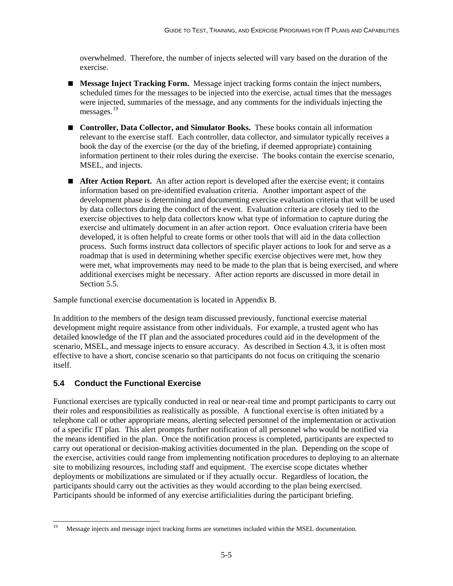<span id="page-30-0"></span>overwhelmed. Therefore, the number of injects selected will vary based on the duration of the exercise.

- **Message Inject Tracking Form.** Message inject tracking forms contain the inject numbers, scheduled times for the messages to be injected into the exercise, actual times that the messages were injected, summaries of the message, and any comments for the individuals injecting the messages.<sup>[19](#page-30-0)</sup>
- **Controller, Data Collector, and Simulator Books.** These books contain all information relevant to the exercise staff. Each controller, data collector, and simulator typically receives a book the day of the exercise (or the day of the briefing, if deemed appropriate) containing information pertinent to their roles during the exercise. The books contain the exercise scenario, MSEL, and injects.
- **After Action Report.** An after action report is developed after the exercise event; it contains information based on pre-identified evaluation criteria. Another important aspect of the development phase is determining and documenting exercise evaluation criteria that will be used by data collectors during the conduct of the event. Evaluation criteria are closely tied to the exercise objectives to help data collectors know what type of information to capture during the exercise and ultimately document in an after action report. Once evaluation criteria have been developed, it is often helpful to create forms or other tools that will aid in the data collection process. Such forms instruct data collectors of specific player actions to look for and serve as a roadmap that is used in determining whether specific exercise objectives were met, how they were met, what improvements may need to be made to the plan that is being exercised, and where additional exercises might be necessary. After action reports are discussed in more detail in Section 5.5.

Sample functional exercise documentation is located in Appendix B.

In addition to the members of the design team discussed previously, functional exercise material development might require assistance from other individuals. For example, a trusted agent who has detailed knowledge of the IT plan and the associated procedures could aid in the development of the scenario, MSEL, and message injects to ensure accuracy. As described in Section 4.3, it is often most effective to have a short, concise scenario so that participants do not focus on critiquing the scenario itself.

#### **5.4 Conduct the Functional Exercise**

Functional exercises are typically conducted in real or near-real time and prompt participants to carry out their roles and responsibilities as realistically as possible. A functional exercise is often initiated by a telephone call or other appropriate means, alerting selected personnel of the implementation or activation of a specific IT plan. This alert prompts further notification of all personnel who would be notified via the means identified in the plan. Once the notification process is completed, participants are expected to carry out operational or decision-making activities documented in the plan. Depending on the scope of the exercise, activities could range from implementing notification procedures to deploying to an alternate site to mobilizing resources, including staff and equipment. The exercise scope dictates whether deployments or mobilizations are simulated or if they actually occur. Regardless of location, the participants should carry out the activities as they would according to the plan being exercised. Participants should be informed of any exercise artificialities during the participant briefing.

l 19 Message injects and message inject tracking forms are sometimes included within the MSEL documentation.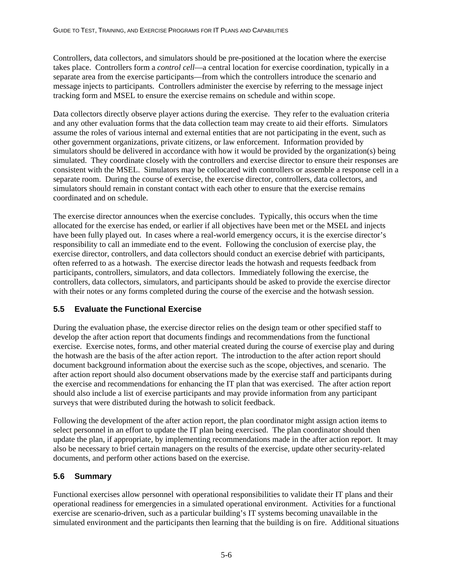<span id="page-31-0"></span>Controllers, data collectors, and simulators should be pre-positioned at the location where the exercise takes place. Controllers form a *control cell*—a central location for exercise coordination, typically in a separate area from the exercise participants—from which the controllers introduce the scenario and message injects to participants. Controllers administer the exercise by referring to the message inject tracking form and MSEL to ensure the exercise remains on schedule and within scope.

Data collectors directly observe player actions during the exercise. They refer to the evaluation criteria and any other evaluation forms that the data collection team may create to aid their efforts. Simulators assume the roles of various internal and external entities that are not participating in the event, such as other government organizations, private citizens, or law enforcement. Information provided by simulators should be delivered in accordance with how it would be provided by the organization(s) being simulated. They coordinate closely with the controllers and exercise director to ensure their responses are consistent with the MSEL. Simulators may be collocated with controllers or assemble a response cell in a separate room. During the course of exercise, the exercise director, controllers, data collectors, and simulators should remain in constant contact with each other to ensure that the exercise remains coordinated and on schedule.

The exercise director announces when the exercise concludes. Typically, this occurs when the time allocated for the exercise has ended, or earlier if all objectives have been met or the MSEL and injects have been fully played out. In cases where a real-world emergency occurs, it is the exercise director's responsibility to call an immediate end to the event. Following the conclusion of exercise play, the exercise director, controllers, and data collectors should conduct an exercise debrief with participants, often referred to as a hotwash. The exercise director leads the hotwash and requests feedback from participants, controllers, simulators, and data collectors. Immediately following the exercise, the controllers, data collectors, simulators, and participants should be asked to provide the exercise director with their notes or any forms completed during the course of the exercise and the hotwash session.

#### **5.5 Evaluate the Functional Exercise**

During the evaluation phase, the exercise director relies on the design team or other specified staff to develop the after action report that documents findings and recommendations from the functional exercise. Exercise notes, forms, and other material created during the course of exercise play and during the hotwash are the basis of the after action report. The introduction to the after action report should document background information about the exercise such as the scope, objectives, and scenario. The after action report should also document observations made by the exercise staff and participants during the exercise and recommendations for enhancing the IT plan that was exercised. The after action report should also include a list of exercise participants and may provide information from any participant surveys that were distributed during the hotwash to solicit feedback.

Following the development of the after action report, the plan coordinator might assign action items to select personnel in an effort to update the IT plan being exercised. The plan coordinator should then update the plan, if appropriate, by implementing recommendations made in the after action report. It may also be necessary to brief certain managers on the results of the exercise, update other security-related documents, and perform other actions based on the exercise.

#### **5.6 Summary**

Functional exercises allow personnel with operational responsibilities to validate their IT plans and their operational readiness for emergencies in a simulated operational environment. Activities for a functional exercise are scenario-driven, such as a particular building's IT systems becoming unavailable in the simulated environment and the participants then learning that the building is on fire. Additional situations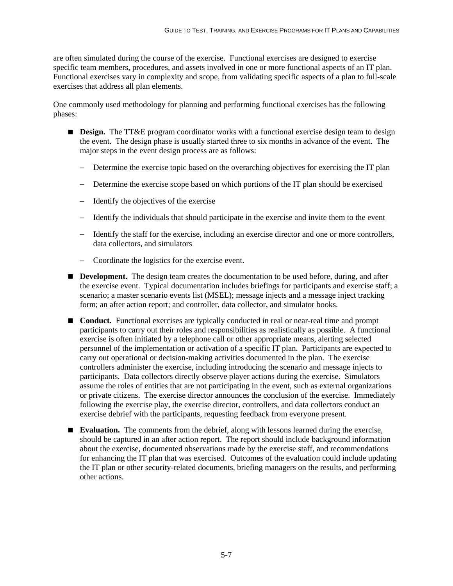are often simulated during the course of the exercise. Functional exercises are designed to exercise specific team members, procedures, and assets involved in one or more functional aspects of an IT plan. Functional exercises vary in complexity and scope, from validating specific aspects of a plan to full-scale exercises that address all plan elements.

One commonly used methodology for planning and performing functional exercises has the following phases:

- **Design.** The TT&E program coordinator works with a functional exercise design team to design the event. The design phase is usually started three to six months in advance of the event. The major steps in the event design process are as follows:
	- Determine the exercise topic based on the overarching objectives for exercising the IT plan
	- Determine the exercise scope based on which portions of the IT plan should be exercised
	- Identify the objectives of the exercise
	- Identify the individuals that should participate in the exercise and invite them to the event
	- Identify the staff for the exercise, including an exercise director and one or more controllers, data collectors, and simulators
	- Coordinate the logistics for the exercise event.
- **Development.** The design team creates the documentation to be used before, during, and after the exercise event. Typical documentation includes briefings for participants and exercise staff; a scenario; a master scenario events list (MSEL); message injects and a message inject tracking form; an after action report; and controller, data collector, and simulator books.
- **Conduct.** Functional exercises are typically conducted in real or near-real time and prompt participants to carry out their roles and responsibilities as realistically as possible. A functional exercise is often initiated by a telephone call or other appropriate means, alerting selected personnel of the implementation or activation of a specific IT plan. Participants are expected to carry out operational or decision-making activities documented in the plan. The exercise controllers administer the exercise, including introducing the scenario and message injects to participants. Data collectors directly observe player actions during the exercise. Simulators assume the roles of entities that are not participating in the event, such as external organizations or private citizens. The exercise director announces the conclusion of the exercise. Immediately following the exercise play, the exercise director, controllers, and data collectors conduct an exercise debrief with the participants, requesting feedback from everyone present.
- **Evaluation.** The comments from the debrief, along with lessons learned during the exercise, should be captured in an after action report. The report should include background information about the exercise, documented observations made by the exercise staff, and recommendations for enhancing the IT plan that was exercised. Outcomes of the evaluation could include updating the IT plan or other security-related documents, briefing managers on the results, and performing other actions.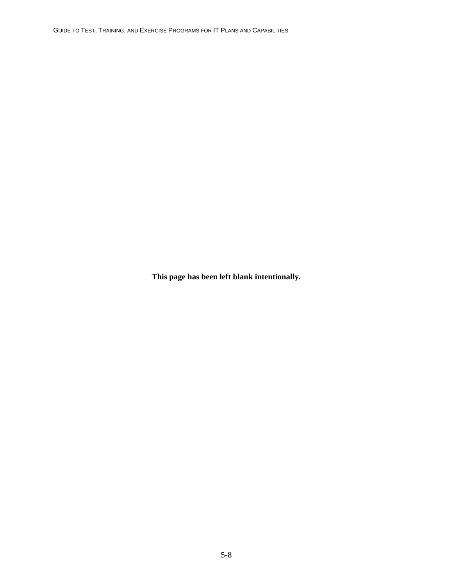**This page has been left blank intentionally.**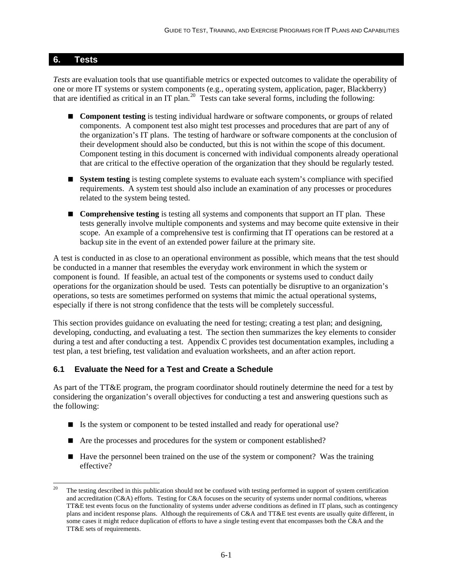#### <span id="page-34-0"></span>**6. Tests**

*Tests* are evaluation tools that use quantifiable metrics or expected outcomes to validate the operability of one or more IT systems or system components (e.g., operating system, application, pager, Blackberry) that are identified as critical in an IT plan.<sup>[20](#page-34-0)</sup> Tests can take several forms, including the following:

- **Component testing** is testing individual hardware or software components, or groups of related components. A component test also might test processes and procedures that are part of any of the organization's IT plans. The testing of hardware or software components at the conclusion of their development should also be conducted, but this is not within the scope of this document. Component testing in this document is concerned with individual components already operational that are critical to the effective operation of the organization that they should be regularly tested.
- **System testing** is testing complete systems to evaluate each system's compliance with specified requirements. A system test should also include an examination of any processes or procedures related to the system being tested.
- **Comprehensive testing** is testing all systems and components that support an IT plan. These tests generally involve multiple components and systems and may become quite extensive in their scope. An example of a comprehensive test is confirming that IT operations can be restored at a backup site in the event of an extended power failure at the primary site.

A test is conducted in as close to an operational environment as possible, which means that the test should be conducted in a manner that resembles the everyday work environment in which the system or component is found. If feasible, an actual test of the components or systems used to conduct daily operations for the organization should be used. Tests can potentially be disruptive to an organization's operations, so tests are sometimes performed on systems that mimic the actual operational systems, especially if there is not strong confidence that the tests will be completely successful.

This section provides guidance on evaluating the need for testing; creating a test plan; and designing, developing, conducting, and evaluating a test. The section then summarizes the key elements to consider during a test and after conducting a test. Appendix C provides test documentation examples, including a test plan, a test briefing, test validation and evaluation worksheets, and an after action report.

#### **6.1 Evaluate the Need for a Test and Create a Schedule**

As part of the TT&E program, the program coordinator should routinely determine the need for a test by considering the organization's overall objectives for conducting a test and answering questions such as the following:

- If Is the system or component to be tested installed and ready for operational use?
- Are the processes and procedures for the system or component established?
- Have the personnel been trained on the use of the system or component? Was the training effective?

<sup>20</sup> 20 The testing described in this publication should not be confused with testing performed in support of system certification and accreditation (C&A) efforts. Testing for C&A focuses on the security of systems under normal conditions, whereas TT&E test events focus on the functionality of systems under adverse conditions as defined in IT plans, such as contingency plans and incident response plans. Although the requirements of C&A and TT&E test events are usually quite different, in some cases it might reduce duplication of efforts to have a single testing event that encompasses both the C&A and the TT&E sets of requirements.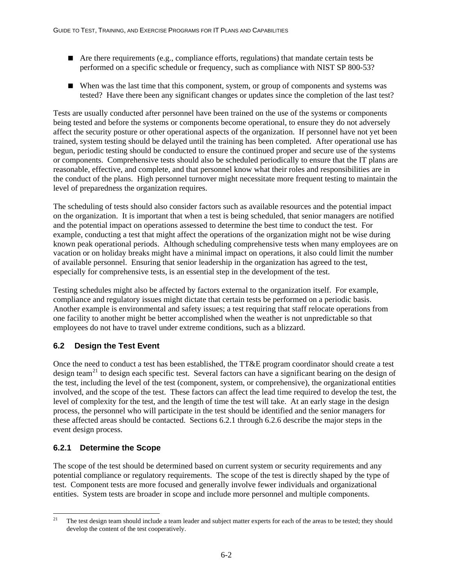- <span id="page-35-0"></span> $\blacksquare$  Are there requirements (e.g., compliance efforts, regulations) that mandate certain tests be performed on a specific schedule or frequency, such as compliance with NIST SP 800-53?
- When was the last time that this component, system, or group of components and systems was tested? Have there been any significant changes or updates since the completion of the last test?

Tests are usually conducted after personnel have been trained on the use of the systems or components being tested and before the systems or components become operational, to ensure they do not adversely affect the security posture or other operational aspects of the organization. If personnel have not yet been trained, system testing should be delayed until the training has been completed. After operational use has begun, periodic testing should be conducted to ensure the continued proper and secure use of the systems or components. Comprehensive tests should also be scheduled periodically to ensure that the IT plans are reasonable, effective, and complete, and that personnel know what their roles and responsibilities are in the conduct of the plans. High personnel turnover might necessitate more frequent testing to maintain the level of preparedness the organization requires.

The scheduling of tests should also consider factors such as available resources and the potential impact on the organization. It is important that when a test is being scheduled, that senior managers are notified and the potential impact on operations assessed to determine the best time to conduct the test. For example, conducting a test that might affect the operations of the organization might not be wise during known peak operational periods. Although scheduling comprehensive tests when many employees are on vacation or on holiday breaks might have a minimal impact on operations, it also could limit the number of available personnel. Ensuring that senior leadership in the organization has agreed to the test, especially for comprehensive tests, is an essential step in the development of the test.

Testing schedules might also be affected by factors external to the organization itself. For example, compliance and regulatory issues might dictate that certain tests be performed on a periodic basis. Another example is environmental and safety issues; a test requiring that staff relocate operations from one facility to another might be better accomplished when the weather is not unpredictable so that employees do not have to travel under extreme conditions, such as a blizzard.

#### **6.2 Design the Test Event**

Once the need to conduct a test has been established, the TT&E program coordinator should create a test design team<sup>[21](#page-35-0)</sup> to design each specific test. Several factors can have a significant bearing on the design of the test, including the level of the test (component, system, or comprehensive), the organizational entities involved, and the scope of the test. These factors can affect the lead time required to develop the test, the level of complexity for the test, and the length of time the test will take. At an early stage in the design process, the personnel who will participate in the test should be identified and the senior managers for these affected areas should be contacted. Sections 6.2.1 through 6.2.6 describe the major steps in the event design process.

#### **6.2.1 Determine the Scope**

The scope of the test should be determined based on current system or security requirements and any potential compliance or regulatory requirements. The scope of the test is directly shaped by the type of test. Component tests are more focused and generally involve fewer individuals and organizational entities. System tests are broader in scope and include more personnel and multiple components.

 $21$ 21 The test design team should include a team leader and subject matter experts for each of the areas to be tested; they should develop the content of the test cooperatively.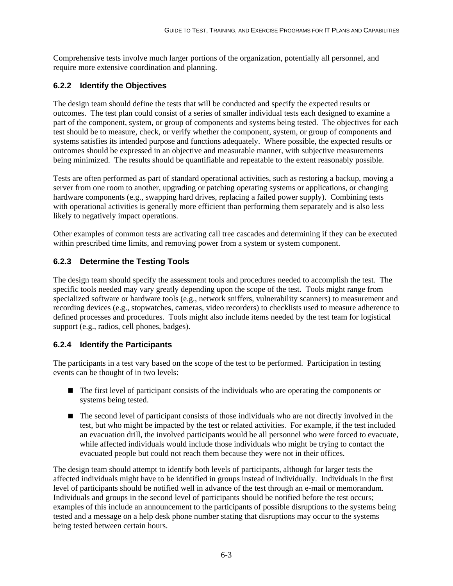Comprehensive tests involve much larger portions of the organization, potentially all personnel, and require more extensive coordination and planning.

## **6.2.2 Identify the Objectives**

The design team should define the tests that will be conducted and specify the expected results or outcomes. The test plan could consist of a series of smaller individual tests each designed to examine a part of the component, system, or group of components and systems being tested. The objectives for each test should be to measure, check, or verify whether the component, system, or group of components and systems satisfies its intended purpose and functions adequately. Where possible, the expected results or outcomes should be expressed in an objective and measurable manner, with subjective measurements being minimized. The results should be quantifiable and repeatable to the extent reasonably possible.

Tests are often performed as part of standard operational activities, such as restoring a backup, moving a server from one room to another, upgrading or patching operating systems or applications, or changing hardware components (e.g., swapping hard drives, replacing a failed power supply). Combining tests with operational activities is generally more efficient than performing them separately and is also less likely to negatively impact operations.

Other examples of common tests are activating call tree cascades and determining if they can be executed within prescribed time limits, and removing power from a system or system component.

### **6.2.3 Determine the Testing Tools**

The design team should specify the assessment tools and procedures needed to accomplish the test. The specific tools needed may vary greatly depending upon the scope of the test. Tools might range from specialized software or hardware tools (e.g., network sniffers, vulnerability scanners) to measurement and recording devices (e.g., stopwatches, cameras, video recorders) to checklists used to measure adherence to defined processes and procedures. Tools might also include items needed by the test team for logistical support (e.g., radios, cell phones, badges).

### **6.2.4 Identify the Participants**

The participants in a test vary based on the scope of the test to be performed. Participation in testing events can be thought of in two levels:

- The first level of participant consists of the individuals who are operating the components or systems being tested.
- The second level of participant consists of those individuals who are not directly involved in the test, but who might be impacted by the test or related activities. For example, if the test included an evacuation drill, the involved participants would be all personnel who were forced to evacuate, while affected individuals would include those individuals who might be trying to contact the evacuated people but could not reach them because they were not in their offices.

The design team should attempt to identify both levels of participants, although for larger tests the affected individuals might have to be identified in groups instead of individually. Individuals in the first level of participants should be notified well in advance of the test through an e-mail or memorandum. Individuals and groups in the second level of participants should be notified before the test occurs; examples of this include an announcement to the participants of possible disruptions to the systems being tested and a message on a help desk phone number stating that disruptions may occur to the systems being tested between certain hours.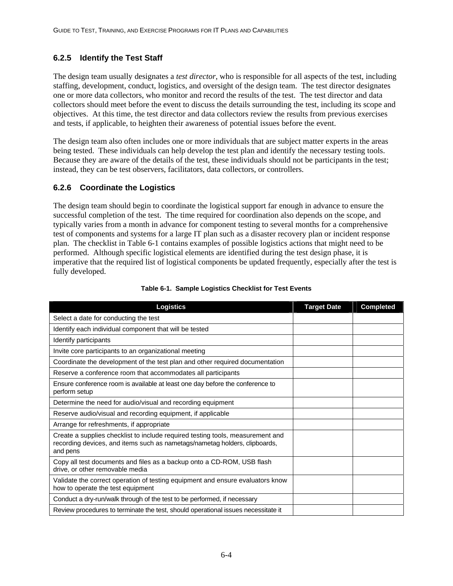# **6.2.5 Identify the Test Staff**

The design team usually designates a *test director*, who is responsible for all aspects of the test, including staffing, development, conduct, logistics, and oversight of the design team. The test director designates one or more data collectors, who monitor and record the results of the test. The test director and data collectors should meet before the event to discuss the details surrounding the test, including its scope and objectives. At this time, the test director and data collectors review the results from previous exercises and tests, if applicable, to heighten their awareness of potential issues before the event.

The design team also often includes one or more individuals that are subject matter experts in the areas being tested. These individuals can help develop the test plan and identify the necessary testing tools. Because they are aware of the details of the test, these individuals should not be participants in the test; instead, they can be test observers, facilitators, data collectors, or controllers.

# **6.2.6 Coordinate the Logistics**

The design team should begin to coordinate the logistical support far enough in advance to ensure the successful completion of the test. The time required for coordination also depends on the scope, and typically varies from a month in advance for component testing to several months for a comprehensive test of components and systems for a large IT plan such as a disaster recovery plan or incident response plan. The checklist in Table 6-1 contains examples of possible logistics actions that might need to be performed. Although specific logistical elements are identified during the test design phase, it is imperative that the required list of logistical components be updated frequently, especially after the test is fully developed.

| <b>Logistics</b>                                                                                                                                                         | <b>Target Date</b> | <b>Completed</b> |
|--------------------------------------------------------------------------------------------------------------------------------------------------------------------------|--------------------|------------------|
| Select a date for conducting the test                                                                                                                                    |                    |                  |
| Identify each individual component that will be tested                                                                                                                   |                    |                  |
| Identify participants                                                                                                                                                    |                    |                  |
| Invite core participants to an organizational meeting                                                                                                                    |                    |                  |
| Coordinate the development of the test plan and other required documentation                                                                                             |                    |                  |
| Reserve a conference room that accommodates all participants                                                                                                             |                    |                  |
| Ensure conference room is available at least one day before the conference to<br>perform setup                                                                           |                    |                  |
| Determine the need for audio/visual and recording equipment                                                                                                              |                    |                  |
| Reserve audio/visual and recording equipment, if applicable                                                                                                              |                    |                  |
| Arrange for refreshments, if appropriate                                                                                                                                 |                    |                  |
| Create a supplies checklist to include required testing tools, measurement and<br>recording devices, and items such as nametags/nametag holders, clipboards,<br>and pens |                    |                  |
| Copy all test documents and files as a backup onto a CD-ROM, USB flash<br>drive, or other removable media                                                                |                    |                  |
| Validate the correct operation of testing equipment and ensure evaluators know<br>how to operate the test equipment                                                      |                    |                  |
| Conduct a dry-run/walk through of the test to be performed, if necessary                                                                                                 |                    |                  |
| Review procedures to terminate the test, should operational issues necessitate it                                                                                        |                    |                  |

#### **Table 6-1. Sample Logistics Checklist for Test Events**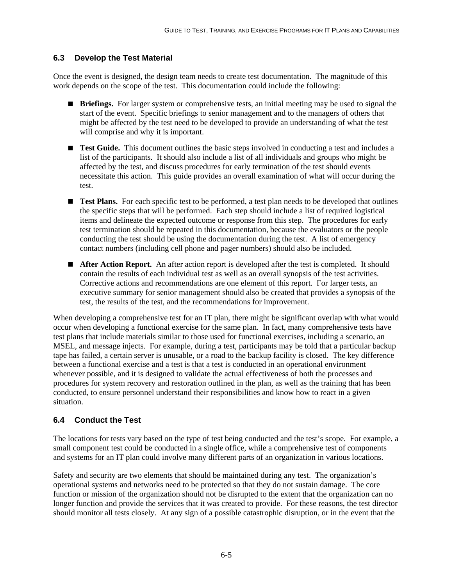### **6.3 Develop the Test Material**

Once the event is designed, the design team needs to create test documentation. The magnitude of this work depends on the scope of the test. This documentation could include the following:

- **Briefings.** For larger system or comprehensive tests, an initial meeting may be used to signal the start of the event. Specific briefings to senior management and to the managers of others that might be affected by the test need to be developed to provide an understanding of what the test will comprise and why it is important.
- **Test Guide.** This document outlines the basic steps involved in conducting a test and includes a list of the participants. It should also include a list of all individuals and groups who might be affected by the test, and discuss procedures for early termination of the test should events necessitate this action. This guide provides an overall examination of what will occur during the test.
- **Test Plans.** For each specific test to be performed, a test plan needs to be developed that outlines the specific steps that will be performed. Each step should include a list of required logistical items and delineate the expected outcome or response from this step. The procedures for early test termination should be repeated in this documentation, because the evaluators or the people conducting the test should be using the documentation during the test. A list of emergency contact numbers (including cell phone and pager numbers) should also be included.
- **After Action Report.** An after action report is developed after the test is completed. It should contain the results of each individual test as well as an overall synopsis of the test activities. Corrective actions and recommendations are one element of this report. For larger tests, an executive summary for senior management should also be created that provides a synopsis of the test, the results of the test, and the recommendations for improvement.

When developing a comprehensive test for an IT plan, there might be significant overlap with what would occur when developing a functional exercise for the same plan. In fact, many comprehensive tests have test plans that include materials similar to those used for functional exercises, including a scenario, an MSEL, and message injects. For example, during a test, participants may be told that a particular backup tape has failed, a certain server is unusable, or a road to the backup facility is closed. The key difference between a functional exercise and a test is that a test is conducted in an operational environment whenever possible, and it is designed to validate the actual effectiveness of both the processes and procedures for system recovery and restoration outlined in the plan, as well as the training that has been conducted, to ensure personnel understand their responsibilities and know how to react in a given situation.

### **6.4 Conduct the Test**

The locations for tests vary based on the type of test being conducted and the test's scope. For example, a small component test could be conducted in a single office, while a comprehensive test of components and systems for an IT plan could involve many different parts of an organization in various locations.

Safety and security are two elements that should be maintained during any test. The organization's operational systems and networks need to be protected so that they do not sustain damage. The core function or mission of the organization should not be disrupted to the extent that the organization can no longer function and provide the services that it was created to provide. For these reasons, the test director should monitor all tests closely. At any sign of a possible catastrophic disruption, or in the event that the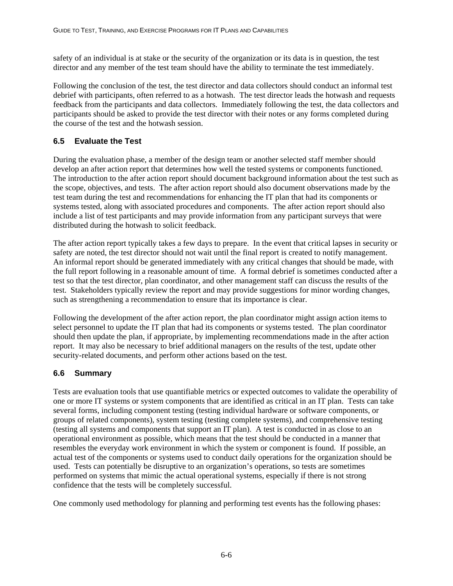safety of an individual is at stake or the security of the organization or its data is in question, the test director and any member of the test team should have the ability to terminate the test immediately.

Following the conclusion of the test, the test director and data collectors should conduct an informal test debrief with participants, often referred to as a hotwash. The test director leads the hotwash and requests feedback from the participants and data collectors. Immediately following the test, the data collectors and participants should be asked to provide the test director with their notes or any forms completed during the course of the test and the hotwash session.

# **6.5 Evaluate the Test**

During the evaluation phase, a member of the design team or another selected staff member should develop an after action report that determines how well the tested systems or components functioned. The introduction to the after action report should document background information about the test such as the scope, objectives, and tests. The after action report should also document observations made by the test team during the test and recommendations for enhancing the IT plan that had its components or systems tested, along with associated procedures and components. The after action report should also include a list of test participants and may provide information from any participant surveys that were distributed during the hotwash to solicit feedback.

The after action report typically takes a few days to prepare. In the event that critical lapses in security or safety are noted, the test director should not wait until the final report is created to notify management. An informal report should be generated immediately with any critical changes that should be made, with the full report following in a reasonable amount of time. A formal debrief is sometimes conducted after a test so that the test director, plan coordinator, and other management staff can discuss the results of the test. Stakeholders typically review the report and may provide suggestions for minor wording changes, such as strengthening a recommendation to ensure that its importance is clear.

Following the development of the after action report, the plan coordinator might assign action items to select personnel to update the IT plan that had its components or systems tested. The plan coordinator should then update the plan, if appropriate, by implementing recommendations made in the after action report. It may also be necessary to brief additional managers on the results of the test, update other security-related documents, and perform other actions based on the test.

### **6.6 Summary**

Tests are evaluation tools that use quantifiable metrics or expected outcomes to validate the operability of one or more IT systems or system components that are identified as critical in an IT plan. Tests can take several forms, including component testing (testing individual hardware or software components, or groups of related components), system testing (testing complete systems), and comprehensive testing (testing all systems and components that support an IT plan). A test is conducted in as close to an operational environment as possible, which means that the test should be conducted in a manner that resembles the everyday work environment in which the system or component is found. If possible, an actual test of the components or systems used to conduct daily operations for the organization should be used. Tests can potentially be disruptive to an organization's operations, so tests are sometimes performed on systems that mimic the actual operational systems, especially if there is not strong confidence that the tests will be completely successful.

One commonly used methodology for planning and performing test events has the following phases: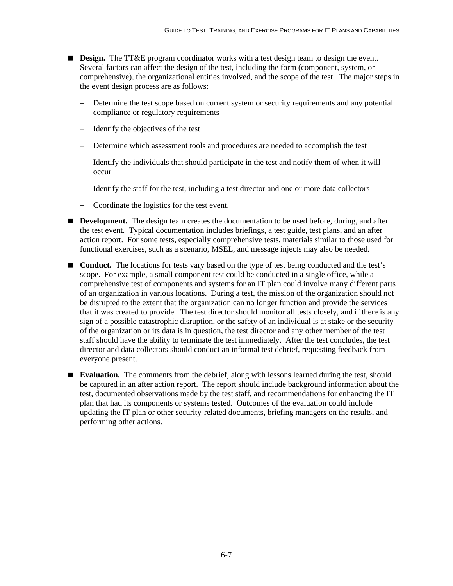- **Design.** The TT&E program coordinator works with a test design team to design the event. Several factors can affect the design of the test, including the form (component, system, or comprehensive), the organizational entities involved, and the scope of the test. The major steps in the event design process are as follows:
	- Determine the test scope based on current system or security requirements and any potential compliance or regulatory requirements
	- Identify the objectives of the test
	- Determine which assessment tools and procedures are needed to accomplish the test
	- Identify the individuals that should participate in the test and notify them of when it will occur
	- Identify the staff for the test, including a test director and one or more data collectors
	- Coordinate the logistics for the test event.
- **Development.** The design team creates the documentation to be used before, during, and after the test event. Typical documentation includes briefings, a test guide, test plans, and an after action report. For some tests, especially comprehensive tests, materials similar to those used for functional exercises, such as a scenario, MSEL, and message injects may also be needed.
- **Conduct.** The locations for tests vary based on the type of test being conducted and the test's scope. For example, a small component test could be conducted in a single office, while a comprehensive test of components and systems for an IT plan could involve many different parts of an organization in various locations. During a test, the mission of the organization should not be disrupted to the extent that the organization can no longer function and provide the services that it was created to provide. The test director should monitor all tests closely, and if there is any sign of a possible catastrophic disruption, or the safety of an individual is at stake or the security of the organization or its data is in question, the test director and any other member of the test staff should have the ability to terminate the test immediately. After the test concludes, the test director and data collectors should conduct an informal test debrief, requesting feedback from everyone present.
- **Evaluation.** The comments from the debrief, along with lessons learned during the test, should be captured in an after action report. The report should include background information about the test, documented observations made by the test staff, and recommendations for enhancing the IT plan that had its components or systems tested. Outcomes of the evaluation could include updating the IT plan or other security-related documents, briefing managers on the results, and performing other actions.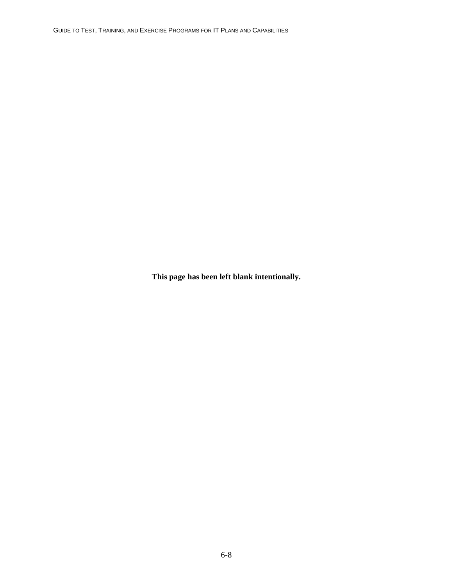**This page has been left blank intentionally.**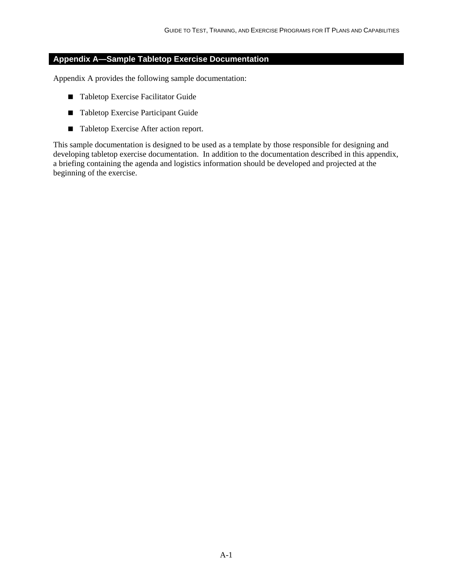## **Appendix A—Sample Tabletop Exercise Documentation**

Appendix A provides the following sample documentation:

- Tabletop Exercise Facilitator Guide
- Tabletop Exercise Participant Guide
- Tabletop Exercise After action report.

This sample documentation is designed to be used as a template by those responsible for designing and developing tabletop exercise documentation. In addition to the documentation described in this appendix, a briefing containing the agenda and logistics information should be developed and projected at the beginning of the exercise.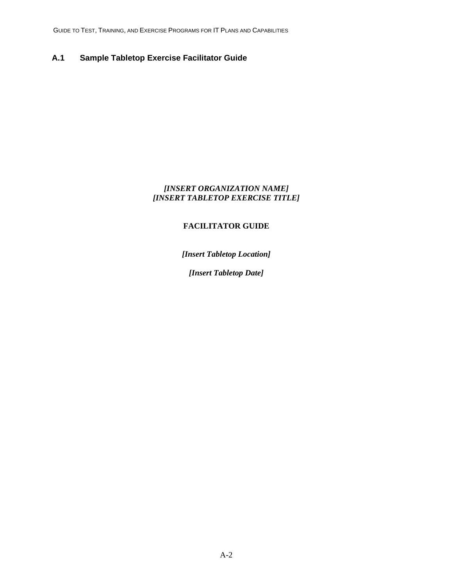GUIDE TO TEST, TRAINING, AND EXERCISE PROGRAMS FOR IT PLANS AND CAPABILITIES

# **A.1 Sample Tabletop Exercise Facilitator Guide**

## *[INSERT ORGANIZATION NAME] [INSERT TABLETOP EXERCISE TITLE]*

### **FACILITATOR GUIDE**

*[Insert Tabletop Location]* 

*[Insert Tabletop Date]*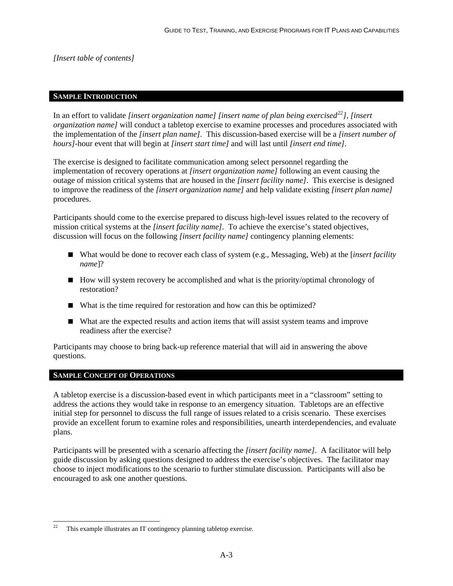<span id="page-44-0"></span>*[Insert table of contents]* 

### **SAMPLE INTRODUCTION**

In an effort to validate *[insert organization name] [insert name of plan being exercised[22](#page-44-0)], [insert organization name]* will conduct a tabletop exercise to examine processes and procedures associated with the implementation of the *[insert plan name]*. This discussion-based exercise will be a *[insert number of hours]*-hour event that will begin at *[insert start time]* and will last until *[insert end time]*.

The exercise is designed to facilitate communication among select personnel regarding the implementation of recovery operations at *[insert organization name]* following an event causing the outage of mission critical systems that are housed in the *[insert facility name]*. This exercise is designed to improve the readiness of the *[insert organization name]* and help validate existing *[insert plan name]*  procedures.

Participants should come to the exercise prepared to discuss high-level issues related to the recovery of mission critical systems at the *[insert facility name]*. To achieve the exercise's stated objectives, discussion will focus on the following *[insert facility name]* contingency planning elements:

- What would be done to recover each class of system (e.g., Messaging, Web) at the *[insert facility name*]?
- How will system recovery be accomplished and what is the priority/optimal chronology of restoration?
- What is the time required for restoration and how can this be optimized?
- What are the expected results and action items that will assist system teams and improve readiness after the exercise?

Participants may choose to bring back-up reference material that will aid in answering the above questions.

### **SAMPLE CONCEPT OF OPERATIONS**

A tabletop exercise is a discussion-based event in which participants meet in a "classroom" setting to address the actions they would take in response to an emergency situation. Tabletops are an effective initial step for personnel to discuss the full range of issues related to a crisis scenario. These exercises provide an excellent forum to examine roles and responsibilities, unearth interdependencies, and evaluate plans.

Participants will be presented with a scenario affecting the *[insert facility name]*. A facilitator will help guide discussion by asking questions designed to address the exercise's objectives. The facilitator may choose to inject modifications to the scenario to further stimulate discussion. Participants will also be encouraged to ask one another questions.

l This example illustrates an IT contingency planning tabletop exercise.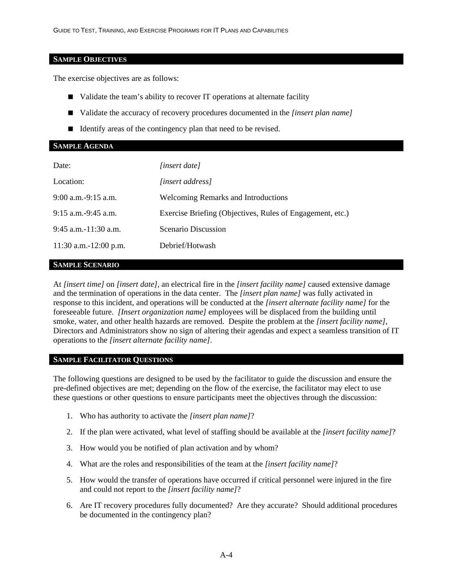### **SAMPLE OBJECTIVES**

The exercise objectives are as follows:

- Validate the team's ability to recover IT operations at alternate facility
- Validate the accuracy of recovery procedures documented in the *[insert plan name]*
- Identify areas of the contingency plan that need to be revised.

### **SAMPLE AGENDA**

| Date:                    | <i>(insert date)</i>                                      |
|--------------------------|-----------------------------------------------------------|
| Location:                | [insert address]                                          |
| $9:00$ a.m.-9:15 a.m.    | <b>Welcoming Remarks and Introductions</b>                |
| $9:15$ a.m. $-9:45$ a.m. | Exercise Briefing (Objectives, Rules of Engagement, etc.) |
| $9:45$ a.m.-11:30 a.m.   | Scenario Discussion                                       |
| 11:30 a.m.-12:00 p.m.    | Debrief/Hotwash                                           |

### **SAMPLE SCENARIO**

At *[insert time]* on *[insert date]*, an electrical fire in the *[insert facility name]* caused extensive damage and the termination of operations in the data center. The *[insert plan name]* was fully activated in response to this incident, and operations will be conducted at the *[insert alternate facility name]* for the foreseeable future. *[Insert organization name]* employees will be displaced from the building until smoke, water, and other health hazards are removed. Despite the problem at the *[insert facility name]*, Directors and Administrators show no sign of altering their agendas and expect a seamless transition of IT operations to the *[insert alternate facility name]*.

### **SAMPLE FACILITATOR QUESTIONS**

The following questions are designed to be used by the facilitator to guide the discussion and ensure the pre-defined objectives are met; depending on the flow of the exercise, the facilitator may elect to use these questions or other questions to ensure participants meet the objectives through the discussion:

- 1. Who has authority to activate the *[insert plan name]*?
- 2. If the plan were activated, what level of staffing should be available at the *[insert facility name]*?
- 3. How would you be notified of plan activation and by whom?
- 4. What are the roles and responsibilities of the team at the *[insert facility name]*?
- 5. How would the transfer of operations have occurred if critical personnel were injured in the fire and could not report to the *[insert facility name]*?
- 6. Are IT recovery procedures fully documented? Are they accurate? Should additional procedures be documented in the contingency plan?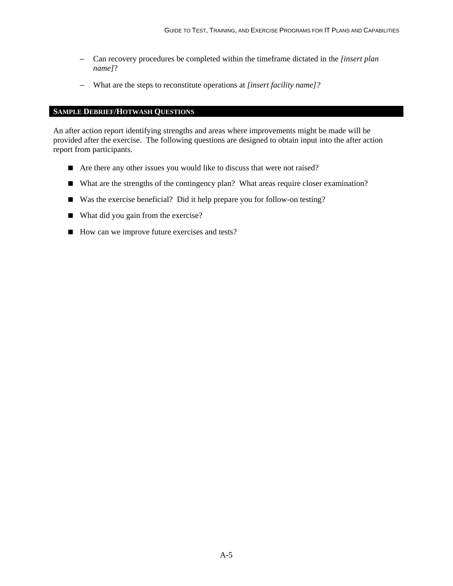- Can recovery procedures be completed within the timeframe dictated in the *[insert plan name]*?
- What are the steps to reconstitute operations at *[insert facility name]?*

### **SAMPLE DEBRIEF/HOTWASH QUESTIONS**

An after action report identifying strengths and areas where improvements might be made will be provided after the exercise. The following questions are designed to obtain input into the after action report from participants.

- Are there any other issues you would like to discuss that were not raised?
- What are the strengths of the contingency plan? What areas require closer examination?
- Was the exercise beneficial? Did it help prepare you for follow-on testing?
- What did you gain from the exercise?
- How can we improve future exercises and tests?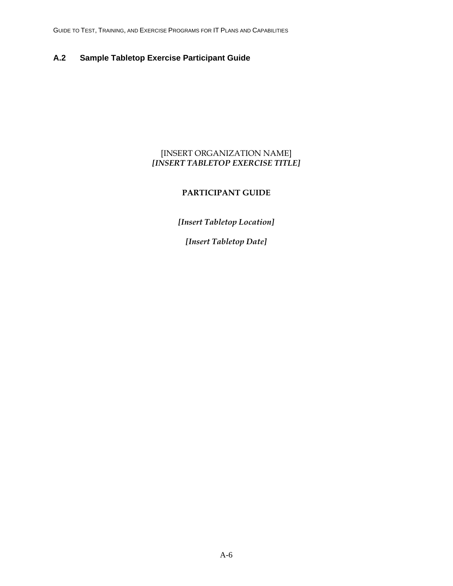# **A.2 Sample Tabletop Exercise Participant Guide**

# [INSERT ORGANIZATION NAME] *[INSERT TABLETOP EXERCISE TITLE]*

# **PARTICIPANT GUIDE**

*[Insert Tabletop Location]* 

*[Insert Tabletop Date]*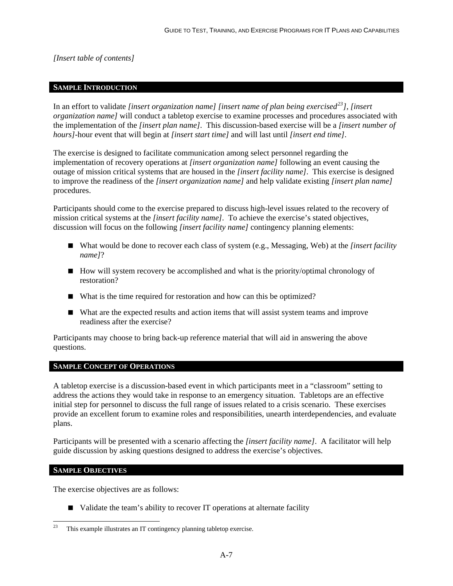### <span id="page-48-0"></span>*[Insert table of contents]*

### **SAMPLE INTRODUCTION**

In an effort to validate *[insert organization name] [insert name of plan being exercised[23](#page-48-0)], [insert organization name]* will conduct a tabletop exercise to examine processes and procedures associated with the implementation of the *[insert plan name]*. This discussion-based exercise will be a *[insert number of hours]*-hour event that will begin at *[insert start time]* and will last until *[insert end time]*.

The exercise is designed to facilitate communication among select personnel regarding the implementation of recovery operations at *[insert organization name]* following an event causing the outage of mission critical systems that are housed in the *[insert facility name]*. This exercise is designed to improve the readiness of the *[insert organization name]* and help validate existing *[insert plan name]*  procedures.

Participants should come to the exercise prepared to discuss high-level issues related to the recovery of mission critical systems at the *[insert facility name]*. To achieve the exercise's stated objectives, discussion will focus on the following *[insert facility name]* contingency planning elements:

- What would be done to recover each class of system (e.g., Messaging, Web) at the *[insert facility name]*?
- $\blacksquare$  How will system recovery be accomplished and what is the priority/optimal chronology of restoration?
- What is the time required for restoration and how can this be optimized?
- What are the expected results and action items that will assist system teams and improve readiness after the exercise?

Participants may choose to bring back-up reference material that will aid in answering the above questions.

#### **SAMPLE CONCEPT OF OPERATIONS**

A tabletop exercise is a discussion-based event in which participants meet in a "classroom" setting to address the actions they would take in response to an emergency situation. Tabletops are an effective initial step for personnel to discuss the full range of issues related to a crisis scenario. These exercises provide an excellent forum to examine roles and responsibilities, unearth interdependencies, and evaluate plans.

Participants will be presented with a scenario affecting the *[insert facility name]*. A facilitator will help guide discussion by asking questions designed to address the exercise's objectives.

### **SAMPLE OBJECTIVES**

The exercise objectives are as follows:

■ Validate the team's ability to recover IT operations at alternate facility

<sup>23</sup> This example illustrates an IT contingency planning tabletop exercise.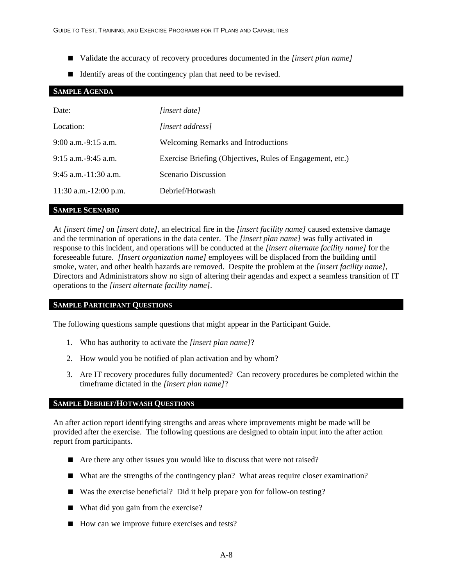- Validate the accuracy of recovery procedures documented in the *[insert plan name]*
- If Identify areas of the contingency plan that need to be revised.

| <b>SAMPLE AGENDA</b>     |                                                           |
|--------------------------|-----------------------------------------------------------|
|                          |                                                           |
| Date:                    | <i>[insert date]</i>                                      |
| Location:                | <i>[insert address]</i>                                   |
| $9:00$ a.m. $-9:15$ a.m. | <b>Welcoming Remarks and Introductions</b>                |
| $9:15$ a.m. $-9:45$ a.m. | Exercise Briefing (Objectives, Rules of Engagement, etc.) |
| $9:45$ a.m.-11:30 a.m.   | Scenario Discussion                                       |
| 11:30 a.m.-12:00 p.m.    | Debrief/Hotwash                                           |

### **SAMPLE SCENARIO**

At *[insert time]* on *[insert date]*, an electrical fire in the *[insert facility name]* caused extensive damage and the termination of operations in the data center. The *[insert plan name]* was fully activated in response to this incident, and operations will be conducted at the *[insert alternate facility name]* for the foreseeable future. *[Insert organization name]* employees will be displaced from the building until smoke, water, and other health hazards are removed. Despite the problem at the *[insert facility name]*, Directors and Administrators show no sign of altering their agendas and expect a seamless transition of IT operations to the *[insert alternate facility name]*.

### **SAMPLE PARTICIPANT QUESTIONS**

The following questions sample questions that might appear in the Participant Guide.

- 1. Who has authority to activate the *[insert plan name]*?
- 2. How would you be notified of plan activation and by whom?
- 3. Are IT recovery procedures fully documented? Can recovery procedures be completed within the timeframe dictated in the *[insert plan name]*?

#### **SAMPLE DEBRIEF/HOTWASH QUESTIONS**

An after action report identifying strengths and areas where improvements might be made will be provided after the exercise. The following questions are designed to obtain input into the after action report from participants.

- Are there any other issues you would like to discuss that were not raised?
- What are the strengths of the contingency plan? What areas require closer examination?
- Was the exercise beneficial? Did it help prepare you for follow-on testing?
- What did you gain from the exercise?
- $\blacksquare$  How can we improve future exercises and tests?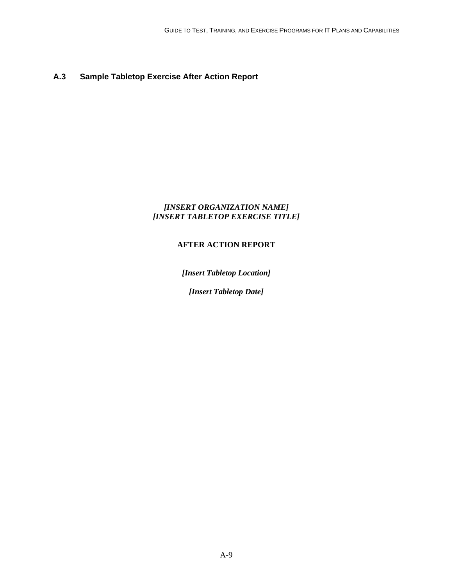# **A.3 Sample Tabletop Exercise After Action Report**

### *[INSERT ORGANIZATION NAME] [INSERT TABLETOP EXERCISE TITLE]*

# **AFTER ACTION REPORT**

*[Insert Tabletop Location]* 

*[Insert Tabletop Date]*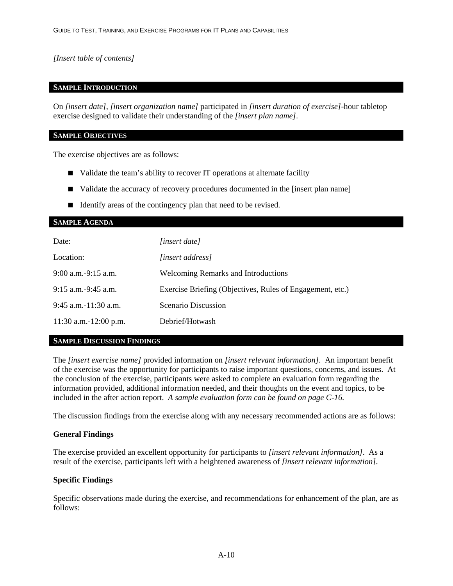### *[Insert table of contents]*

#### **SAMPLE INTRODUCTION**

On *[insert date]*, *[insert organization name]* participated in *[insert duration of exercise]*-hour tabletop exercise designed to validate their understanding of the *[insert plan name]*.

#### **SAMPLE OBJECTIVES**

The exercise objectives are as follows:

- Validate the team's ability to recover IT operations at alternate facility
- Validate the accuracy of recovery procedures documented in the [insert plan name]
- Identify areas of the contingency plan that need to be revised.

#### **SAMPLE AGENDA**

| Date:                    | <i>(insert date)</i>                                      |
|--------------------------|-----------------------------------------------------------|
| Location:                | <i>[insert address]</i>                                   |
| $9:00$ a.m. $-9:15$ a.m. | <b>Welcoming Remarks and Introductions</b>                |
| $9:15$ a.m. $-9:45$ a.m. | Exercise Briefing (Objectives, Rules of Engagement, etc.) |
| $9:45$ a.m.-11:30 a.m.   | Scenario Discussion                                       |
| 11:30 a.m.-12:00 p.m.    | Debrief/Hotwash                                           |

#### **SAMPLE DISCUSSION FINDINGS**

The *[insert exercise name]* provided information on *[insert relevant information]*.An important benefit of the exercise was the opportunity for participants to raise important questions, concerns, and issues. At the conclusion of the exercise, participants were asked to complete an evaluation form regarding the information provided, additional information needed, and their thoughts on the event and topics, to be included in the after action report. *A sample evaluation form can be found on page C-16.*

The discussion findings from the exercise along with any necessary recommended actions are as follows:

### **General Findings**

The exercise provided an excellent opportunity for participants to *[insert relevant information]*. As a result of the exercise, participants left with a heightened awareness of *[insert relevant information]*.

### **Specific Findings**

Specific observations made during the exercise, and recommendations for enhancement of the plan, are as follows: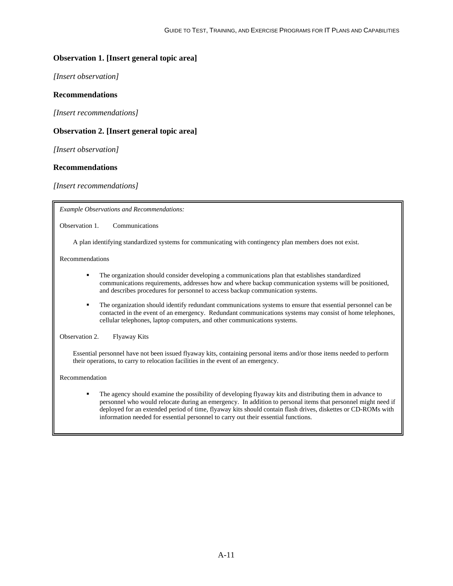### **Observation 1. [Insert general topic area]**

*[Insert observation]* 

#### **Recommendations**

*[Insert recommendations]* 

### **Observation 2. [Insert general topic area]**

*[Insert observation]* 

#### **Recommendations**

*[Insert recommendations]* 

*Example Observations and Recommendations:* 

Observation 1. Communications

A plan identifying standardized systems for communicating with contingency plan members does not exist.

Recommendations

- The organization should consider developing a communications plan that establishes standardized communications requirements, addresses how and where backup communication systems will be positioned, and describes procedures for personnel to access backup communication systems.
- The organization should identify redundant communications systems to ensure that essential personnel can be contacted in the event of an emergency. Redundant communications systems may consist of home telephones, cellular telephones, laptop computers, and other communications systems.

Observation 2. Flyaway Kits

Essential personnel have not been issued flyaway kits, containing personal items and/or those items needed to perform their operations, to carry to relocation facilities in the event of an emergency.

Recommendation

 The agency should examine the possibility of developing flyaway kits and distributing them in advance to personnel who would relocate during an emergency. In addition to personal items that personnel might need if deployed for an extended period of time, flyaway kits should contain flash drives, diskettes or CD-ROMs with information needed for essential personnel to carry out their essential functions.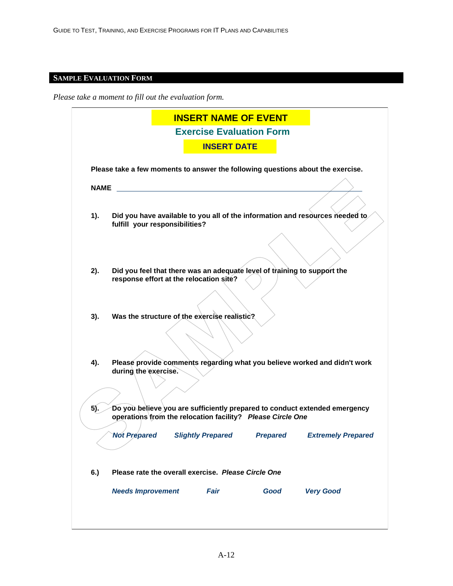# **SAMPLE EVALUATION FORM**

*Please take a moment to fill out the evaluation form.* 

|             | <b>INSERT NAME OF EVENT</b>                                                                                                              |
|-------------|------------------------------------------------------------------------------------------------------------------------------------------|
|             | <b>Exercise Evaluation Form</b>                                                                                                          |
|             | <b>INSERT DATE</b>                                                                                                                       |
|             | Please take a few moments to answer the following questions about the exercise.                                                          |
| <b>NAME</b> |                                                                                                                                          |
| $1$ ).      | Did you have available to you all of the information and resources needed to<br>fulfill your responsibilities?                           |
|             |                                                                                                                                          |
| 2).         | Did you feel that there was an adequate level of training to support the<br>response effort at the relocation site?                      |
|             |                                                                                                                                          |
| 3).         | Was the structure of the exercise realistic?                                                                                             |
|             |                                                                                                                                          |
| 4).         | Please provide comments regarding what you believe worked and didn't work<br>during the exercise.                                        |
|             |                                                                                                                                          |
| $5$ ).      | Do you believe you are sufficiently prepared to conduct extended emergency<br>operations from the relocation facility? Please Circle One |
|             | <b>Not Prepared</b><br><b>Slightly Prepared</b><br><b>Prepared</b><br><b>Extremely Prepared</b>                                          |
| 6.)         | Please rate the overall exercise. Please Circle One                                                                                      |
|             | <b>Needs Improvement</b><br><b>Very Good</b><br>Fair<br>Good                                                                             |
|             |                                                                                                                                          |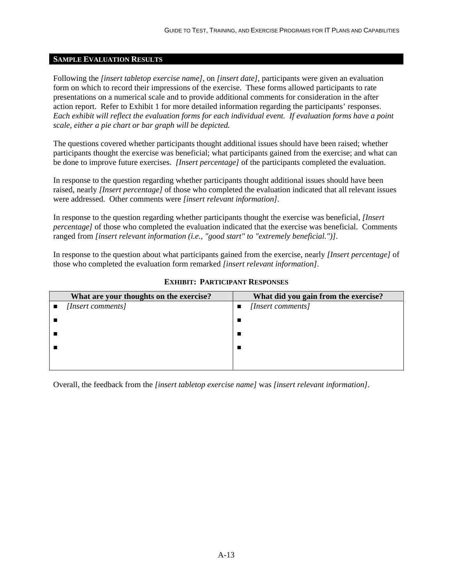### **SAMPLE EVALUATION RESULTS**

Following the *[insert tabletop exercise name]*, on *[insert date]*, participants were given an evaluation form on which to record their impressions of the exercise. These forms allowed participants to rate presentations on a numerical scale and to provide additional comments for consideration in the after action report. Refer to Exhibit 1 for more detailed information regarding the participants' responses. *Each exhibit will reflect the evaluation forms for each individual event. If evaluation forms have a point scale, either a pie chart or bar graph will be depicted.* 

The questions covered whether participants thought additional issues should have been raised; whether participants thought the exercise was beneficial; what participants gained from the exercise; and what can be done to improve future exercises. *[Insert percentage]* of the participants completed the evaluation.

In response to the question regarding whether participants thought additional issues should have been raised, nearly *[Insert percentage]* of those who completed the evaluation indicated that all relevant issues were addressed. Other comments were *[insert relevant information]*.

In response to the question regarding whether participants thought the exercise was beneficial, *[Insert percentage]* of those who completed the evaluation indicated that the exercise was beneficial. Comments ranged from *[insert relevant information (i.e., "good start" to "extremely beneficial.")]*.

In response to the question about what participants gained from the exercise, nearly *[Insert percentage]* of those who completed the evaluation form remarked *[insert relevant information]*.

| What are your thoughts on the exercise? | What did you gain from the exercise? |
|-----------------------------------------|--------------------------------------|
| [Insert comments]                       | [Insert comments]                    |
|                                         |                                      |
|                                         |                                      |
|                                         |                                      |
|                                         |                                      |

**EXHIBIT: PARTICIPANT RESPONSES**

Overall, the feedback from the *[insert tabletop exercise name]* was *[insert relevant information]*.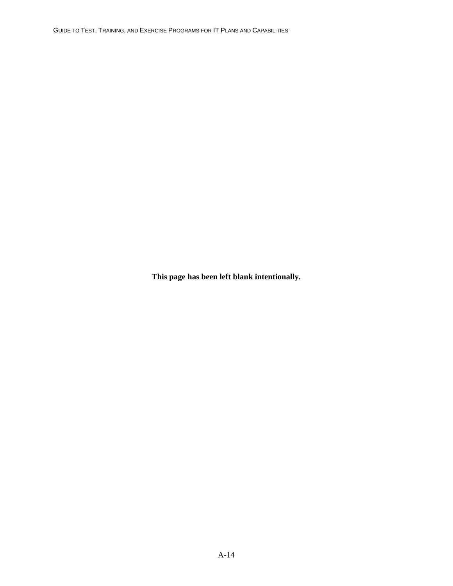**This page has been left blank intentionally.**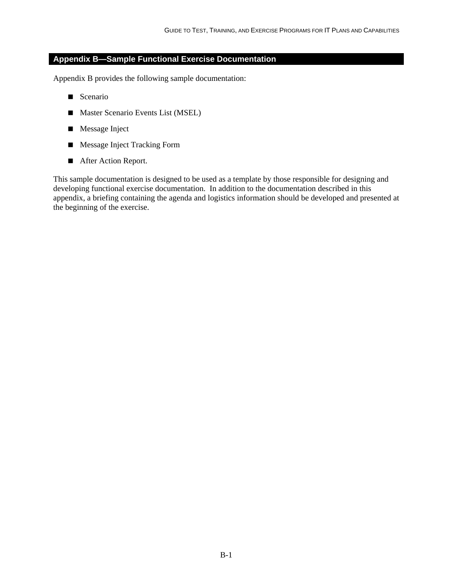### **Appendix B—Sample Functional Exercise Documentation**

Appendix B provides the following sample documentation:

- Scenario
- **Master Scenario Events List (MSEL)**
- **Message Inject**
- **Message Inject Tracking Form**
- After Action Report.

This sample documentation is designed to be used as a template by those responsible for designing and developing functional exercise documentation. In addition to the documentation described in this appendix, a briefing containing the agenda and logistics information should be developed and presented at the beginning of the exercise.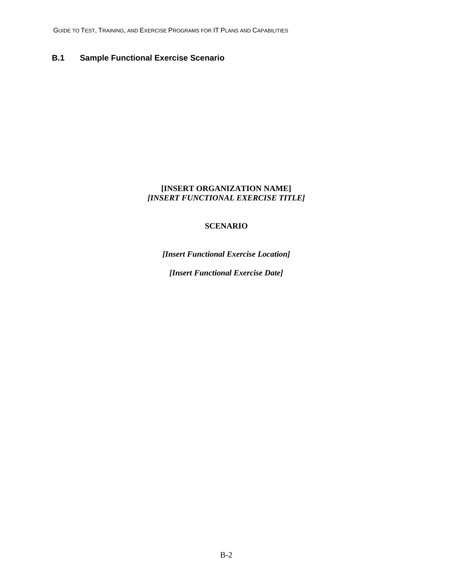GUIDE TO TEST, TRAINING, AND EXERCISE PROGRAMS FOR IT PLANS AND CAPABILITIES

# **B.1 Sample Functional Exercise Scenario**

### **[INSERT ORGANIZATION NAME]**  *[INSERT FUNCTIONAL EXERCISE TITLE]*

### **SCENARIO**

*[Insert Functional Exercise Location]* 

*[Insert Functional Exercise Date]*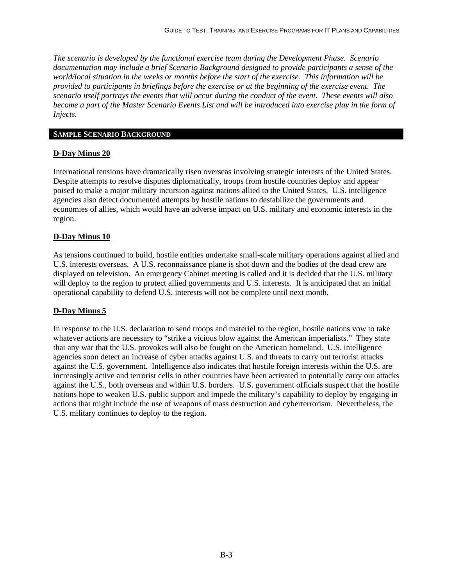*The scenario is developed by the functional exercise team during the Development Phase. Scenario documentation may include a brief Scenario Background designed to provide participants a sense of the world/local situation in the weeks or months before the start of the exercise. This information will be provided to participants in briefings before the exercise or at the beginning of the exercise event. The scenario itself portrays the events that will occur during the conduct of the event. These events will also become a part of the Master Scenario Events List and will be introduced into exercise play in the form of Injects.* 

#### **SAMPLE SCENARIO BACKGROUND**

### **D-Day Minus 20**

International tensions have dramatically risen overseas involving strategic interests of the United States. Despite attempts to resolve disputes diplomatically, troops from hostile countries deploy and appear poised to make a major military incursion against nations allied to the United States. U.S. intelligence agencies also detect documented attempts by hostile nations to destabilize the governments and economies of allies, which would have an adverse impact on U.S. military and economic interests in the region.

### **D-Day Minus 10**

As tensions continued to build, hostile entities undertake small-scale military operations against allied and U.S. interests overseas. A U.S. reconnaissance plane is shot down and the bodies of the dead crew are displayed on television. An emergency Cabinet meeting is called and it is decided that the U.S. military will deploy to the region to protect allied governments and U.S. interests. It is anticipated that an initial operational capability to defend U.S. interests will not be complete until next month.

### **D-Day Minus 5**

In response to the U.S. declaration to send troops and materiel to the region, hostile nations vow to take whatever actions are necessary to "strike a vicious blow against the American imperialists." They state that any war that the U.S. provokes will also be fought on the American homeland. U.S. intelligence agencies soon detect an increase of cyber attacks against U.S. and threats to carry out terrorist attacks against the U.S. government. Intelligence also indicates that hostile foreign interests within the U.S. are increasingly active and terrorist cells in other countries have been activated to potentially carry out attacks against the U.S., both overseas and within U.S. borders. U.S. government officials suspect that the hostile nations hope to weaken U.S. public support and impede the military's capability to deploy by engaging in actions that might include the use of weapons of mass destruction and cyberterrorism. Nevertheless, the U.S. military continues to deploy to the region.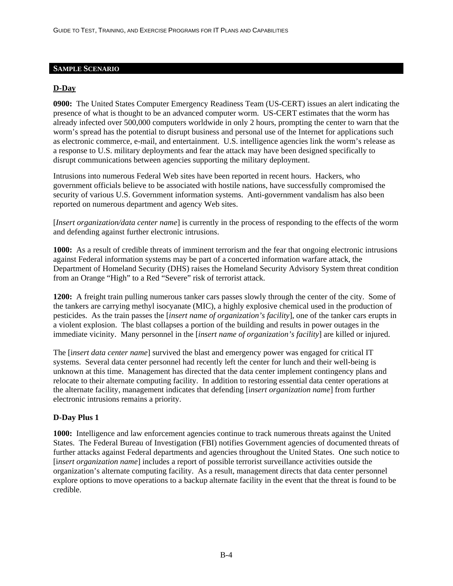### **SAMPLE SCENARIO**

### **D-Day**

**0900:** The United States Computer Emergency Readiness Team (US-CERT) issues an alert indicating the presence of what is thought to be an advanced computer worm. US-CERT estimates that the worm has already infected over 500,000 computers worldwide in only 2 hours, prompting the center to warn that the worm's spread has the potential to disrupt business and personal use of the Internet for applications such as electronic commerce, e-mail, and entertainment. U.S. intelligence agencies link the worm's release as a response to U.S. military deployments and fear the attack may have been designed specifically to disrupt communications between agencies supporting the military deployment.

Intrusions into numerous Federal Web sites have been reported in recent hours. Hackers, who government officials believe to be associated with hostile nations, have successfully compromised the security of various U.S. Government information systems. Anti-government vandalism has also been reported on numerous department and agency Web sites.

[*Insert organization/data center name*] is currently in the process of responding to the effects of the worm and defending against further electronic intrusions.

**1000:** As a result of credible threats of imminent terrorism and the fear that ongoing electronic intrusions against Federal information systems may be part of a concerted information warfare attack, the Department of Homeland Security (DHS) raises the Homeland Security Advisory System threat condition from an Orange "High" to a Red "Severe" risk of terrorist attack.

**1200:** A freight train pulling numerous tanker cars passes slowly through the center of the city. Some of the tankers are carrying methyl isocyanate (MIC), a highly explosive chemical used in the production of pesticides. As the train passes the [*insert name of organization's facility*], one of the tanker cars erupts in a violent explosion. The blast collapses a portion of the building and results in power outages in the immediate vicinity. Many personnel in the [*insert name of organization's facility*] are killed or injured.

The [i*nsert data center name*] survived the blast and emergency power was engaged for critical IT systems. Several data center personnel had recently left the center for lunch and their well-being is unknown at this time. Management has directed that the data center implement contingency plans and relocate to their alternate computing facility. In addition to restoring essential data center operations at the alternate facility, management indicates that defending [i*nsert organization name*] from further electronic intrusions remains a priority.

### **D-Day Plus 1**

**1000:** Intelligence and law enforcement agencies continue to track numerous threats against the United States. The Federal Bureau of Investigation (FBI) notifies Government agencies of documented threats of further attacks against Federal departments and agencies throughout the United States. One such notice to [i*nsert organization name*] includes a report of possible terrorist surveillance activities outside the organization's alternate computing facility. As a result, management directs that data center personnel explore options to move operations to a backup alternate facility in the event that the threat is found to be credible.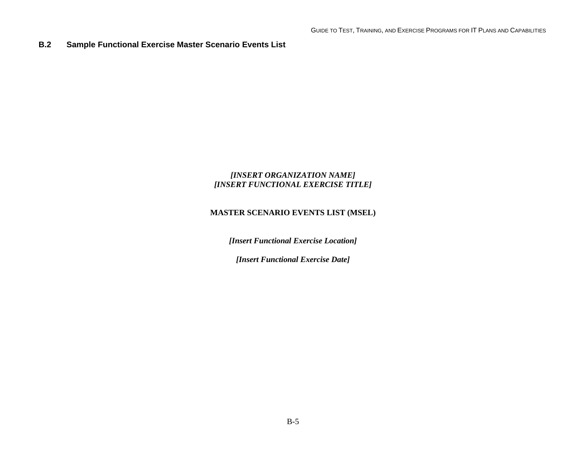**B.2 Sample Functional Exercise Master Scenario Events List** 

### *[INSERT ORGANIZATION NAME] [INSERT FUNCTIONAL EXERCISE TITLE]*

### **MASTER SCENARIO EVENTS LIST (MSEL)**

*[Insert Functional Exercise Location]* 

*[Insert Functional Exercise Date]*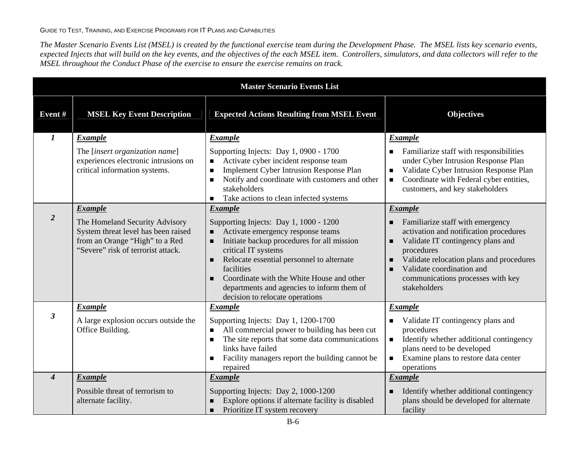GUIDE TO TEST, TRAINING, AND EXERCISE PROGRAMS FOR IT PLANS AND CAPABILITIES

*The Master Scenario Events List (MSEL) is created by the functional exercise team during the Development Phase. The MSEL lists key scenario events, expected Injects that will build on the key events, and the objectives of the each MSEL item. Controllers, simulators, and data collectors will refer to the MSEL throughout the Conduct Phase of the exercise to ensure the exercise remains on track.* 

| <b>Master Scenario Events List</b> |                                                                                                                                                                 |                                                                                                                                                                                                                                                                                                                                                                                                 |                                                                                                                                                                                                                                                                                                                   |  |  |
|------------------------------------|-----------------------------------------------------------------------------------------------------------------------------------------------------------------|-------------------------------------------------------------------------------------------------------------------------------------------------------------------------------------------------------------------------------------------------------------------------------------------------------------------------------------------------------------------------------------------------|-------------------------------------------------------------------------------------------------------------------------------------------------------------------------------------------------------------------------------------------------------------------------------------------------------------------|--|--|
| Event#                             | <b>MSEL Key Event Description</b>                                                                                                                               | <b>Expected Actions Resulting from MSEL Event</b>                                                                                                                                                                                                                                                                                                                                               | <b>Objectives</b>                                                                                                                                                                                                                                                                                                 |  |  |
| $\boldsymbol{I}$                   | <b>Example</b><br>The [insert organization name]<br>experiences electronic intrusions on<br>critical information systems.                                       | <b>Example</b><br>Supporting Injects: Day 1, 0900 - 1700<br>Activate cyber incident response team<br>$\blacksquare$<br>Implement Cyber Intrusion Response Plan<br>$\blacksquare$<br>Notify and coordinate with customers and other<br>$\blacksquare$<br>stakeholders<br>Take actions to clean infected systems<br>■                                                                             | <b>Example</b><br>Familiarize staff with responsibilities<br>under Cyber Intrusion Response Plan<br>Validate Cyber Intrusion Response Plan<br>п<br>Coordinate with Federal cyber entities,<br>$\blacksquare$<br>customers, and key stakeholders                                                                   |  |  |
| $\overline{2}$                     | <b>Example</b><br>The Homeland Security Advisory<br>System threat level has been raised<br>from an Orange "High" to a Red<br>"Severe" risk of terrorist attack. | <b>Example</b><br>Supporting Injects: Day 1, 1000 - 1200<br>Activate emergency response teams<br>$\blacksquare$<br>Initiate backup procedures for all mission<br>$\blacksquare$<br>critical IT systems<br>Relocate essential personnel to alternate<br>facilities<br>Coordinate with the White House and other<br>departments and agencies to inform them of<br>decision to relocate operations | <b>Example</b><br>Familiarize staff with emergency<br>activation and notification procedures<br>Validate IT contingency plans and<br>$\blacksquare$<br>procedures<br>Validate relocation plans and procedures<br>Validate coordination and<br>$\blacksquare$<br>communications processes with key<br>stakeholders |  |  |
| $\mathfrak{Z}$                     | <b>Example</b><br>A large explosion occurs outside the<br>Office Building.                                                                                      | <b>Example</b><br>Supporting Injects: Day 1, 1200-1700<br>All commercial power to building has been cut<br>$\blacksquare$<br>The site reports that some data communications<br>п<br>links have failed<br>Facility managers report the building cannot be<br>$\blacksquare$<br>repaired                                                                                                          | <b>Example</b><br>Validate IT contingency plans and<br>procedures<br>Identify whether additional contingency<br>$\blacksquare$<br>plans need to be developed<br>Examine plans to restore data center<br>$\blacksquare$<br>operations                                                                              |  |  |
| $\overline{\boldsymbol{4}}$        | <b>Example</b><br>Possible threat of terrorism to<br>alternate facility.                                                                                        | <b>Example</b><br>Supporting Injects: Day 2, 1000-1200<br>Explore options if alternate facility is disabled<br>Prioritize IT system recovery<br>$\blacksquare$                                                                                                                                                                                                                                  | <b>Example</b><br>Identify whether additional contingency<br>plans should be developed for alternate<br>facility                                                                                                                                                                                                  |  |  |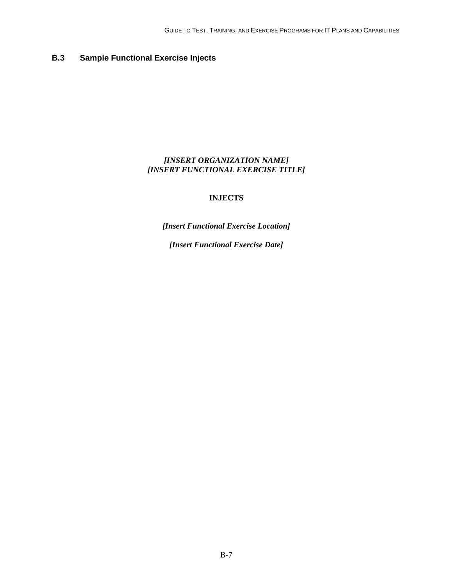# **B.3 Sample Functional Exercise Injects**

### *[INSERT ORGANIZATION NAME] [INSERT FUNCTIONAL EXERCISE TITLE]*

### **INJECTS**

*[Insert Functional Exercise Location]* 

*[Insert Functional Exercise Date]*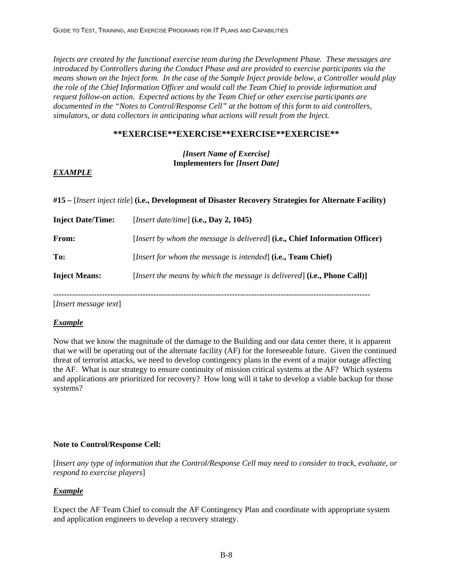GUIDE TO TEST, TRAINING, AND EXERCISE PROGRAMS FOR IT PLANS AND CAPABILITIES

*Injects are created by the functional exercise team during the Development Phase. These messages are introduced by Controllers during the Conduct Phase and are provided to exercise participants via the means shown on the Inject form. In the case of the Sample Inject provide below, a Controller would play the role of the Chief Information Officer and would call the Team Chief to provide information and request follow-on action. Expected actions by the Team Chief or other exercise participants are documented in the "Notes to Control/Response Cell" at the bottom of this form to aid controllers, simulators, or data collectors in anticipating what actions will result from the Inject.* 

## **\*\*EXERCISE\*\*EXERCISE\*\*EXERCISE\*\*EXERCISE\*\***

### *[Insert Name of Exercise]*  **Implementers for** *[Insert Date]*

### *EXAMPLE*

|  |  |  | #15 - [Insert inject title] (i.e., Development of Disaster Recovery Strategies for Alternate Facility) |
|--|--|--|--------------------------------------------------------------------------------------------------------|
|  |  |  |                                                                                                        |

| <b>Inject Date/Time:</b> | [ <i>Insert date/time</i> ] (i.e., Day 2, 1045)                             |
|--------------------------|-----------------------------------------------------------------------------|
| <b>From:</b>             | [Insert by whom the message is delivered] (i.e., Chief Information Officer) |
| To:                      | [Insert for whom the message is intended] (i.e., Team Chief)                |
| <b>Inject Means:</b>     | [Insert the means by which the message is delivered] $(i.e., Phone Call)$ ] |
|                          |                                                                             |

[*Insert message text*]

### *Example*

Now that we know the magnitude of the damage to the Building and our data center there, it is apparent that we will be operating out of the alternate facility (AF) for the foreseeable future. Given the continued threat of terrorist attacks, we need to develop contingency plans in the event of a major outage affecting the AF. What is our strategy to ensure continuity of mission critical systems at the AF? Which systems and applications are prioritized for recovery? How long will it take to develop a viable backup for those systems?

### **Note to Control/Response Cell:**

[*Insert any type of information that the Control/Response Cell may need to consider to track, evaluate, or respond to exercise players*]

### *Example*

Expect the AF Team Chief to consult the AF Contingency Plan and coordinate with appropriate system and application engineers to develop a recovery strategy.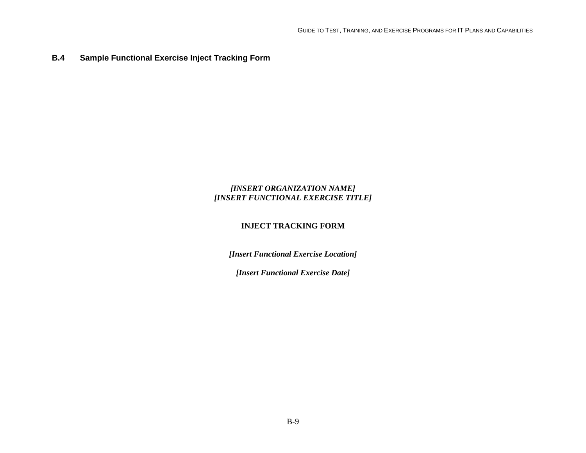## **B.4 Sample Functional Exercise Inject Tracking Form**

## *[INSERT ORGANIZATION NAME] [INSERT FUNCTIONAL EXERCISE TITLE]*

## **INJECT TRACKING FORM**

*[Insert Functional Exercise Location]* 

*[Insert Functional Exercise Date]*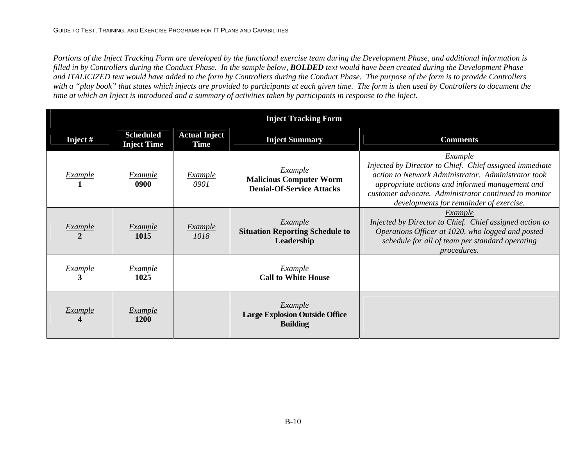*Portions of the Inject Tracking Form are developed by the functional exercise team during the Development Phase, and additional information is filled in by Controllers during the Conduct Phase. In the sample below, BOLDED text would have been created during the Development Phase and ITALICIZED text would have added to the form by Controllers during the Conduct Phase. The purpose of the form is to provide Controllers*  with a "play book" that states which injects are provided to participants at each given time. The form is then used by Controllers to document the *time at which an Inject is introduced and a summary of activities taken by participants in response to the Inject.* 

| <b>Inject Tracking Form</b>    |                                        |                                     |                                                                               |                                                                                                                                                                                                                                                                                  |  |
|--------------------------------|----------------------------------------|-------------------------------------|-------------------------------------------------------------------------------|----------------------------------------------------------------------------------------------------------------------------------------------------------------------------------------------------------------------------------------------------------------------------------|--|
| Inject #                       | <b>Scheduled</b><br><b>Inject Time</b> | <b>Actual Inject</b><br><b>Time</b> | <b>Inject Summary</b>                                                         | <b>Comments</b>                                                                                                                                                                                                                                                                  |  |
| <b>Example</b>                 | <b>Example</b><br>0900                 | <b>Example</b><br>0901              | Example<br><b>Malicious Computer Worm</b><br><b>Denial-Of-Service Attacks</b> | Example<br>Injected by Director to Chief. Chief assigned immediate<br>action to Network Administrator. Administrator took<br>appropriate actions and informed management and<br>customer advocate. Administrator continued to monitor<br>developments for remainder of exercise. |  |
| <i>Example</i><br>$\mathbf{2}$ | <b>Example</b><br>1015                 | <b>Example</b><br>1018              | Example<br><b>Situation Reporting Schedule to</b><br>Leadership               | Example<br>Injected by Director to Chief. Chief assigned action to<br>Operations Officer at 1020, who logged and posted<br>schedule for all of team per standard operating<br><i>procedures.</i>                                                                                 |  |
| <b>Example</b><br>3            | <b>Example</b><br>1025                 |                                     | Example<br><b>Call to White House</b>                                         |                                                                                                                                                                                                                                                                                  |  |
| <i>Example</i>                 | <b>Example</b><br>1200                 |                                     | Example<br><b>Large Explosion Outside Office</b><br><b>Building</b>           |                                                                                                                                                                                                                                                                                  |  |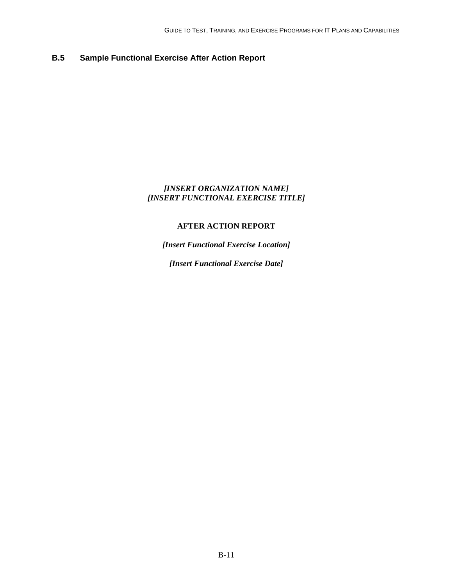# **B.5 Sample Functional Exercise After Action Report**

## *[INSERT ORGANIZATION NAME] [INSERT FUNCTIONAL EXERCISE TITLE]*

## **AFTER ACTION REPORT**

## *[Insert Functional Exercise Location]*

*[Insert Functional Exercise Date]*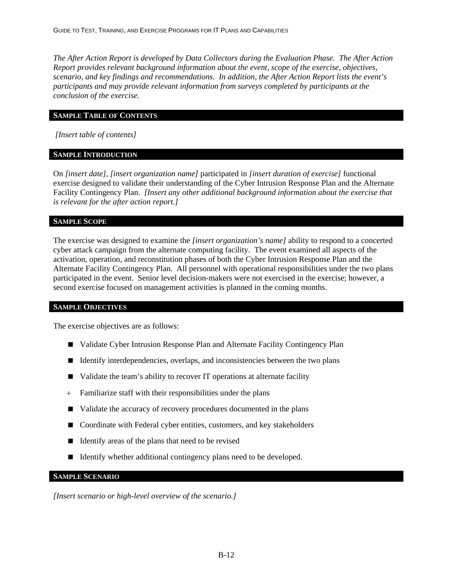*The After Action Report is developed by Data Collectors during the Evaluation Phase. The After Action Report provides relevant background information about the event, scope of the exercise, objectives, scenario, and key findings and recommendations. In addition, the After Action Report lists the event's participants and may provide relevant information from surveys completed by participants at the conclusion of the exercise.* 

#### **SAMPLE TABLE OF CONTENTS**

 *[Insert table of contents]* 

#### **SAMPLE INTRODUCTION**

On *[insert date]*, *[insert organization name]* participated in *[insert duration of exercise]* functional exercise designed to validate their understanding of the Cyber Intrusion Response Plan and the Alternate Facility Contingency Plan. *[Insert any other additional background information about the exercise that is relevant for the after action report.]* 

#### **SAMPLE SCOPE**

The exercise was designed to examine the *[insert organization's name]* ability to respond to a concerted cyber attack campaign from the alternate computing facility. The event examined all aspects of the activation, operation, and reconstitution phases of both the Cyber Intrusion Response Plan and the Alternate Facility Contingency Plan. All personnel with operational responsibilities under the two plans participated in the event. Senior level decision-makers were not exercised in the exercise; however, a second exercise focused on management activities is planned in the coming months.

#### **SAMPLE OBJECTIVES**

The exercise objectives are as follows:

- Validate Cyber Intrusion Response Plan and Alternate Facility Contingency Plan
- $\blacksquare$  Identify interdependencies, overlaps, and inconsistencies between the two plans
- Validate the team's ability to recover IT operations at alternate facility
- + Familiarize staff with their responsibilities under the plans
- Validate the accuracy of recovery procedures documented in the plans
- Coordinate with Federal cyber entities, customers, and key stakeholders
- $\blacksquare$  Identify areas of the plans that need to be revised
- Identify whether additional contingency plans need to be developed.

#### **SAMPLE SCENARIO**

*[Insert scenario or high-level overview of the scenario.]*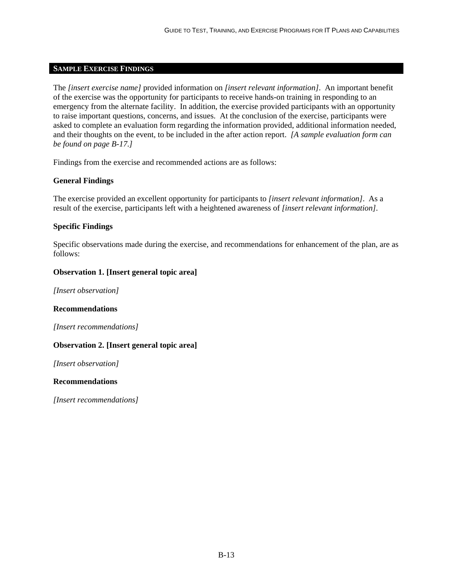### **SAMPLE EXERCISE FINDINGS**

The *[insert exercise name]* provided information on *[insert relevant information]*.An important benefit of the exercise was the opportunity for participants to receive hands-on training in responding to an emergency from the alternate facility. In addition, the exercise provided participants with an opportunity to raise important questions, concerns, and issues. At the conclusion of the exercise, participants were asked to complete an evaluation form regarding the information provided, additional information needed, and their thoughts on the event, to be included in the after action report. *[A sample evaluation form can be found on page B-17.]*

Findings from the exercise and recommended actions are as follows:

### **General Findings**

The exercise provided an excellent opportunity for participants to *[insert relevant information]*. As a result of the exercise, participants left with a heightened awareness of *[insert relevant information]*.

### **Specific Findings**

Specific observations made during the exercise, and recommendations for enhancement of the plan, are as follows:

### **Observation 1. [Insert general topic area]**

*[Insert observation]* 

### **Recommendations**

*[Insert recommendations]* 

### **Observation 2. [Insert general topic area]**

*[Insert observation]* 

### **Recommendations**

*[Insert recommendations]*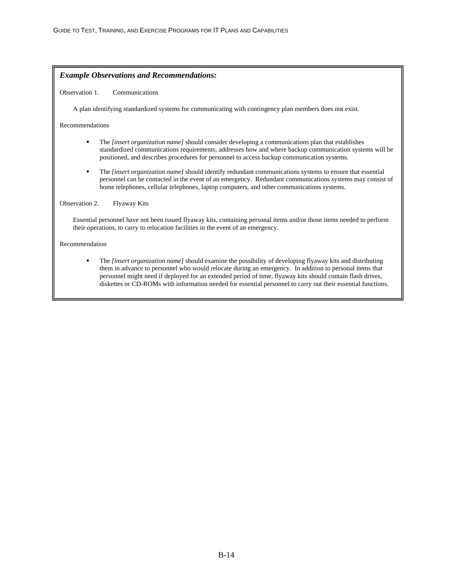#### *Example Observations and Recommendations:*

Observation 1. Communications

A plan identifying standardized systems for communicating with contingency plan members does not exist.

Recommendations

- The *[insert organization name]* should consider developing a communications plan that establishes standardized communications requirements, addresses how and where backup communication systems will be positioned, and describes procedures for personnel to access backup communication systems.
- The *[insert organization name]* should identify redundant communications systems to ensure that essential personnel can be contacted in the event of an emergency. Redundant communications systems may consist of home telephones, cellular telephones, laptop computers, and other communications systems.

Observation 2. Flyaway Kits

Essential personnel have not been issued flyaway kits, containing personal items and/or those items needed to perform their operations, to carry to relocation facilities in the event of an emergency.

#### Recommendation

 The *[insert organization name]* should examine the possibility of developing flyaway kits and distributing them in advance to personnel who would relocate during an emergency. In addition to personal items that personnel might need if deployed for an extended period of time, flyaway kits should contain flash drives, diskettes or CD-ROMs with information needed for essential personnel to carry out their essential functions.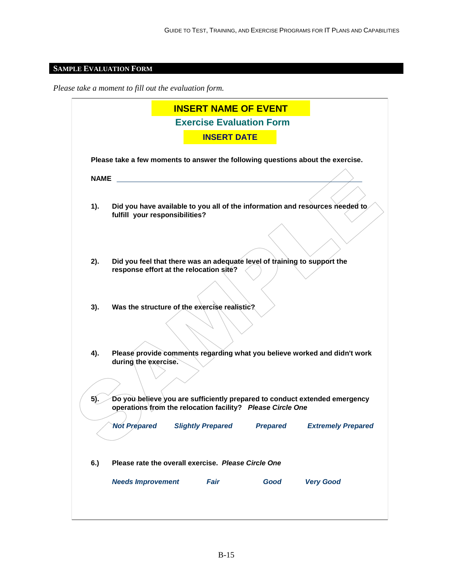# **SAMPLE EVALUATION FORM**

*Please take a moment to fill out the evaluation form.* 

|             |                                                                                                                                          | <b>Exercise Evaluation Form</b> |                           |
|-------------|------------------------------------------------------------------------------------------------------------------------------------------|---------------------------------|---------------------------|
|             |                                                                                                                                          | <b>INSERT DATE</b>              |                           |
|             |                                                                                                                                          |                                 |                           |
|             | Please take a few moments to answer the following questions about the exercise.                                                          |                                 |                           |
|             |                                                                                                                                          |                                 |                           |
| <b>NAME</b> |                                                                                                                                          |                                 |                           |
|             |                                                                                                                                          |                                 |                           |
| 1).         | Did you have available to you all of the information and resources needed to<br>fulfill your responsibilities?                           |                                 |                           |
|             |                                                                                                                                          |                                 |                           |
|             |                                                                                                                                          |                                 |                           |
|             |                                                                                                                                          |                                 |                           |
| 2).         | Did you feel that there was an adequate level of training to support the<br>response effort at the relocation site?                      |                                 |                           |
|             |                                                                                                                                          |                                 |                           |
|             |                                                                                                                                          |                                 |                           |
| 3).         | Was the structure of the exercise realistic?                                                                                             |                                 |                           |
|             |                                                                                                                                          |                                 |                           |
|             |                                                                                                                                          |                                 |                           |
| 4).         | Please provide comments regarding what you believe worked and didn't work                                                                |                                 |                           |
|             | during the exercise.                                                                                                                     |                                 |                           |
|             |                                                                                                                                          |                                 |                           |
|             |                                                                                                                                          |                                 |                           |
| 5).         | Do you believe you are sufficiently prepared to conduct extended emergency<br>operations from the relocation facility? Please Circle One |                                 |                           |
|             | <b>Not Prepared</b><br><b>Slightly Prepared</b>                                                                                          | <b>Prepared</b>                 | <b>Extremely Prepared</b> |
| 6.)         | Please rate the overall exercise. Please Circle One                                                                                      |                                 |                           |
|             | <b>Needs Improvement</b><br>Fair                                                                                                         | Good                            | <b>Very Good</b>          |
|             |                                                                                                                                          |                                 |                           |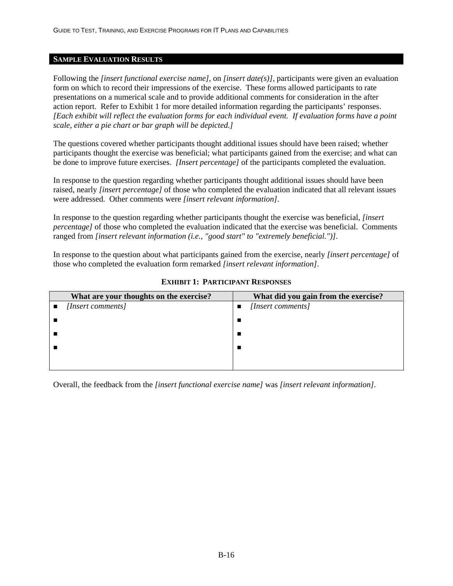### **SAMPLE EVALUATION RESULTS**

Following the *[insert functional exercise name]*, on *[insert date(s)]*, participants were given an evaluation form on which to record their impressions of the exercise. These forms allowed participants to rate presentations on a numerical scale and to provide additional comments for consideration in the after action report. Refer to Exhibit 1 for more detailed information regarding the participants' responses. *[Each exhibit will reflect the evaluation forms for each individual event. If evaluation forms have a point scale, either a pie chart or bar graph will be depicted.]* 

The questions covered whether participants thought additional issues should have been raised; whether participants thought the exercise was beneficial; what participants gained from the exercise; and what can be done to improve future exercises. *[Insert percentage]* of the participants completed the evaluation.

In response to the question regarding whether participants thought additional issues should have been raised, nearly *[insert percentage]* of those who completed the evaluation indicated that all relevant issues were addressed. Other comments were *[insert relevant information]*.

In response to the question regarding whether participants thought the exercise was beneficial, *[insert percentage]* of those who completed the evaluation indicated that the exercise was beneficial. Comments ranged from *[insert relevant information (i.e., "good start" to "extremely beneficial.")]*.

In response to the question about what participants gained from the exercise, nearly *[insert percentage]* of those who completed the evaluation form remarked *[insert relevant information]*.

| What did you gain from the exercise? |
|--------------------------------------|
| [Insert comments]                    |
|                                      |
|                                      |
|                                      |
|                                      |
|                                      |

**EXHIBIT 1: PARTICIPANT RESPONSES**

Overall, the feedback from the *[insert functional exercise name]* was *[insert relevant information]*.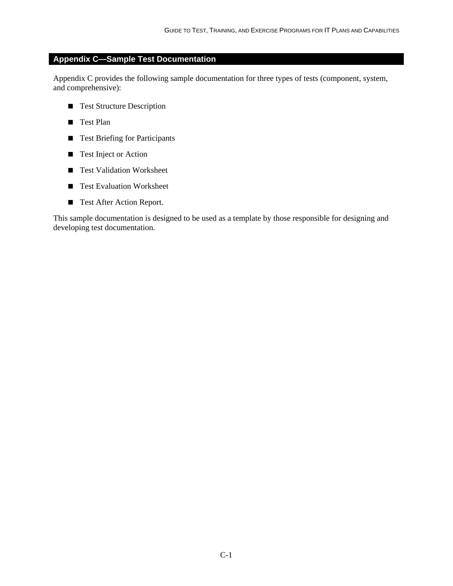# **Appendix C—Sample Test Documentation**

Appendix C provides the following sample documentation for three types of tests (component, system, and comprehensive):

- Test Structure Description
- Test Plan
- Test Briefing for Participants
- Test Inject or Action
- Test Validation Worksheet
- Test Evaluation Worksheet
- Test After Action Report.

This sample documentation is designed to be used as a template by those responsible for designing and developing test documentation.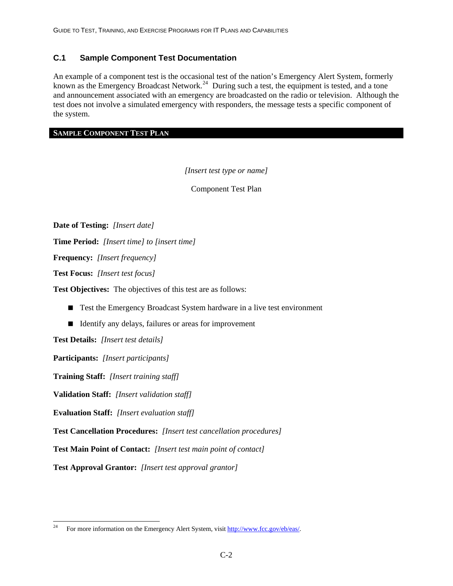## <span id="page-73-0"></span>**C.1 Sample Component Test Documentation**

An example of a component test is the occasional test of the nation's Emergency Alert System, formerly known as the Emergency Broadcast Network.<sup>[24](#page-73-0)</sup> During such a test, the equipment is tested, and a tone and announcement associated with an emergency are broadcasted on the radio or television. Although the test does not involve a simulated emergency with responders, the message tests a specific component of the system.

#### **SAMPLE COMPONENT TEST PLAN**

#### *[Insert test type or name]*

Component Test Plan

**Date of Testing:** *[Insert date]*

**Time Period:** *[Insert time] to [insert time]*

**Frequency:** *[Insert frequency]* 

**Test Focus:** *[Insert test focus]* 

**Test Objectives:** The objectives of this test are as follows:

- Test the Emergency Broadcast System hardware in a live test environment
- Identify any delays, failures or areas for improvement

**Test Details:** *[Insert test details]*

**Participants:** *[Insert participants]*

**Training Staff:** *[Insert training staff]*

**Validation Staff:** *[Insert validation staff]*

**Evaluation Staff:** *[Insert evaluation staff]*

**Test Cancellation Procedures:** *[Insert test cancellation procedures]*

**Test Main Point of Contact:** *[Insert test main point of contact]*

**Test Approval Grantor:** *[Insert test approval grantor]*

<sup>24</sup> For more information on the Emergency Alert System, visit [http://www.fcc.gov/eb/eas/.](http://www.fcc.gov/eb/eas/)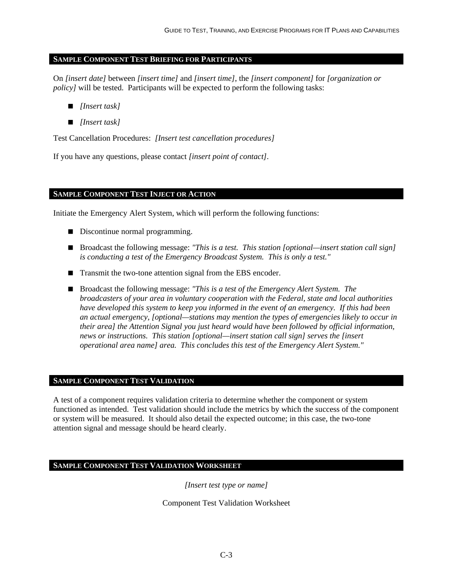#### **SAMPLE COMPONENT TEST BRIEFING FOR PARTICIPANTS**

On *[insert date]* between *[insert time]* and *[insert time]*, the *[insert component]* for *[organization or policy]* will be tested. Participants will be expected to perform the following tasks:

- *[Insert task]*
- *[Insert task]*

Test Cancellation Procedures: *[Insert test cancellation procedures]*

If you have any questions, please contact *[insert point of contact]*.

#### **SAMPLE COMPONENT TEST INJECT OR ACTION**

Initiate the Emergency Alert System, which will perform the following functions:

- Discontinue normal programming.
- Broadcast the following message: *"This is a test. This station [optional—insert station call sign] is conducting a test of the Emergency Broadcast System. This is only a test."*
- Transmit the two-tone attention signal from the EBS encoder.
- Broadcast the following message: *"This is a test of the Emergency Alert System. The broadcasters of your area in voluntary cooperation with the Federal, state and local authorities have developed this system to keep you informed in the event of an emergency. If this had been an actual emergency, [optional—stations may mention the types of emergencies likely to occur in their area] the Attention Signal you just heard would have been followed by official information, news or instructions. This station [optional—insert station call sign] serves the [insert operational area name] area. This concludes this test of the Emergency Alert System."*

#### **SAMPLE COMPONENT TEST VALIDATION**

A test of a component requires validation criteria to determine whether the component or system functioned as intended. Test validation should include the metrics by which the success of the component or system will be measured. It should also detail the expected outcome; in this case, the two-tone attention signal and message should be heard clearly.

#### **SAMPLE COMPONENT TEST VALIDATION WORKSHEET**

*[Insert test type or name]* 

Component Test Validation Worksheet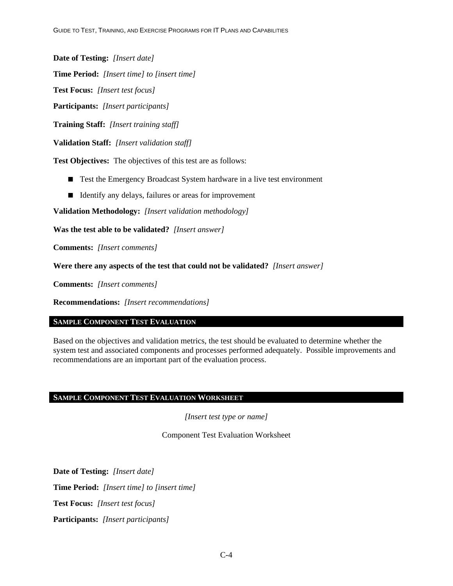**Date of Testing:** *[Insert date]*

**Time Period:** *[Insert time] to [insert time]*

**Test Focus:** *[Insert test focus]* 

**Participants:** *[Insert participants]*

**Training Staff:** *[Insert training staff]*

**Validation Staff:** *[Insert validation staff]*

**Test Objectives:** The objectives of this test are as follows:

- Test the Emergency Broadcast System hardware in a live test environment
- Identify any delays, failures or areas for improvement

**Validation Methodology:** *[Insert validation methodology]*

**Was the test able to be validated?** *[Insert answer]*

**Comments:** *[Insert comments]*

**Were there any aspects of the test that could not be validated?** *[Insert answer]* 

**Comments:** *[Insert comments]*

**Recommendations:** *[Insert recommendations]*

## **SAMPLE COMPONENT TEST EVALUATION**

Based on the objectives and validation metrics, the test should be evaluated to determine whether the system test and associated components and processes performed adequately. Possible improvements and recommendations are an important part of the evaluation process.

#### **SAMPLE COMPONENT TEST EVALUATION WORKSHEET**

*[Insert test type or name]* 

Component Test Evaluation Worksheet

**Date of Testing:** *[Insert date]* **Time Period:** *[Insert time] to [insert time]* **Test Focus:** *[Insert test focus]*  **Participants:** *[Insert participants]*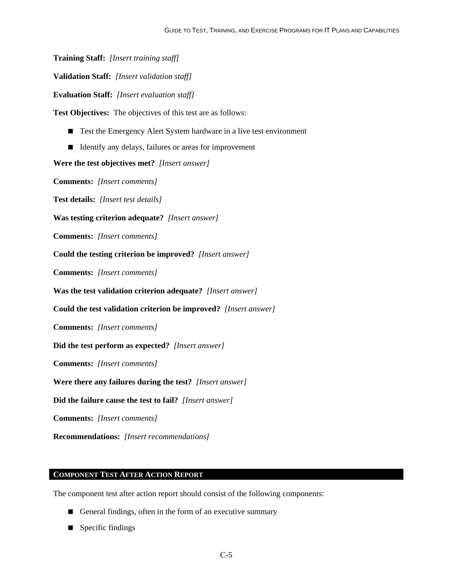**Training Staff:** *[Insert training staff]*

**Validation Staff:** *[Insert validation staff]*

**Evaluation Staff:** *[Insert evaluation staff]*

**Test Objectives:** The objectives of this test are as follows:

- Test the Emergency Alert System hardware in a live test environment
- Identify any delays, failures or areas for improvement

**Were the test objectives met?** *[Insert answer]*

**Comments:** *[Insert comments]*

**Test details:** *[Insert test details]*

**Was testing criterion adequate?** *[Insert answer]*

**Comments:** *[Insert comments]*

**Could the testing criterion be improved?** *[Insert answer]*

**Comments:** *[Insert comments]*

**Was the test validation criterion adequate?** *[Insert answer]*

**Could the test validation criterion be improved?** *[Insert answer]*

**Comments:** *[Insert comments]*

**Did the test perform as expected?** *[Insert answer]* 

**Comments:** *[Insert comments]*

**Were there any failures during the test?** *[Insert answer]* 

**Did the failure cause the test to fail?** *[Insert answer]* 

**Comments:** *[Insert comments]*

**Recommendations:** *[Insert recommendations]* 

#### **COMPONENT TEST AFTER ACTION REPORT**

The component test after action report should consist of the following components:

- General findings, often in the form of an executive summary
- $\blacksquare$  Specific findings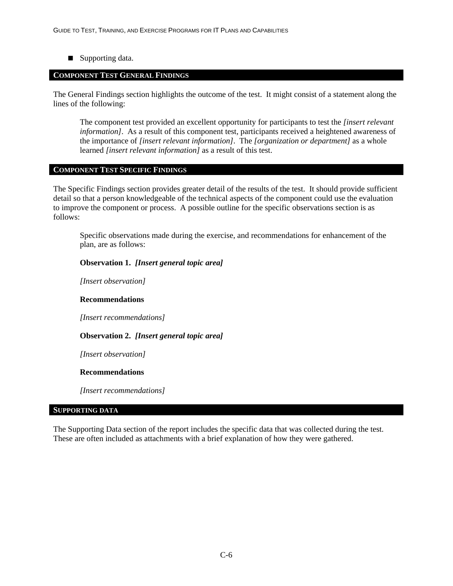## ■ Supporting data.

## **COMPONENT TEST GENERAL FINDINGS**

The General Findings section highlights the outcome of the test. It might consist of a statement along the lines of the following:

The component test provided an excellent opportunity for participants to test the *[insert relevant information]*. As a result of this component test, participants received a heightened awareness of the importance of *[insert relevant information]*.The *[organization or department]* as a whole learned *[insert relevant information]* as a result of this test.

## **COMPONENT TEST SPECIFIC FINDINGS**

The Specific Findings section provides greater detail of the results of the test. It should provide sufficient detail so that a person knowledgeable of the technical aspects of the component could use the evaluation to improve the component or process. A possible outline for the specific observations section is as follows:

Specific observations made during the exercise, and recommendations for enhancement of the plan, are as follows:

#### **Observation 1.** *[Insert general topic area]*

*[Insert observation]* 

#### **Recommendations**

*[Insert recommendations]* 

#### **Observation 2.** *[Insert general topic area]*

*[Insert observation]* 

#### **Recommendations**

*[Insert recommendations]* 

#### **SUPPORTING DATA**

The Supporting Data section of the report includes the specific data that was collected during the test. These are often included as attachments with a brief explanation of how they were gathered.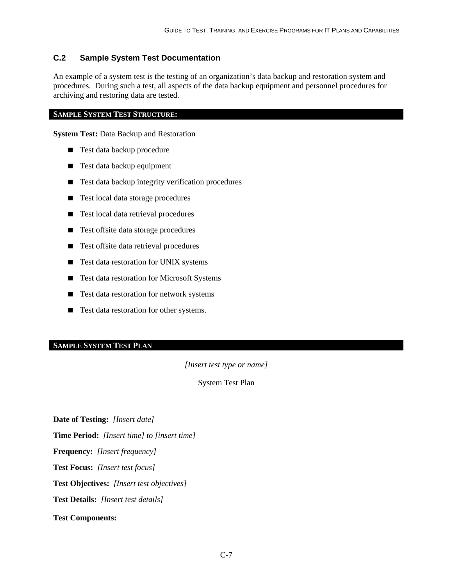## **C.2 Sample System Test Documentation**

An example of a system test is the testing of an organization's data backup and restoration system and procedures. During such a test, all aspects of the data backup equipment and personnel procedures for archiving and restoring data are tested.

#### **SAMPLE SYSTEM TEST STRUCTURE:**

**System Test:** Data Backup and Restoration

- Test data backup procedure
- Test data backup equipment
- Test data backup integrity verification procedures
- Test local data storage procedures
- Test local data retrieval procedures
- Test offsite data storage procedures
- Test offsite data retrieval procedures
- Test data restoration for UNIX systems
- Test data restoration for Microsoft Systems
- Test data restoration for network systems
- Test data restoration for other systems.

#### **SAMPLE SYSTEM TEST PLAN**

*[Insert test type or name]* 

System Test Plan

**Date of Testing:** *[Insert date]* **Time Period:** *[Insert time] to [insert time]* **Frequency:** *[Insert frequency]*  **Test Focus:** *[Insert test focus]* **Test Objectives:** *[Insert test objectives]*  **Test Details:** *[Insert test details]* **Test Components:**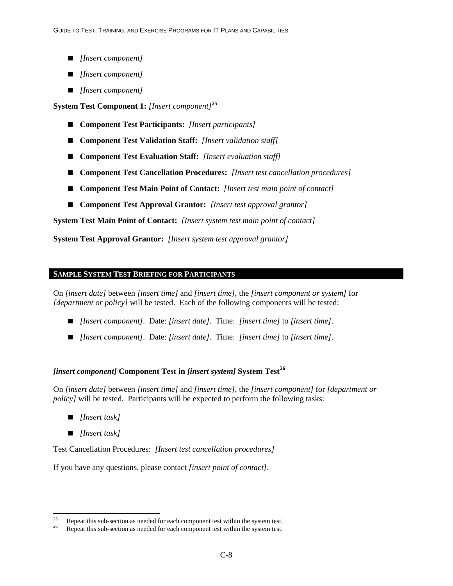- <span id="page-79-0"></span>*[Insert component]*
- *[Insert component]*
- *[Insert component]*

**System Test Component 1:** *[Insert component]***[25](#page-79-0)**

- **Component Test Participants:** *[Insert participants]*
- **Component Test Validation Staff:** *[Insert validation staff]*
- **Component Test Evaluation Staff:** *[Insert evaluation staff]*
- **Component Test Cancellation Procedures:** *[Insert test cancellation procedures]*
- **Component Test Main Point of Contact:** *[Insert test main point of contact]*
- **Component Test Approval Grantor:** [Insert test approval grantor]

**System Test Main Point of Contact:** *[Insert system test main point of contact]* 

**System Test Approval Grantor:** *[Insert system test approval grantor]* 

## **SAMPLE SYSTEM TEST BRIEFING FOR PARTICIPANTS**

On *[insert date]* between *[insert time]* and *[insert time]*, the *[insert component or system]* for *[department or policy]* will be tested. Each of the following components will be tested:

- *[Insert component]*. Date: *[insert date]*. Time: *[insert time]* to *[insert time]*.
- *[Insert component]*. Date: *[insert date]*. Time: *[insert time]* to *[insert time]*.

## *[insert component]* **Component Test in** *[insert system]* **System Test[26](#page-79-0)**

On *[insert date]* between *[insert time]* and *[insert time]*, the *[insert component]* for *[department or policy]* will be tested. Participants will be expected to perform the following tasks:

- *[Insert task]*
- *[Insert task]*

Test Cancellation Procedures: *[Insert test cancellation procedures]*

If you have any questions, please contact *[insert point of contact]*.

<sup>25</sup> <sup>25</sup> Repeat this sub-section as needed for each component test within the system test.<br><sup>26</sup> Peneet this sub-section as needed for each component test within the system test.

Repeat this sub-section as needed for each component test within the system test.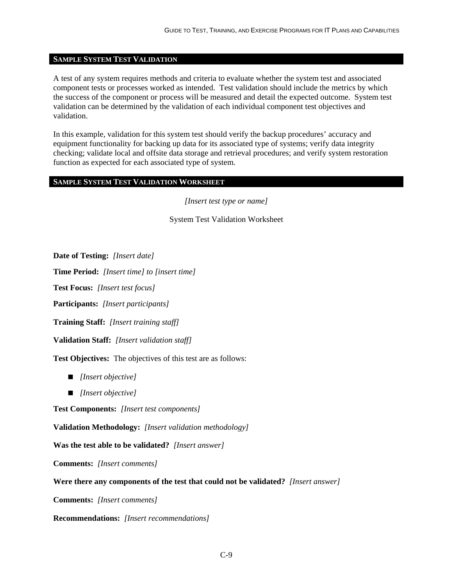#### **SAMPLE SYSTEM TEST VALIDATION**

A test of any system requires methods and criteria to evaluate whether the system test and associated component tests or processes worked as intended. Test validation should include the metrics by which the success of the component or process will be measured and detail the expected outcome. System test validation can be determined by the validation of each individual component test objectives and validation.

In this example, validation for this system test should verify the backup procedures' accuracy and equipment functionality for backing up data for its associated type of systems; verify data integrity checking; validate local and offsite data storage and retrieval procedures; and verify system restoration function as expected for each associated type of system.

#### **SAMPLE SYSTEM TEST VALIDATION WORKSHEET**

*[Insert test type or name]* 

System Test Validation Worksheet

**Date of Testing:** *[Insert date]*

**Time Period:** *[Insert time] to [insert time]*

**Test Focus:** *[Insert test focus]* 

**Participants:** *[Insert participants]*

**Training Staff:** *[Insert training staff]*

**Validation Staff:** *[Insert validation staff]*

**Test Objectives:** The objectives of this test are as follows:

- *[Insert objective]*
- *[Insert objective]*

**Test Components:** *[Insert test components]*

**Validation Methodology:** *[Insert validation methodology]*

**Was the test able to be validated?** *[Insert answer]*

**Comments:** *[Insert comments]*

**Were there any components of the test that could not be validated?** *[Insert answer]* 

**Comments:** *[Insert comments]*

**Recommendations:** *[Insert recommendations]*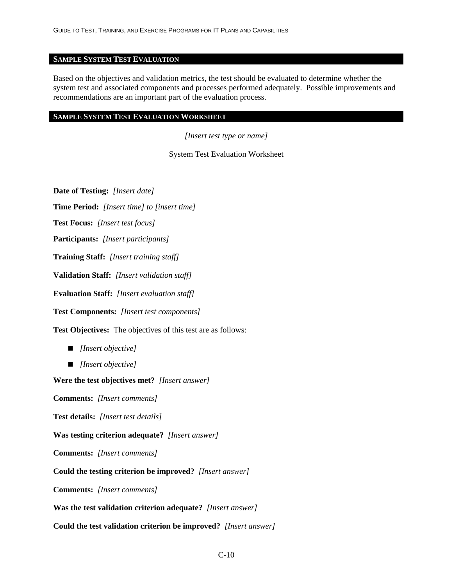#### **SAMPLE SYSTEM TEST EVALUATION**

Based on the objectives and validation metrics, the test should be evaluated to determine whether the system test and associated components and processes performed adequately. Possible improvements and recommendations are an important part of the evaluation process.

#### **SAMPLE SYSTEM TEST EVALUATION WORKSHEET**

*[Insert test type or name]* 

System Test Evaluation Worksheet

**Date of Testing:** *[Insert date]*

**Time Period:** *[Insert time] to [insert time]*

**Test Focus:** *[Insert test focus]* 

**Participants:** *[Insert participants]*

**Training Staff:** *[Insert training staff]*

**Validation Staff:** *[Insert validation staff]*

**Evaluation Staff:** *[Insert evaluation staff]*

**Test Components:** *[Insert test components]*

**Test Objectives:** The objectives of this test are as follows:

- *[Insert objective]*
- *[Insert objective]*

**Were the test objectives met?** *[Insert answer]*

**Comments:** *[Insert comments]*

**Test details:** *[Insert test details]*

**Was testing criterion adequate?** *[Insert answer]*

**Comments:** *[Insert comments]*

**Could the testing criterion be improved?** *[Insert answer]*

**Comments:** *[Insert comments]*

**Was the test validation criterion adequate?** *[Insert answer]*

**Could the test validation criterion be improved?** *[Insert answer]*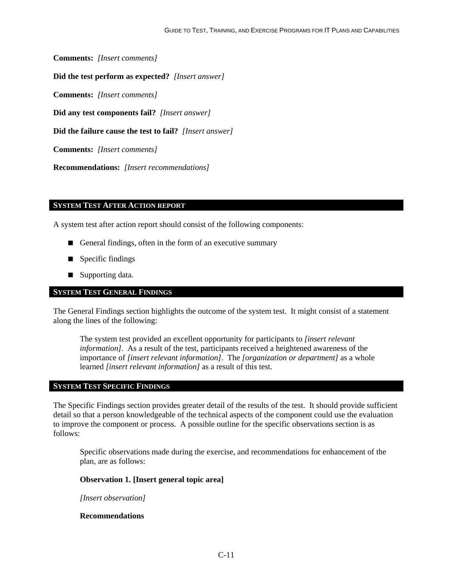**Comments:** *[Insert comments]* **Did the test perform as expected?** *[Insert answer]*  **Comments:** *[Insert comments]* **Did any test components fail?** *[Insert answer]*  **Did the failure cause the test to fail?** *[Insert answer]*  **Comments:** *[Insert comments]* **Recommendations:** *[Insert recommendations]* 

#### **SYSTEM TEST AFTER ACTION REPORT**

A system test after action report should consist of the following components:

- General findings, often in the form of an executive summary
- $\blacksquare$  Specific findings
- Supporting data.

#### **SYSTEM TEST GENERAL FINDINGS**

The General Findings section highlights the outcome of the system test. It might consist of a statement along the lines of the following:

The system test provided an excellent opportunity for participants to *[insert relevant information]*. As a result of the test, participants received a heightened awareness of the importance of *[insert relevant information]*.The *[organization or department]* as a whole learned *[insert relevant information]* as a result of this test.

#### **SYSTEM TEST SPECIFIC FINDINGS**

The Specific Findings section provides greater detail of the results of the test. It should provide sufficient detail so that a person knowledgeable of the technical aspects of the component could use the evaluation to improve the component or process. A possible outline for the specific observations section is as follows:

Specific observations made during the exercise, and recommendations for enhancement of the plan, are as follows:

#### **Observation 1. [Insert general topic area]**

*[Insert observation]* 

#### **Recommendations**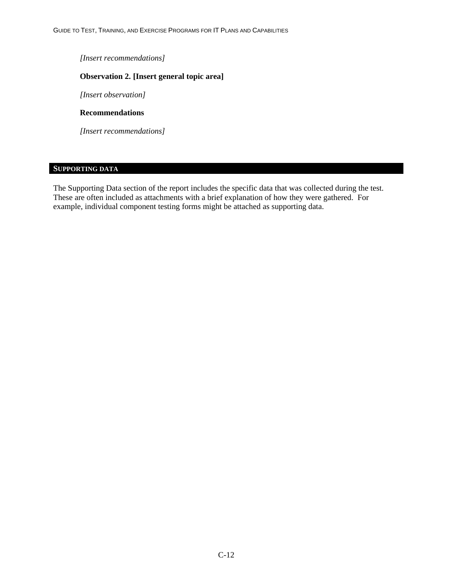*[Insert recommendations]* 

## **Observation 2. [Insert general topic area]**

*[Insert observation]* 

#### **Recommendations**

*[Insert recommendations]* 

# **SUPPORTING DATA**

The Supporting Data section of the report includes the specific data that was collected during the test. These are often included as attachments with a brief explanation of how they were gathered. For example, individual component testing forms might be attached as supporting data.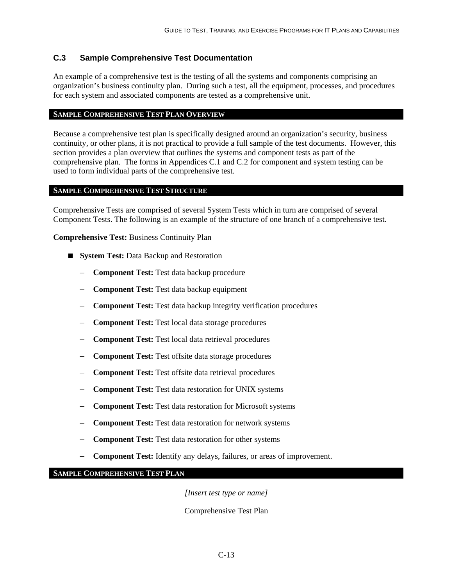## **C.3 Sample Comprehensive Test Documentation**

An example of a comprehensive test is the testing of all the systems and components comprising an organization's business continuity plan. During such a test, all the equipment, processes, and procedures for each system and associated components are tested as a comprehensive unit.

#### **SAMPLE COMPREHENSIVE TEST PLAN OVERVIEW**

Because a comprehensive test plan is specifically designed around an organization's security, business continuity, or other plans, it is not practical to provide a full sample of the test documents. However, this section provides a plan overview that outlines the systems and component tests as part of the comprehensive plan. The forms in Appendices C.1 and C.2 for component and system testing can be used to form individual parts of the comprehensive test.

#### **SAMPLE COMPREHENSIVE TEST STRUCTURE**

Comprehensive Tests are comprised of several System Tests which in turn are comprised of several Component Tests. The following is an example of the structure of one branch of a comprehensive test.

**Comprehensive Test:** Business Continuity Plan

- **System Test:** Data Backup and Restoration
	- **Component Test:** Test data backup procedure
	- **Component Test:** Test data backup equipment
	- **Component Test:** Test data backup integrity verification procedures
	- **Component Test:** Test local data storage procedures
	- **Component Test:** Test local data retrieval procedures
	- **Component Test:** Test offsite data storage procedures
	- **Component Test:** Test offsite data retrieval procedures
	- **Component Test:** Test data restoration for UNIX systems
	- **Component Test:** Test data restoration for Microsoft systems
	- **Component Test:** Test data restoration for network systems
	- **Component Test:** Test data restoration for other systems
	- **Component Test:** Identify any delays, failures, or areas of improvement.

**SAMPLE COMPREHENSIVE TEST PLAN**

*[Insert test type or name]* 

Comprehensive Test Plan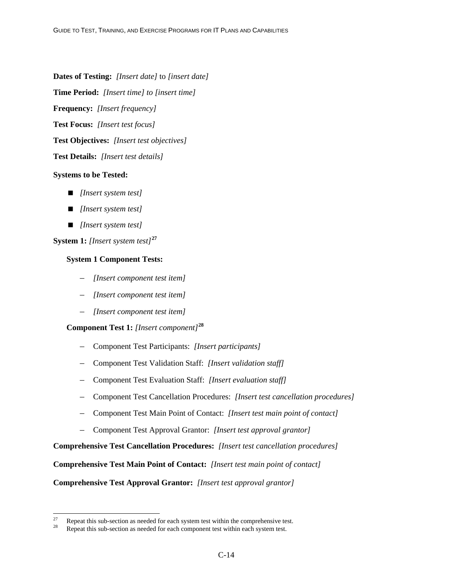<span id="page-85-0"></span>**Dates of Testing:** *[Insert date]* to *[insert date]* 

**Time Period:** *[Insert time] to [insert time]*

**Frequency:** *[Insert frequency]* 

**Test Focus:** *[Insert test focus]*

**Test Objectives:** *[Insert test objectives]* 

**Test Details:** *[Insert test details]*

#### **Systems to be Tested:**

- *[Insert system test]*
- *[Insert system test]*
- *[Insert system test]*

## **System 1:** *[Insert system test]***[27](#page-85-0)**

#### **System 1 Component Tests:**

- *[Insert component test item]*
- *[Insert component test item]*
- *[Insert component test item]*

## **Component Test 1:** *[Insert component]***[28](#page-85-0)**

- Component Test Participants: *[Insert participants]*
- Component Test Validation Staff: *[Insert validation staff]*
- Component Test Evaluation Staff: *[Insert evaluation staff]*
- Component Test Cancellation Procedures: *[Insert test cancellation procedures]*
- Component Test Main Point of Contact: *[Insert test main point of contact]*
- Component Test Approval Grantor: *[Insert test approval grantor]*

**Comprehensive Test Cancellation Procedures:** *[Insert test cancellation procedures]* 

**Comprehensive Test Main Point of Contact:** *[Insert test main point of contact]* 

**Comprehensive Test Approval Grantor:** *[Insert test approval grantor]* 

<sup>27</sup> <sup>27</sup> Repeat this sub-section as needed for each system test within the comprehensive test.<br><sup>28</sup> Persot this sub-section as needed for each component test within each system test.

Repeat this sub-section as needed for each component test within each system test.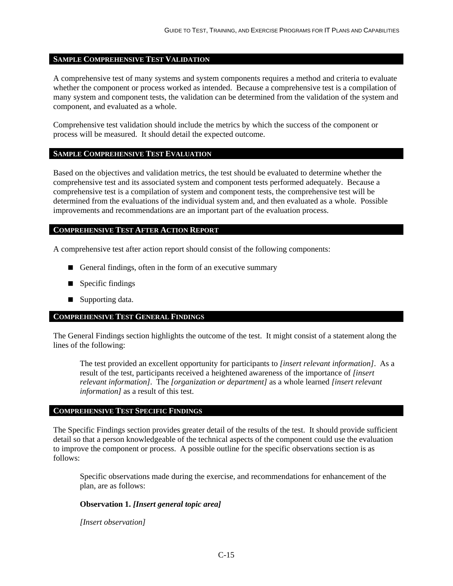## **SAMPLE COMPREHENSIVE TEST VALIDATION**

A comprehensive test of many systems and system components requires a method and criteria to evaluate whether the component or process worked as intended. Because a comprehensive test is a compilation of many system and component tests, the validation can be determined from the validation of the system and component, and evaluated as a whole.

Comprehensive test validation should include the metrics by which the success of the component or process will be measured. It should detail the expected outcome.

#### **SAMPLE COMPREHENSIVE TEST EVALUATION**

Based on the objectives and validation metrics, the test should be evaluated to determine whether the comprehensive test and its associated system and component tests performed adequately. Because a comprehensive test is a compilation of system and component tests, the comprehensive test will be determined from the evaluations of the individual system and, and then evaluated as a whole. Possible improvements and recommendations are an important part of the evaluation process.

#### **COMPREHENSIVE TEST AFTER ACTION REPORT**

A comprehensive test after action report should consist of the following components:

- General findings, often in the form of an executive summary
- $\blacksquare$  Specific findings
- Supporting data.

#### **COMPREHENSIVE TEST GENERAL FINDINGS**

The General Findings section highlights the outcome of the test. It might consist of a statement along the lines of the following:

The test provided an excellent opportunity for participants to *[insert relevant information]*. As a result of the test, participants received a heightened awareness of the importance of *[insert relevant information]*.The *[organization or department]* as a whole learned *[insert relevant information]* as a result of this test.

#### **COMPREHENSIVE TEST SPECIFIC FINDINGS**

The Specific Findings section provides greater detail of the results of the test. It should provide sufficient detail so that a person knowledgeable of the technical aspects of the component could use the evaluation to improve the component or process. A possible outline for the specific observations section is as follows:

Specific observations made during the exercise, and recommendations for enhancement of the plan, are as follows:

#### **Observation 1.** *[Insert general topic area]*

*[Insert observation]*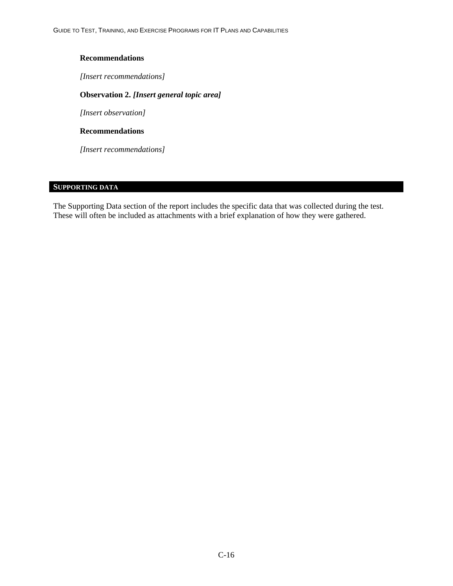## **Recommendations**

*[Insert recommendations]* 

### **Observation 2.** *[Insert general topic area]*

*[Insert observation]* 

#### **Recommendations**

*[Insert recommendations]* 

# **SUPPORTING DATA**

The Supporting Data section of the report includes the specific data that was collected during the test. These will often be included as attachments with a brief explanation of how they were gathered.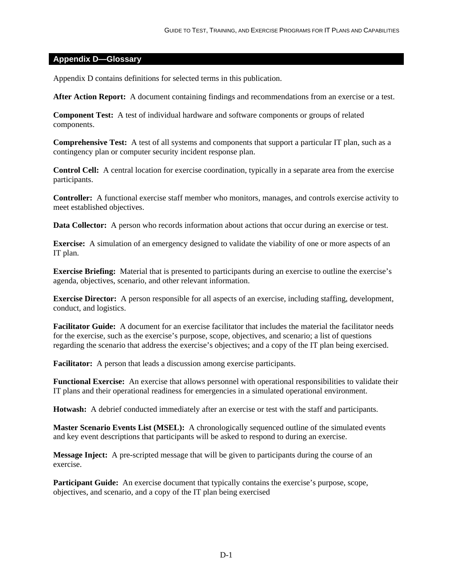## **Appendix D—Glossary**

Appendix D contains definitions for selected terms in this publication.

**After Action Report:** A document containing findings and recommendations from an exercise or a test.

**Component Test:** A test of individual hardware and software components or groups of related components.

**Comprehensive Test:** A test of all systems and components that support a particular IT plan, such as a contingency plan or computer security incident response plan.

**Control Cell:** A central location for exercise coordination, typically in a separate area from the exercise participants.

**Controller:** A functional exercise staff member who monitors, manages, and controls exercise activity to meet established objectives.

**Data Collector:** A person who records information about actions that occur during an exercise or test.

**Exercise:** A simulation of an emergency designed to validate the viability of one or more aspects of an IT plan.

**Exercise Briefing:** Material that is presented to participants during an exercise to outline the exercise's agenda, objectives, scenario, and other relevant information.

**Exercise Director:** A person responsible for all aspects of an exercise, including staffing, development, conduct, and logistics.

**Facilitator Guide:** A document for an exercise facilitator that includes the material the facilitator needs for the exercise, such as the exercise's purpose, scope, objectives, and scenario; a list of questions regarding the scenario that address the exercise's objectives; and a copy of the IT plan being exercised.

**Facilitator:** A person that leads a discussion among exercise participants.

**Functional Exercise:** An exercise that allows personnel with operational responsibilities to validate their IT plans and their operational readiness for emergencies in a simulated operational environment.

**Hotwash:** A debrief conducted immediately after an exercise or test with the staff and participants.

**Master Scenario Events List (MSEL):** A chronologically sequenced outline of the simulated events and key event descriptions that participants will be asked to respond to during an exercise.

**Message Inject:** A pre-scripted message that will be given to participants during the course of an exercise.

**Participant Guide:** An exercise document that typically contains the exercise's purpose, scope, objectives, and scenario, and a copy of the IT plan being exercised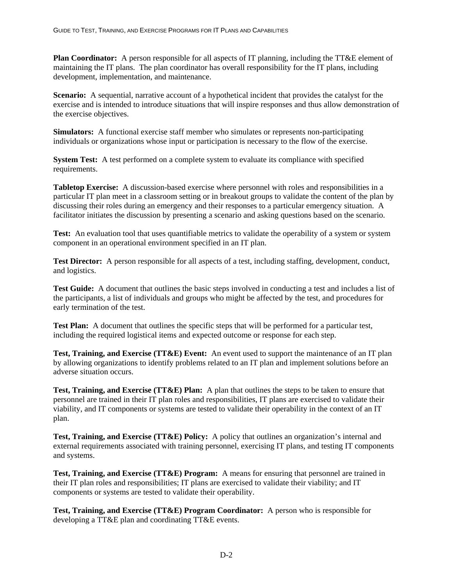**Plan Coordinator:** A person responsible for all aspects of IT planning, including the TT&E element of maintaining the IT plans. The plan coordinator has overall responsibility for the IT plans, including development, implementation, and maintenance.

**Scenario:** A sequential, narrative account of a hypothetical incident that provides the catalyst for the exercise and is intended to introduce situations that will inspire responses and thus allow demonstration of the exercise objectives.

**Simulators:** A functional exercise staff member who simulates or represents non-participating individuals or organizations whose input or participation is necessary to the flow of the exercise.

**System Test:** A test performed on a complete system to evaluate its compliance with specified requirements.

**Tabletop Exercise:** A discussion-based exercise where personnel with roles and responsibilities in a particular IT plan meet in a classroom setting or in breakout groups to validate the content of the plan by discussing their roles during an emergency and their responses to a particular emergency situation. A facilitator initiates the discussion by presenting a scenario and asking questions based on the scenario.

**Test:** An evaluation tool that uses quantifiable metrics to validate the operability of a system or system component in an operational environment specified in an IT plan.

**Test Director:** A person responsible for all aspects of a test, including staffing, development, conduct, and logistics.

**Test Guide:** A document that outlines the basic steps involved in conducting a test and includes a list of the participants, a list of individuals and groups who might be affected by the test, and procedures for early termination of the test.

**Test Plan:** A document that outlines the specific steps that will be performed for a particular test, including the required logistical items and expected outcome or response for each step.

**Test, Training, and Exercise (TT&E) Event:** An event used to support the maintenance of an IT plan by allowing organizations to identify problems related to an IT plan and implement solutions before an adverse situation occurs.

**Test, Training, and Exercise (TT&E) Plan:** A plan that outlines the steps to be taken to ensure that personnel are trained in their IT plan roles and responsibilities, IT plans are exercised to validate their viability, and IT components or systems are tested to validate their operability in the context of an IT plan.

**Test, Training, and Exercise (TT&E) Policy:** A policy that outlines an organization's internal and external requirements associated with training personnel, exercising IT plans, and testing IT components and systems.

**Test, Training, and Exercise (TT&E) Program:** A means for ensuring that personnel are trained in their IT plan roles and responsibilities; IT plans are exercised to validate their viability; and IT components or systems are tested to validate their operability.

**Test, Training, and Exercise (TT&E) Program Coordinator:** A person who is responsible for developing a TT&E plan and coordinating TT&E events.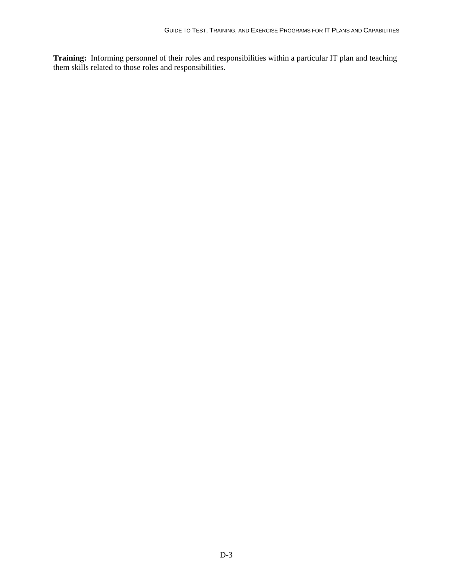**Training:** Informing personnel of their roles and responsibilities within a particular IT plan and teaching them skills related to those roles and responsibilities.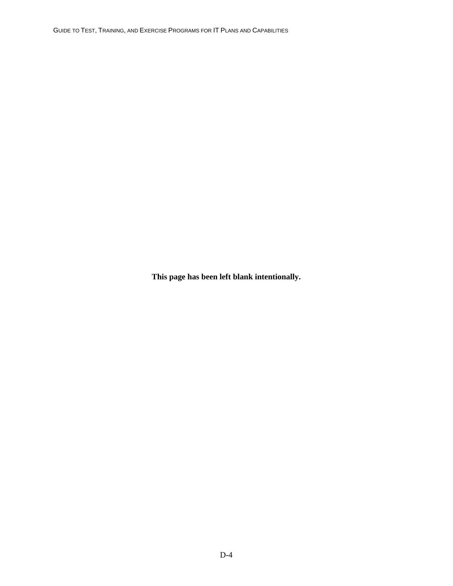**This page has been left blank intentionally.**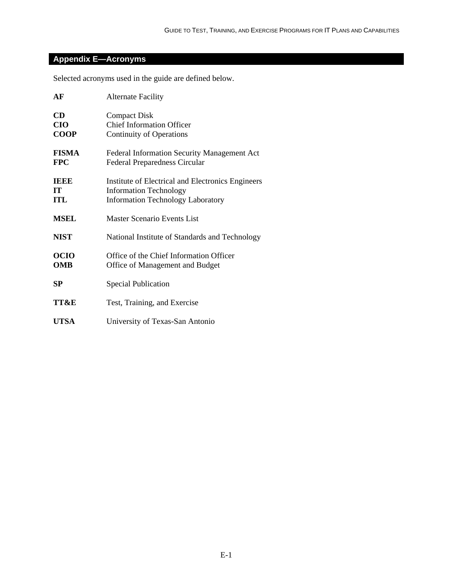# **Appendix E—Acronyms**

Selected acronyms used in the guide are defined below.

| AF                                     | <b>Alternate Facility</b>                                                                                                      |
|----------------------------------------|--------------------------------------------------------------------------------------------------------------------------------|
| <b>CD</b><br><b>CIO</b><br><b>COOP</b> | <b>Compact Disk</b><br><b>Chief Information Officer</b><br><b>Continuity of Operations</b>                                     |
| <b>FISMA</b><br><b>FPC</b>             | <b>Federal Information Security Management Act</b><br><b>Federal Preparedness Circular</b>                                     |
| TEEE<br>IT<br><b>ITL</b>               | Institute of Electrical and Electronics Engineers<br><b>Information Technology</b><br><b>Information Technology Laboratory</b> |
| <b>MSEL</b>                            | Master Scenario Events List                                                                                                    |
| <b>NIST</b>                            | National Institute of Standards and Technology                                                                                 |
| <b>OCIO</b><br><b>OMB</b>              | Office of the Chief Information Officer<br>Office of Management and Budget                                                     |
| SP                                     | <b>Special Publication</b>                                                                                                     |
| <b>TT&amp;E</b>                        | Test, Training, and Exercise                                                                                                   |
| <b>UTSA</b>                            | University of Texas-San Antonio                                                                                                |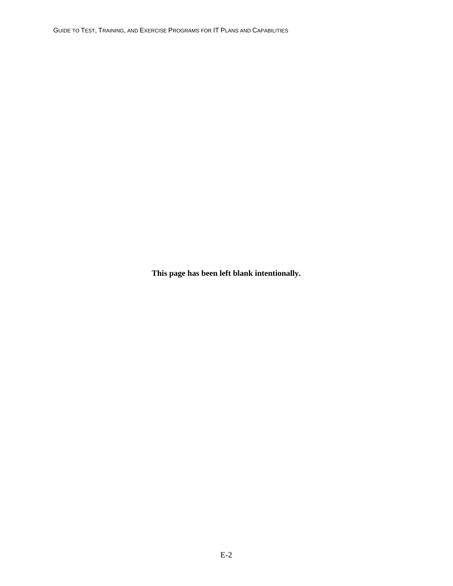**This page has been left blank intentionally.**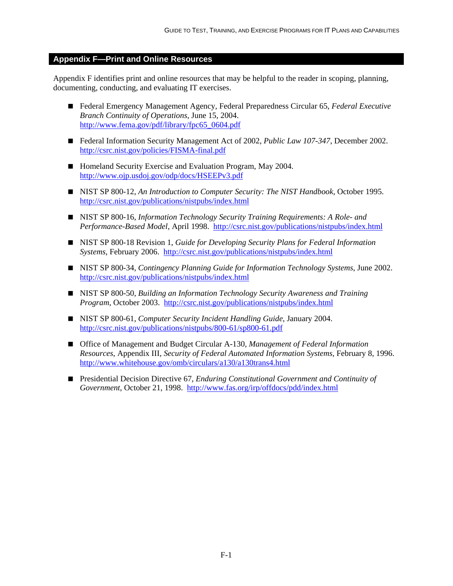#### **Appendix F—Print and Online Resources**

Appendix F identifies print and online resources that may be helpful to the reader in scoping, planning, documenting, conducting, and evaluating IT exercises.

- Federal Emergency Management Agency, Federal Preparedness Circular 65, *Federal Executive Branch Continuity of Operations*, June 15, 2004. [http://www.fema.gov/pdf/library/fpc65\\_0604.pdf](http://www.fema.gov/pdf/library/fpc65_0604.pdf)
- Federal Information Security Management Act of 2002, *Public Law 107-347*, December 2002. <http://csrc.nist.gov/policies/FISMA-final.pdf>
- Homeland Security Exercise and Evaluation Program, May 2004. <http://www.ojp.usdoj.gov/odp/docs/HSEEPv3.pdf>
- NIST SP 800-12, An Introduction to Computer Security: The NIST Handbook, October 1995. <http://csrc.nist.gov/publications/nistpubs/index.html>
- NIST SP 800-16, *Information Technology Security Training Requirements: A Role- and Performance-Based Model*, April 1998. <http://csrc.nist.gov/publications/nistpubs/index.html>
- NIST SP 800-18 Revision 1, *Guide for Developing Security Plans for Federal Information Systems*, February 2006. <http://csrc.nist.gov/publications/nistpubs/index.html>
- NIST SP 800-34, *Contingency Planning Guide for Information Technology Systems*, June 2002. <http://csrc.nist.gov/publications/nistpubs/index.html>
- NIST SP 800-50, *Building an Information Technology Security Awareness and Training Program*, October 2003. <http://csrc.nist.gov/publications/nistpubs/index.html>
- NIST SP 800-61, *Computer Security Incident Handling Guide*, January 2004. <http://csrc.nist.gov/publications/nistpubs/800-61/sp800-61.pdf>
- Office of Management and Budget Circular A-130, *Management of Federal Information Resources*, Appendix III, *Security of Federal Automated Information Systems*, February 8, 1996. <http://www.whitehouse.gov/omb/circulars/a130/a130trans4.html>
- Presidential Decision Directive 67, *Enduring Constitutional Government and Continuity of Government*, October 21, 1998. <http://www.fas.org/irp/offdocs/pdd/index.html>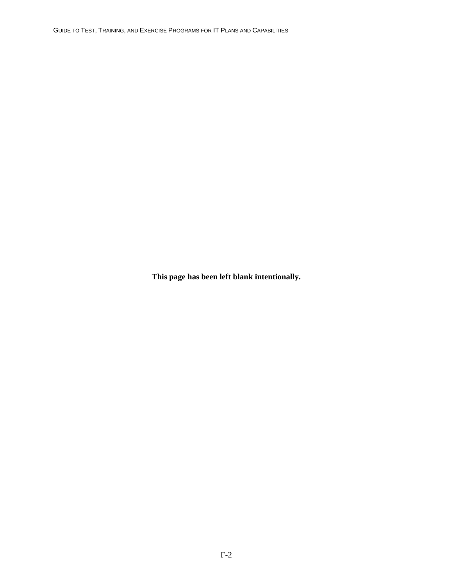**This page has been left blank intentionally.**